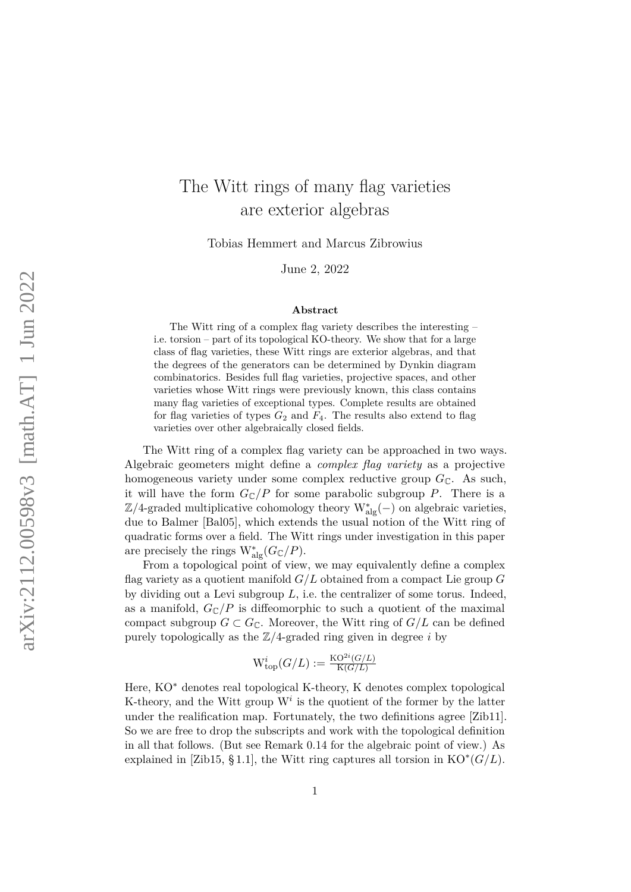# The Witt rings of many flag varieties are exterior algebras

Tobias Hemmert and Marcus Zibrowius

June 2, 2022

#### **Abstract**

The Witt ring of a complex flag variety describes the interesting – i.e. torsion – part of its topological KO-theory. We show that for a large class of flag varieties, these Witt rings are exterior algebras, and that the degrees of the generators can be determined by Dynkin diagram combinatorics. Besides full flag varieties, projective spaces, and other varieties whose Witt rings were previously known, this class contains many flag varieties of exceptional types. Complete results are obtained for flag varieties of types  $G_2$  and  $F_4$ . The results also extend to flag varieties over other algebraically closed fields.

The Witt ring of a complex flag variety can be approached in two ways. Algebraic geometers might define a *complex flag variety* as a projective homogeneous variety under some complex reductive group  $G_{\mathbb{C}}$ . As such, it will have the form  $G_{\mathbb{C}}/P$  for some parabolic subgroup P. There is a  $\mathbb{Z}/4$ -graded multiplicative cohomology theory W<sub>alg</sub>(−) on algebraic varieties, due to Balmer [\[Bal05\]](#page-37-0), which extends the usual notion of the Witt ring of quadratic forms over a field. The Witt rings under investigation in this paper are precisely the rings  $W^*_{alg}(G_{\mathbb{C}}/P)$ .

From a topological point of view, we may equivalently define a complex flag variety as a quotient manifold *G/L* obtained from a compact Lie group *G* by dividing out a Levi subgroup *L*, i.e. the centralizer of some torus. Indeed, as a manifold,  $G_{\mathbb{C}}/P$  is diffeomorphic to such a quotient of the maximal compact subgroup  $G \subset G_{\mathbb{C}}$ . Moreover, the Witt ring of  $G/L$  can be defined purely topologically as the Z*/*4-graded ring given in degree *i* by

$$
\mathrm{W}^i_{\text{top}}(G/L) := \tfrac{\mathrm{KO}^{2i}(G/L)}{\mathrm{K}(G/L)}
$$

Here, KO<sup>∗</sup> denotes real topological K-theory, K denotes complex topological K-theory, and the Witt group  $W<sup>i</sup>$  is the quotient of the former by the latter under the realification map. Fortunately, the two definitions agree [\[Zib11\]](#page-39-0). So we are free to drop the subscripts and work with the topological definition in all that follows. (But see [Remark 0.14](#page-7-0) for the algebraic point of view.) As explained in [\[Zib15,](#page-39-1) §1.1], the Witt ring captures all torsion in  $KO^*(G/L)$ .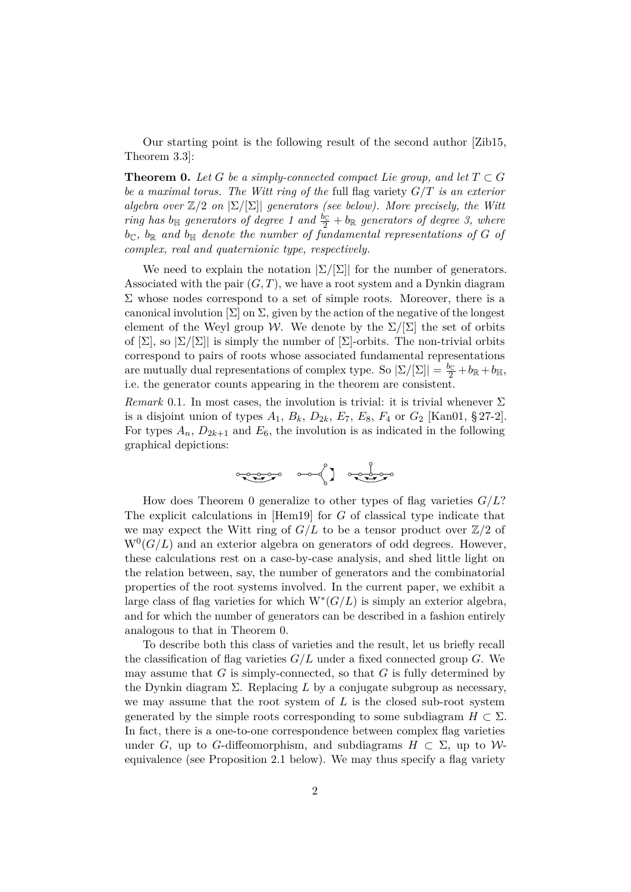Our starting point is the following result of the second author [\[Zib15,](#page-39-1) Theorem 3.3]:

<span id="page-1-0"></span>**Theorem 0.** Let G be a simply-connected compact Lie group, and let  $T \subset G$ *be a maximal torus. The Witt ring of the* full flag variety *G/T is an exterior algebra over*  $\mathbb{Z}/2$  *on*  $|\Sigma/|\Sigma|$  *generators (see below). More precisely, the Witt ring has*  $b_{\mathbb{H}}$  *generators of degree 1 and*  $\frac{b_{\mathbb{C}}}{2} + b_{\mathbb{R}}$  *generators of degree 3, where*  $b_{\mathbb{C}}$ ,  $b_{\mathbb{R}}$  and  $b_{\mathbb{H}}$  denote the number of fundamental representations of G of *complex, real and quaternionic type, respectively.*

We need to explain the notation  $|\Sigma/[\Sigma]|$  for the number of generators. Associated with the pair  $(G, T)$ , we have a root system and a Dynkin diagram  $\Sigma$  whose nodes correspond to a set of simple roots. Moreover, there is a canonical involution  $[\Sigma]$  on  $\Sigma$ , given by the action of the negative of the longest element of the Weyl group W. We denote by the  $\Sigma/[\Sigma]$  the set of orbits of  $[\Sigma]$ , so  $[\Sigma/[\Sigma]]$  is simply the number of  $[\Sigma]$ -orbits. The non-trivial orbits correspond to pairs of roots whose associated fundamental representations are mutually dual representations of complex type. So  $|\Sigma/[\Sigma]| = \frac{b_{\mathbb{C}}}{2} + b_{\mathbb{R}} + b_{\mathbb{H}},$ i.e. the generator counts appearing in the theorem are consistent.

<span id="page-1-1"></span>*Remark* 0.1. In most cases, the involution is trivial: it is trivial whenever  $\Sigma$ is a disjoint union of types  $A_1$ ,  $B_k$ ,  $D_{2k}$ ,  $E_7$ ,  $E_8$ ,  $F_4$  or  $G_2$  [\[Kan01,](#page-38-0) § 27-2]. For types  $A_n$ ,  $D_{2k+1}$  and  $E_6$ , the involution is as indicated in the following graphical depictions:



How does [Theorem 0](#page-1-0) generalize to other types of flag varieties *G/L*? The explicit calculations in [\[Hem19\]](#page-38-1) for *G* of classical type indicate that we may expect the Witt ring of  $G/L$  to be a tensor product over  $\mathbb{Z}/2$  of  $W<sup>0</sup>(G/L)$  and an exterior algebra on generators of odd degrees. However, these calculations rest on a case-by-case analysis, and shed little light on the relation between, say, the number of generators and the combinatorial properties of the root systems involved. In the current paper, we exhibit a large class of flag varieties for which  $W^*(G/L)$  is simply an exterior algebra, and for which the number of generators can be described in a fashion entirely analogous to that in [Theorem 0.](#page-1-0)

To describe both this class of varieties and the result, let us briefly recall the classification of flag varieties  $G/L$  under a fixed connected group  $G$ . We may assume that *G* is simply-connected, so that *G* is fully determined by the Dynkin diagram Σ. Replacing *L* by a conjugate subgroup as necessary, we may assume that the root system of *L* is the closed sub-root system generated by the simple roots corresponding to some subdiagram  $H \subset \Sigma$ . In fact, there is a one-to-one correspondence between complex flag varieties under *G*, up to *G*-diffeomorphism, and subdiagrams  $H \subset \Sigma$ , up to *W*equivalence (see [Proposition 2.1](#page-11-0) below). We may thus specify a flag variety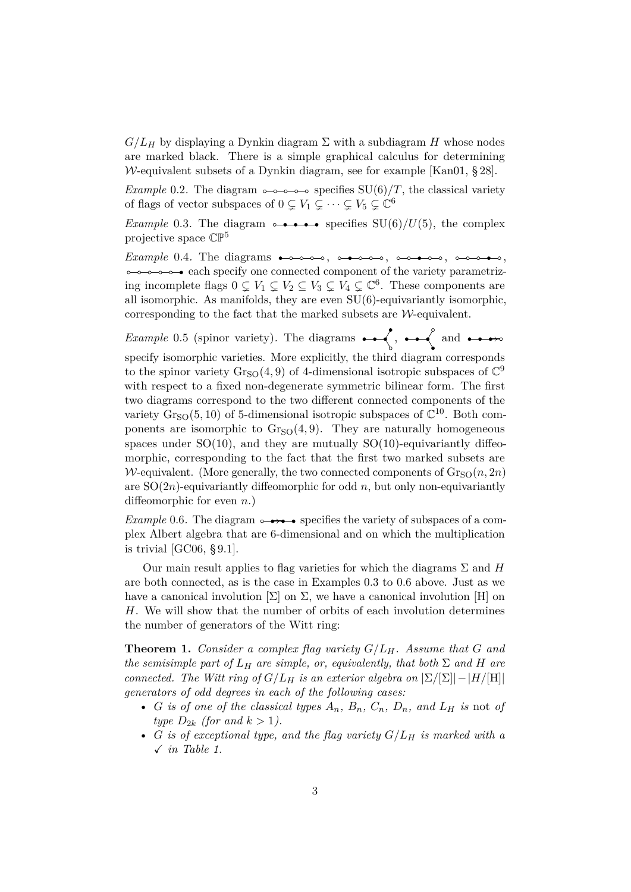$G/L_H$  by displaying a Dynkin diagram  $\Sigma$  with a subdiagram *H* whose nodes are marked black. There is a simple graphical calculus for determining W-equivalent subsets of a Dynkin diagram, see for example [\[Kan01,](#page-38-0) § 28].

*Example* 0.2. The diagram  $\circ \circ \circ \circ \circ \circ \circ$  specifies SU(6)/*T*, the classical variety of flags of vector subspaces of  $0 \subsetneq V_1 \subsetneq \cdots \subsetneq V_5 \subsetneq \mathbb{C}^6$ 

<span id="page-2-0"></span>*Example* 0.3. The diagram  $\rightarrow \rightarrow \rightarrow \rightarrow$  specifies SU(6)/U(5), the complex projective space CP<sup>5</sup>

*Example* 0.4*.* The diagrams , , , ,  $\circ$   $\circ$   $\circ$   $\circ$   $\circ$   $\bullet$  each specify one connected component of the variety parametrizing incomplete flags  $0 \subsetneq V_1 \subsetneq V_2 \subsetneq V_3 \subsetneq V_4 \subsetneq \mathbb{C}^6$ . These components are all isomorphic. As manifolds, they are even SU(6)-equivariantly isomorphic, corresponding to the fact that the marked subsets are  $W$ -equivalent.

<span id="page-2-3"></span>*Example* 0.5 (spinor variety)*.* The diagrams , and specify isomorphic varieties. More explicitly, the third diagram corresponds to the spinor variety  $\text{Gr}_{\text{SO}}(4,9)$  of 4-dimensional isotropic subspaces of  $\mathbb{C}^9$ with respect to a fixed non-degenerate symmetric bilinear form. The first two diagrams correspond to the two different connected components of the variety  $\text{Gr}_{\text{SO}}(5, 10)$  of 5-dimensional isotropic subspaces of  $\mathbb{C}^{10}$ . Both components are isomorphic to  $Gr<sub>SO</sub>(4,9)$ . They are naturally homogeneous spaces under  $SO(10)$ , and they are mutually  $SO(10)$ -equivariantly diffeomorphic, corresponding to the fact that the first two marked subsets are W-equivalent. (More generally, the two connected components of  $\text{Gr}_{\text{SO}}(n,2n)$ are  $SO(2n)$ -equivariantly diffeomorphic for odd *n*, but only non-equivariantly diffeomorphic for even *n*.)

<span id="page-2-1"></span>*Example* 0.6. The diagram  $\rightarrow$   $\rightarrow$  specifies the variety of subspaces of a complex Albert algebra that are 6-dimensional and on which the multiplication is trivial [\[GC06,](#page-37-1) § 9.1].

Our main result applies to flag varieties for which the diagrams  $\Sigma$  and  $H$ are both connected, as is the case in [Examples 0.3](#page-2-0) to [0.6](#page-2-1) above. Just as we have a canonical involution  $[\Sigma]$  on  $\Sigma$ , we have a canonical involution  $[H]$  on *H*. We will show that the number of orbits of each involution determines the number of generators of the Witt ring:

<span id="page-2-2"></span>**Theorem 1.** *Consider a complex flag variety G/LH. Assume that G and the semisimple part of*  $L_H$  *are simple, or, equivalently, that both*  $\Sigma$  *and*  $H$  *are connected. The Witt ring of*  $G/L_H$  *is an exterior algebra on*  $|\Sigma/[\Sigma]| - |H/[\Pi]|$ *generators of odd degrees in each of the following cases:*

- *G is of one of the classical types*  $A_n$ ,  $B_n$ ,  $C_n$ ,  $D_n$ , and  $L_H$  *is* not *of type*  $D_{2k}$  (for and  $k > 1$ ).
- *G is of exceptional type, and the flag variety G/L<sup>H</sup> is marked with a* X *in [Table 1.](#page-4-0)*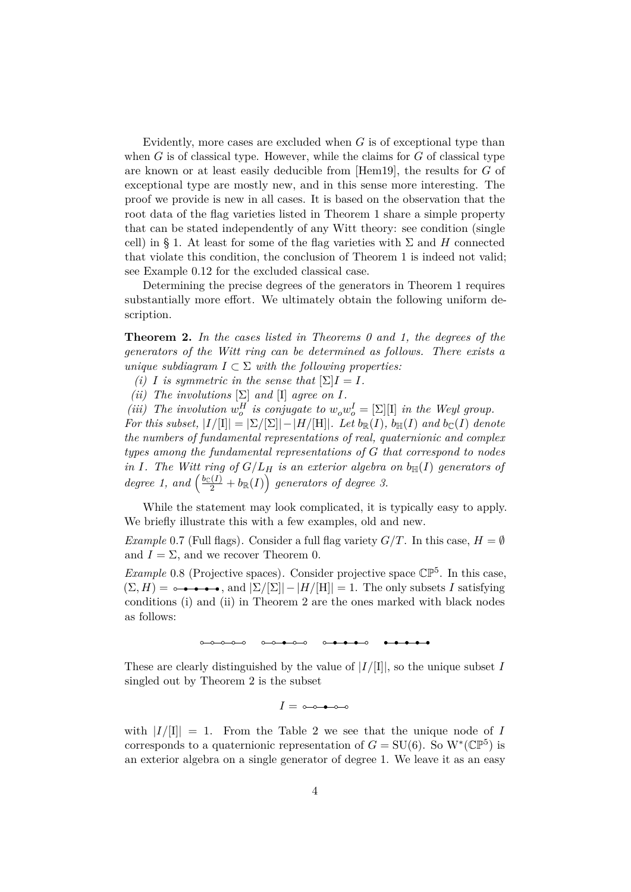Evidently, more cases are excluded when *G* is of exceptional type than when *G* is of classical type. However, while the claims for *G* of classical type are known or at least easily deducible from [\[Hem19\]](#page-38-1), the results for *G* of exceptional type are mostly new, and in this sense more interesting. The proof we provide is new in all cases. It is based on the observation that the root data of the flag varieties listed in [Theorem 1](#page-2-2) share a simple property that can be stated independently of any Witt theory: see condition [\(single](#page-10-0) [cell\)](#page-10-0) in [§ 1.](#page-9-0) At least for some of the flag varieties with  $\Sigma$  and H connected that violate this condition, the conclusion of [Theorem 1](#page-2-2) is indeed not valid; see [Example 0.12](#page-7-1) for the excluded classical case.

Determining the precise degrees of the generators in [Theorem 1](#page-2-2) requires substantially more effort. We ultimately obtain the following uniform description.

<span id="page-3-0"></span>**Theorem 2.** *In the cases listed in [Theorems 0](#page-1-0) and [1,](#page-2-2) the degrees of the generators of the Witt ring can be determined as follows. There exists a unique subdiagram*  $I \subset \Sigma$  *with the following properties:* 

- *(i) I is symmetric in the sense that*  $[\Sigma]I = I$ *.*
- *(ii) The involutions*  $[\Sigma]$  *and*  $[\Pi]$  *agree on I.*

*(iii) The involution*  $w_o^H$  *is conjugate to*  $w_o w_o^I = [\Sigma][\text{I}]$  *in the Weyl group. For this subset,*  $|I/|\mathbf{I}| = |\Sigma/|\Sigma| - |H/|\mathbf{H}|$ *. Let*  $b_{\mathbb{R}}(I)$ *,*  $b_{\mathbb{H}}(I)$  *and*  $b_{\mathbb{C}}(I)$  *denote the numbers of fundamental representations of real, quaternionic and complex types among the fundamental representations of G that correspond to nodes in I. The Witt ring of*  $G/L_H$  *is an exterior algebra on*  $b_H(I)$  *generators of degree 1, and*  $\left(\frac{b_C(I)}{2} + b_R(I)\right)$  generators of degree 3.

While the statement may look complicated, it is typically easy to apply. We briefly illustrate this with a few examples, old and new.

*Example* 0.7 (Full flags). Consider a full flag variety  $G/T$ . In this case,  $H = \emptyset$ and  $I = \Sigma$ , and we recover [Theorem 0.](#page-1-0)

*Example* 0.8 (Projective spaces). Consider projective space  $\mathbb{CP}^5$ . In this case,  $(\Sigma, H) = \rightarrow \bullet \bullet \bullet \bullet$ , and  $|\Sigma/[\Sigma]| - |H/[\Pi]| = 1$ . The only subsets *I* satisfying conditions (i) and (ii) in [Theorem 2](#page-3-0) are the ones marked with black nodes as follows:



These are clearly distinguished by the value of |*I/*[I]|, so the unique subset *I* singled out by [Theorem 2](#page-3-0) is the subset

 $I = \circ \circ \bullet \circ \circ$ 

with  $|I/|\mathbf{I}| = 1$ . From the [Table 2](#page-5-0) we see that the unique node of *I* corresponds to a quaternionic representation of  $G = SU(6)$ . So  $W^*(\mathbb{CP}^5)$  is an exterior algebra on a single generator of degree 1. We leave it as an easy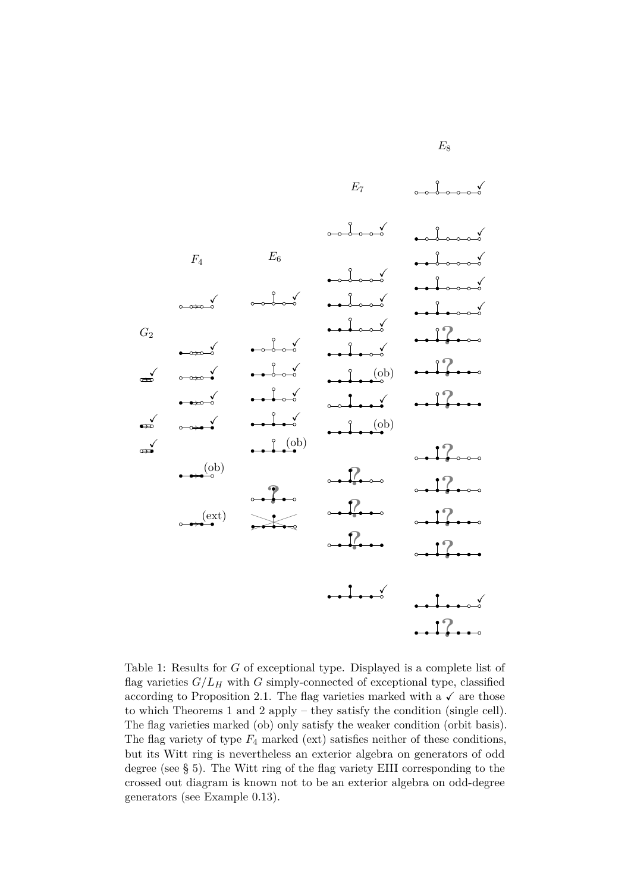<span id="page-4-0"></span>

Table 1: Results for *G* of exceptional type. Displayed is a complete list of flag varieties  $G/L_H$  with G simply-connected of exceptional type, classified according to [Proposition 2.1.](#page-11-0) The flag varieties marked with a  $\checkmark$  are those to which [Theorems 1](#page-2-2) and [2](#page-3-0) apply – they satisfy the condition [\(single cell\).](#page-10-0) The flag varieties marked (ob) only satisfy the weaker condition [\(orbit basis\).](#page-10-1) The flag variety of type *F*<sup>4</sup> marked (ext) satisfies neither of these conditions, but its Witt ring is nevertheless an exterior algebra on generators of odd degree (see [§ 5\)](#page-33-0). The Witt ring of the flag variety EIII corresponding to the crossed out diagram is known not to be an exterior algebra on odd-degree generators (see [Example 0.13\)](#page-7-2).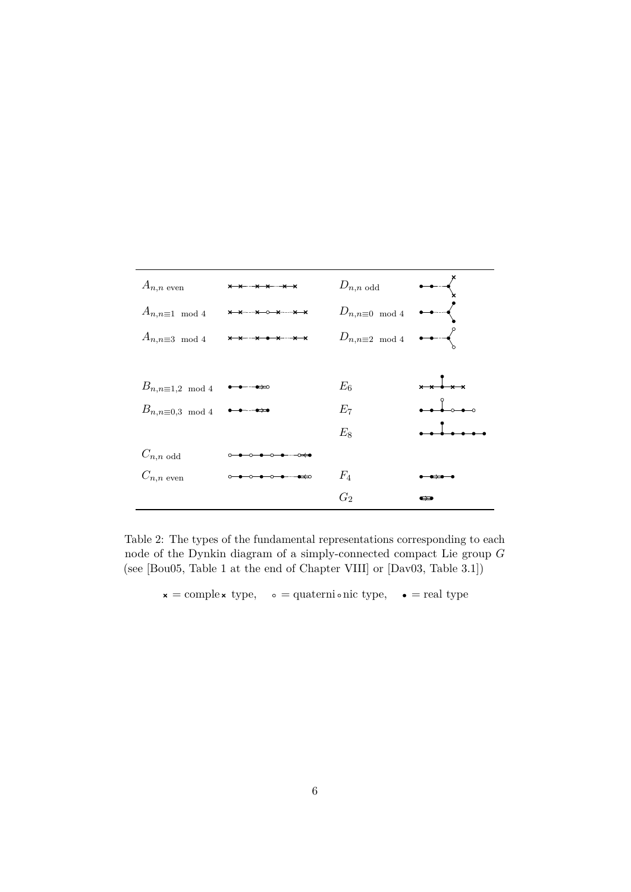<span id="page-5-0"></span>

| $A_{n,n}$ even              | x x x x x x              | $D_{n,n \text{ odd}}$    | $\rightarrow$                           |
|-----------------------------|--------------------------|--------------------------|-----------------------------------------|
| $A_{n,n \equiv 1 \mod 4}$   | <del>x x x 0 x x x</del> | $D_{n,n\equiv 0 \mod 4}$ | $\longrightarrow$                       |
| $A_{n,n\equiv 3 \mod 4}$    | $x + x + x + x$          | $D_{n,n\equiv 2\mod 4}$  | $\rightarrow$                           |
|                             |                          |                          |                                         |
| $B_{n,n \equiv 1,2 \mod 4}$ |                          | $E_6$                    | $x \times \frac{1}{2} \times x$         |
| $B_{n,n\equiv 0,3 \mod 4}$  |                          | $E_7$                    | $\bullet$ $\bullet$ $\bullet$ $\bullet$ |
|                             |                          | $E_8$                    |                                         |
| $C_{n,n \text{ odd}}$       |                          |                          |                                         |
| $C_{n,n}$ even              | ⊸————————                | $F_4$                    |                                         |
|                             |                          | $G_2$                    | $\overline{\phantom{a}}$                |

Table 2: The types of the fundamental representations corresponding to each node of the Dynkin diagram of a simply-connected compact Lie group *G* (see [\[Bou05,](#page-37-2) Table 1 at the end of Chapter VIII] or [\[Dav03,](#page-37-3) Table 3.1])

 $\mathbf{x} = \text{complex type}, \quad \mathbf{0} = \text{quaterni} \cdot \text{nic type}, \quad \bullet = \text{real type}$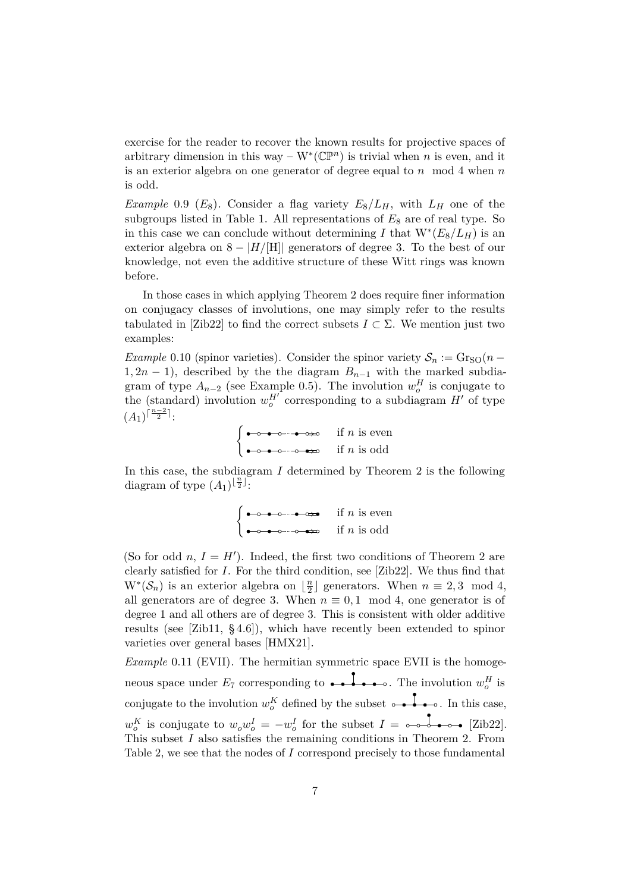exercise for the reader to recover the known results for projective spaces of arbitrary dimension in this way –  $W^*(\mathbb{CP}^n)$  is trivial when *n* is even, and it is an exterior algebra on one generator of degree equal to *n* mod 4 when *n* is odd.

*Example* 0.9 ( $E_8$ ). Consider a flag variety  $E_8/L_H$ , with  $L_H$  one of the subgroups listed in [Table 1.](#page-4-0) All representations of  $E_8$  are of real type. So in this case we can conclude without determining *I* that  $W^*(E_8/L_H)$  is an exterior algebra on  $8 - |H/|H||$  generators of degree 3. To the best of our knowledge, not even the additive structure of these Witt rings was known before.

In those cases in which applying [Theorem 2](#page-3-0) does require finer information on conjugacy classes of involutions, one may simply refer to the results tabulated in [\[Zib22\]](#page-39-2) to find the correct subsets  $I \subset \Sigma$ . We mention just two examples:

*Example* 0.10 (spinor varieties). Consider the spinor variety  $S_n := \text{Gr}_{\text{SO}}(n -$ 1, 2*n* − 1), described by the the diagram  $B_{n-1}$  with the marked subdiagram of type  $A_{n-2}$  (see [Example 0.5\)](#page-2-3). The involution  $w_o^H$  is conjugate to the (standard) involution  $w_o^{H'}$  corresponding to a subdiagram  $H'$  of type  $(A_1)^{\lceil \frac{n-2}{2} \rceil}$ 

$$
\begin{cases} \bullet \rightarrow \bullet \rightarrow \bullet \rightarrow \bullet \rightarrow \bullet \qquad \text{if } n \text{ is even} \\ \bullet \rightarrow \bullet \rightarrow \bullet \rightarrow \bullet \rightarrow \bullet \qquad \text{if } n \text{ is odd} \end{cases}
$$

In this case, the subdiagram *I* determined by [Theorem 2](#page-3-0) is the following diagram of type  $(A_1)^{\lfloor \frac{n}{2} \rfloor}$ .

$$
\begin{cases} \bullet \circ \bullet \circ \bullet \circ \bullet \bullet \bullet & \text{if } n \text{ is even} \\ \bullet \circ \bullet \circ \bullet \circ \bullet \bullet \bullet & \text{if } n \text{ is odd} \end{cases}
$$

(So for odd *n*,  $I = H'$ ). Indeed, the first two conditions of [Theorem 2](#page-3-0) are clearly satisfied for *I*. For the third condition, see [\[Zib22\]](#page-39-2). We thus find that  $W^*(\mathcal{S}_n)$  is an exterior algebra on  $\lfloor \frac{n}{2} \rfloor$  $\frac{n}{2}$  generators. When  $n \equiv 2, 3 \mod 4$ , all generators are of degree 3. When  $n \equiv 0, 1 \mod 4$ , one generator is of degree 1 and all others are of degree 3. This is consistent with older additive results (see [\[Zib11,](#page-39-0) § 4.6]), which have recently been extended to spinor varieties over general bases [\[HMX21\]](#page-38-2).

*Example* 0.11 (EVII)*.* The hermitian symmetric space EVII is the homogeneous space under  $E_7$  corresponding to  $\rightarrow \rightarrow \rightarrow \rightarrow \rightarrow$ . The involution  $w_o^H$  is conjugate to the involution  $w_0^K$  defined by the subset  $\circ \bullet \bullet \bullet \circ$ . In this case,  $w_o^K$  is conjugate to  $w_o w_o^I = -w_o^I$  for the subset  $I = \circ \circ \circ \circ \circ \bullet \bullet \circ \bullet$  [\[Zib22\]](#page-39-2). This subset *I* also satisfies the remaining conditions in [Theorem 2.](#page-3-0) From [Table 2,](#page-5-0) we see that the nodes of *I* correspond precisely to those fundamental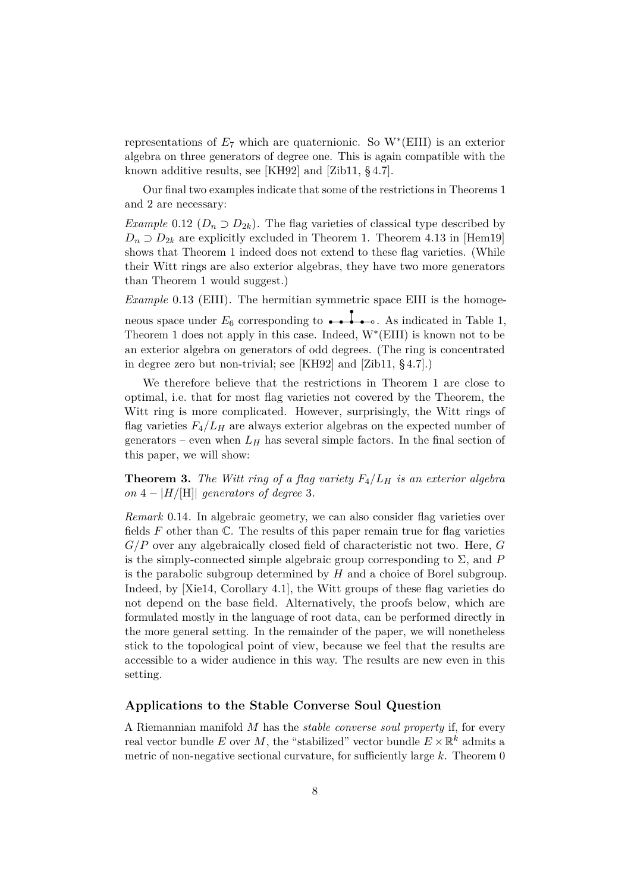representations of  $E_7$  which are quaternionic. So  $W^*(EIII)$  is an exterior algebra on three generators of degree one. This is again compatible with the known additive results, see [\[KH92\]](#page-38-3) and [\[Zib11,](#page-39-0) § 4.7].

Our final two examples indicate that some of the restrictions in [Theorems 1](#page-2-2) and [2](#page-3-0) are necessary:

<span id="page-7-1"></span>*Example* 0.12 ( $D_n \supseteq D_{2k}$ ). The flag varieties of classical type described by  $D_n \supset D_{2k}$  are explicitly excluded in [Theorem 1.](#page-2-2) Theorem 4.13 in [\[Hem19\]](#page-38-1) shows that [Theorem 1](#page-2-2) indeed does not extend to these flag varieties. (While their Witt rings are also exterior algebras, they have two more generators than [Theorem 1](#page-2-2) would suggest.)

<span id="page-7-2"></span>*Example* 0.13 (EIII)*.* The hermitian symmetric space EIII is the homogeneous space under  $E_6$  corresponding to  $\bullet \bullet \bullet \bullet \bullet$ . As indicated in [Table 1,](#page-4-0) [Theorem 1](#page-2-2) does not apply in this case. Indeed, W<sup>∗</sup> (EIII) is known not to be an exterior algebra on generators of odd degrees. (The ring is concentrated in degree zero but non-trivial; see [\[KH92\]](#page-38-3) and [\[Zib11,](#page-39-0) § 4.7].)

We therefore believe that the restrictions in [Theorem 1](#page-2-2) are close to optimal, i.e. that for most flag varieties not covered by the Theorem, the Witt ring is more complicated. However, surprisingly, the Witt rings of flag varieties  $F_4/L_H$  are always exterior algebras on the expected number of generators – even when  $L_H$  has several simple factors. In the final section of this paper, we will show:

<span id="page-7-3"></span>**Theorem 3.** The Witt ring of a flag variety  $F_4/L_H$  is an exterior algebra *on*  $4 - |H/H|$  *generators of degree* 3*.* 

<span id="page-7-0"></span>*Remark* 0.14*.* In algebraic geometry, we can also consider flag varieties over fields  $F$  other than  $\mathbb{C}$ . The results of this paper remain true for flag varieties *G/P* over any algebraically closed field of characteristic not two. Here, *G* is the simply-connected simple algebraic group corresponding to  $\Sigma$ , and  $P$ is the parabolic subgroup determined by *H* and a choice of Borel subgroup. Indeed, by [\[Xie14,](#page-39-3) Corollary 4.1], the Witt groups of these flag varieties do not depend on the base field. Alternatively, the proofs below, which are formulated mostly in the language of root data, can be performed directly in the more general setting. In the remainder of the paper, we will nonetheless stick to the topological point of view, because we feel that the results are accessible to a wider audience in this way. The results are new even in this setting.

### **Applications to the Stable Converse Soul Question**

A Riemannian manifold *M* has the *stable converse soul property* if, for every real vector bundle  $E$  over  $M$ , the "stabilized" vector bundle  $E \times \mathbb{R}^k$  admits a metric of non-negative sectional curvature, for sufficiently large *k*. [Theorem 0](#page-1-0)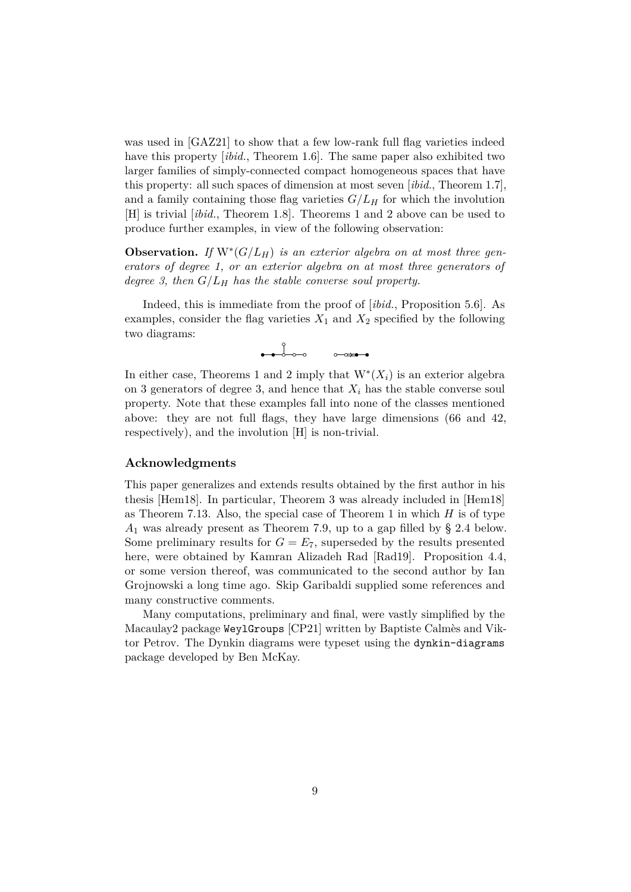was used in [\[GAZ21\]](#page-37-4) to show that a few low-rank full flag varieties indeed have this property *[ibid.*, Theorem 1.6]. The same paper also exhibited two larger families of simply-connected compact homogeneous spaces that have this property: all such spaces of dimension at most seven [*ibid.*, Theorem 1.7], and a family containing those flag varieties  $G/L_H$  for which the involution [H] is trivial [*ibid.*, Theorem 1.8]. [Theorems 1](#page-2-2) and [2](#page-3-0) above can be used to produce further examples, in view of the following observation:

**Observation.** If  $W^*(G/L_H)$  is an exterior algebra on at most three gen*erators of degree 1, or an exterior algebra on at most three generators of degree 3, then G/L<sup>H</sup> has the stable converse soul property.*

Indeed, this is immediate from the proof of [*ibid.*, Proposition 5.6]. As examples, consider the flag varieties  $X_1$  and  $X_2$  specified by the following two diagrams:

> $\bullet$   $\bullet$   $\circ$   $\circ$  $\circ \rightarrow \bullet \bullet$

In either case, [Theorems 1](#page-2-2) and [2](#page-3-0) imply that  $W^*(X_i)$  is an exterior algebra on 3 generators of degree 3, and hence that  $X_i$  has the stable converse soul property. Note that these examples fall into none of the classes mentioned above: they are not full flags, they have large dimensions (66 and 42, respectively), and the involution [H] is non-trivial.

#### **Acknowledgments**

This paper generalizes and extends results obtained by the first author in his thesis [\[Hem18\]](#page-38-4). In particular, [Theorem 3](#page-7-3) was already included in [\[Hem18\]](#page-38-4) as Theorem 7.13. Also, the special case of [Theorem 1](#page-2-2) in which *H* is of type *A*<sup>1</sup> was already present as Theorem 7.9, up to a gap filled by [§ 2.4](#page-16-0) below. Some preliminary results for  $G = E_7$ , superseded by the results presented here, were obtained by Kamran Alizadeh Rad [\[Rad19\]](#page-38-5). [Proposition 4.4,](#page-31-0) or some version thereof, was communicated to the second author by Ian Grojnowski a long time ago. Skip Garibaldi supplied some references and many constructive comments.

Many computations, preliminary and final, were vastly simplified by the Macaulay2 package WeylGroups [\[CP21\]](#page-37-5) written by Baptiste Calmès and Viktor Petrov. The Dynkin diagrams were typeset using the dynkin-diagrams package developed by Ben McKay.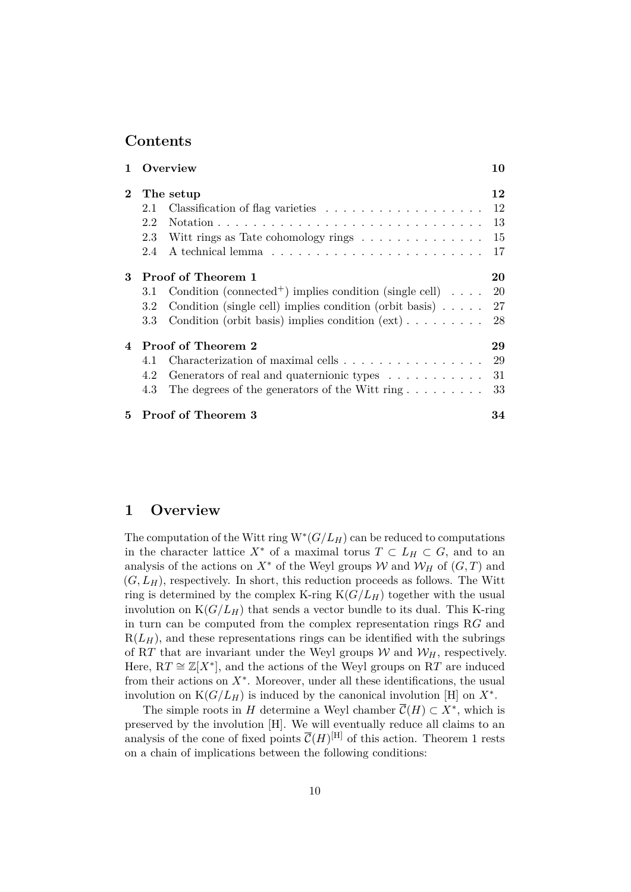# **Contents**

| 1              | Overview                                                                              | 10 |
|----------------|---------------------------------------------------------------------------------------|----|
| $\bf{2}$       | The setup                                                                             | 12 |
|                | 2.1                                                                                   | 12 |
|                | 2.2                                                                                   | 13 |
|                | 2.3<br>Witt rings as Tate cohomology rings $\dots \dots \dots \dots \dots$            | 15 |
|                | 2.4                                                                                   | 17 |
| 3              | <b>Proof of Theorem 1</b>                                                             | 20 |
|                | Condition (connected <sup>+</sup> ) implies condition (single cell) $\ldots$ .<br>3.1 | 20 |
|                | Condition (single cell) implies condition (orbit basis) $\ldots$ .<br>$3.2\,$         | 27 |
|                | Condition (orbit basis) implies condition $(\text{ext}) \dots \dots \dots$<br>3.3     | 28 |
| $\overline{4}$ | Proof of Theorem 2                                                                    | 29 |
|                | Characterization of maximal cells<br>4.1                                              | 29 |
|                | Generators of real and quaternionic types<br>4.2                                      | 31 |
|                | The degrees of the generators of the Witt ring $\dots \dots \dots$<br>4.3             | 33 |
| 5.             | <b>Proof of Theorem 3</b>                                                             | 34 |

# <span id="page-9-0"></span>**1 Overview**

The computation of the Witt ring  $W^*(G/L_H)$  can be reduced to computations in the character lattice  $X^*$  of a maximal torus  $T \subset L_H \subset G$ , and to an analysis of the actions on  $X^*$  of the Weyl groups W and  $W_H$  of  $(G, T)$  and  $(G, L_H)$ , respectively. In short, this reduction proceeds as follows. The Witt ring is determined by the complex K-ring  $K(G/L_H)$  together with the usual involution on  $K(G/L_H)$  that sends a vector bundle to its dual. This K-ring in turn can be computed from the complex representation rings R*G* and  $R(L_H)$ , and these representations rings can be identified with the subrings of RT that are invariant under the Weyl groups  $W$  and  $W_H$ , respectively. Here,  $RT \cong \mathbb{Z}[X^*]$ , and the actions of the Weyl groups on  $\overline{RT}$  are induced from their actions on  $X^*$ . Moreover, under all these identifications, the usual involution on  $K(G/L_H)$  is induced by the canonical involution [H] on  $X^*$ .

The simple roots in *H* determine a Weyl chamber  $\overline{\mathcal{C}}(H) \subset X^*$ , which is preserved by the involution [H]. We will eventually reduce all claims to an analysis of the cone of fixed points  $\overline{\mathcal{C}}(H)^{[H]}$  of this action. [Theorem 1](#page-2-2) rests on a chain of implications between the following conditions: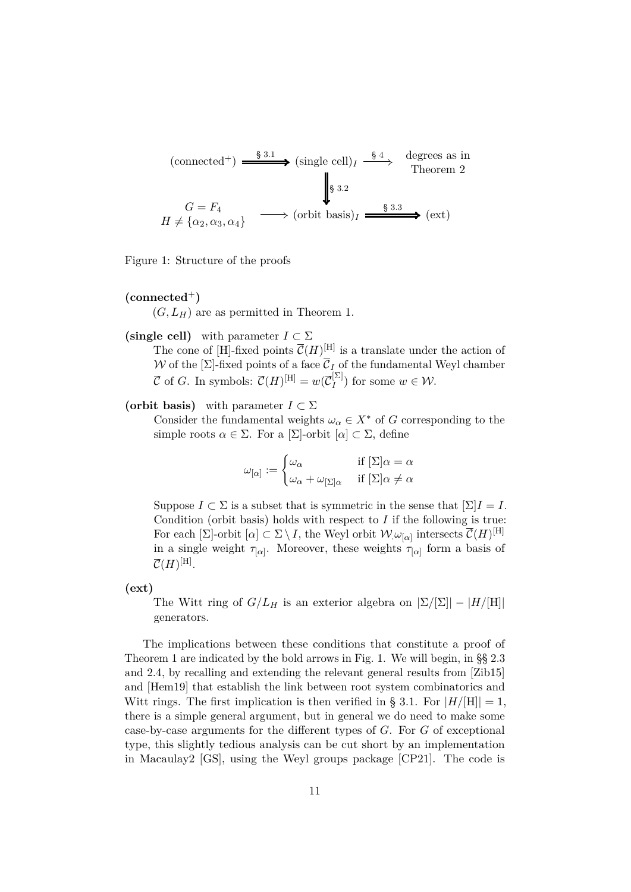<span id="page-10-4"></span>
$$
\begin{array}{ccc}\n\text{(connected+)} & \xrightarrow{\$ 3.1$} & \text{(single cell)}_I \xrightarrow{\$ 4$} & \text{degrees as in} \\
\downarrow \$ 3.2 & \xrightarrow{\$ 3.3$} & \text{(orbit basis)}_I \xrightarrow{\$ 3.3$} & \text{(ext)} \\
H \neq \{\alpha_2, \alpha_3, \alpha_4\} & \xrightarrow{\text{(orbit basis)}}_I \xrightarrow{\$ 3.3$} & \text{(ext)}\n\end{array}
$$

Figure 1: Structure of the proofs

## <span id="page-10-2"></span> $(connected<sup>+</sup>)$

 $(G, L_H)$  are as permitted in [Theorem 1.](#page-2-2)

## <span id="page-10-0"></span>**(single cell)** with parameter  $I \subset \Sigma$

The cone of [H]-fixed points  $\overline{\mathcal{C}}(H)^{[H]}$  is a translate under the action of W of the  $[\Sigma]$ -fixed points of a face  $\overline{C}_I$  of the fundamental Weyl chamber  $\overline{\mathcal{C}}$  of *G*. In symbols:  $\overline{\mathcal{C}}(H)^{[\text{H}]} = w(\overline{\mathcal{C}}_I^{[\Sigma]}$  $\binom{[2]}{I}$  for some  $w \in \mathcal{W}$ .

## <span id="page-10-1"></span>**(orbit basis)** with parameter  $I \subset \Sigma$

Consider the fundamental weights  $\omega_{\alpha} \in X^*$  of *G* corresponding to the simple roots  $\alpha \in \Sigma$ . For a  $[\Sigma]$ -orbit  $[\alpha] \subset \Sigma$ , define

$$
\omega_{[\alpha]} := \begin{cases} \omega_{\alpha} & \text{if } [\Sigma] \alpha = \alpha \\ \omega_{\alpha} + \omega_{[\Sigma] \alpha} & \text{if } [\Sigma] \alpha \neq \alpha \end{cases}
$$

Suppose  $I \subset \Sigma$  is a subset that is symmetric in the sense that  $[\Sigma]I = I$ . Condition [\(orbit basis\)](#page-10-1) holds with respect to *I* if the following is true: For each  $[\Sigma]$ -orbit  $[\alpha] \subset \Sigma \setminus I$ , the Weyl orbit  $\mathcal{W}_{\cdot} \omega_{[\alpha]}$  intersects  $\overline{\mathcal{C}}(H)^{[\Pi]}$ in a single weight  $\tau_{\alpha}$ . Moreover, these weights  $\tau_{\alpha}$  form a basis of  $\overline{\mathcal{C}}(H)^{[\mathrm{H}]} .$ 

<span id="page-10-3"></span>**(ext)**

The Witt ring of  $G/L_H$  is an exterior algebra on  $|\Sigma/[\Sigma]| - |H/[H]|$ generators.

The implications between these conditions that constitute a proof of [Theorem 1](#page-2-2) are indicated by the bold arrows in [Fig. 1.](#page-10-4) We will begin, in [§§ 2.3](#page-14-0) and [2.4,](#page-16-0) by recalling and extending the relevant general results from [\[Zib15\]](#page-39-1) and [\[Hem19\]](#page-38-1) that establish the link between root system combinatorics and Witt rings. The first implication is then verified in [§ 3.1.](#page-19-1) For  $|H/[\text{H}]| = 1$ , there is a simple general argument, but in general we do need to make some case-by-case arguments for the different types of *G*. For *G* of exceptional type, this slightly tedious analysis can be cut short by an implementation in Macaulay2 [\[GS\]](#page-38-6), using the Weyl groups package [\[CP21\]](#page-37-5). The code is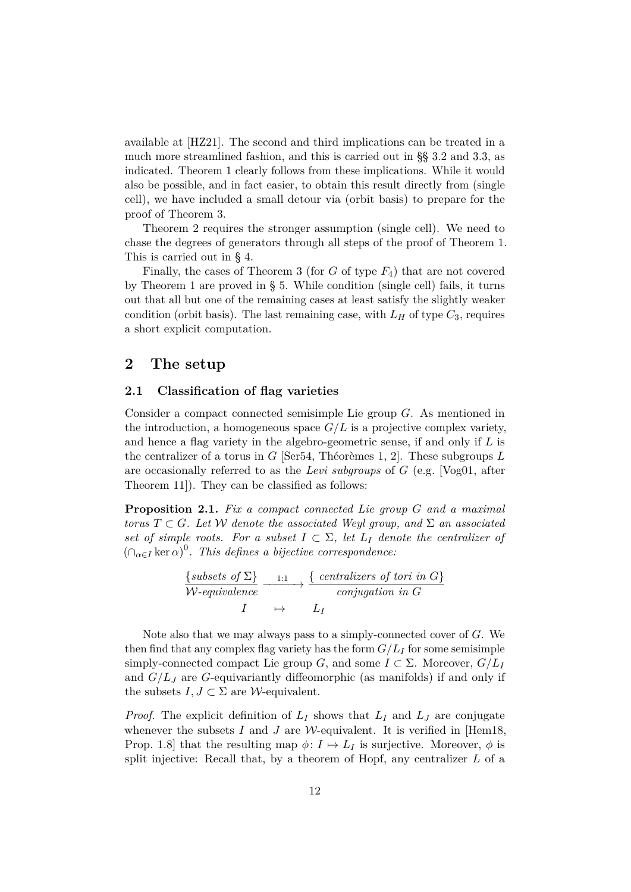available at [\[HZ21\]](#page-38-7). The second and third implications can be treated in a much more streamlined fashion, and this is carried out in [§§ 3.2](#page-26-0) and [3.3,](#page-27-0) as indicated. [Theorem 1](#page-2-2) clearly follows from these implications. While it would also be possible, and in fact easier, to obtain this result directly from [\(single](#page-10-0) [cell\),](#page-10-0) we have included a small detour via [\(orbit basis\)](#page-10-1) to prepare for the proof of [Theorem 3.](#page-7-3)

[Theorem 2](#page-3-0) requires the stronger assumption [\(single cell\).](#page-10-0) We need to chase the degrees of generators through all steps of the proof of [Theorem 1.](#page-2-2) This is carried out in [§ 4.](#page-28-0)

Finally, the cases of [Theorem 3](#page-7-3) (for *G* of type *F*4) that are not covered by [Theorem 1](#page-2-2) are proved in [§ 5.](#page-33-0) While condition [\(single cell\)](#page-10-0) fails, it turns out that all but one of the remaining cases at least satisfy the slightly weaker condition [\(orbit basis\).](#page-10-1) The last remaining case, with  $L_H$  of type  $C_3$ , requires a short explicit computation.

# <span id="page-11-1"></span>**2 The setup**

## <span id="page-11-2"></span>**2.1 Classification of flag varieties**

Consider a compact connected semisimple Lie group *G*. As mentioned in the introduction, a homogeneous space  $G/L$  is a projective complex variety, and hence a flag variety in the algebro-geometric sense, if and only if *L* is the centralizer of a torus in *G* [\[Ser54,](#page-38-8) Théorèmes 1, 2]. These subgroups *L* are occasionally referred to as the *Levi subgroups* of *G* (e.g. [\[Vog01,](#page-38-9) after Theorem 11]). They can be classified as follows:

<span id="page-11-0"></span>**Proposition 2.1.** *Fix a compact connected Lie group G and a maximal torus*  $T \subset G$ *. Let* W *denote the associated Weyl group, and*  $\Sigma$  *an associated set of simple roots. For a subset*  $I \subset \Sigma$ , let  $L_I$  denote the centralizer of  $(\bigcap_{\alpha \in I} \ker \alpha)^0$ . This defines a bijective correspondence:

$$
\frac{\{subsets of \Sigma\}}{W\text{-equivalence}} \xrightarrow{1:1} \frac{\{centralizers of tori in G\}}{\text{conjugation in } G}
$$

$$
I \qquad \mapsto \qquad L_I
$$

Note also that we may always pass to a simply-connected cover of *G*. We then find that any complex flag variety has the form  $G/L_I$  for some semisimple simply-connected compact Lie group *G*, and some  $I \subset \Sigma$ . Moreover,  $G/L_I$ and  $G/L_J$  are G-equivariantly diffeomorphic (as manifolds) if and only if the subsets  $I, J \subset \Sigma$  are *W*-equivalent.

*Proof.* The explicit definition of  $L_I$  shows that  $L_I$  and  $L_J$  are conjugate whenever the subsets  $I$  and  $J$  are  $W$ -equivalent. It is verified in [\[Hem18,](#page-38-4) Prop. 1.8] that the resulting map  $\phi: I \mapsto L_I$  is surjective. Moreover,  $\phi$  is split injective: Recall that, by a theorem of Hopf, any centralizer *L* of a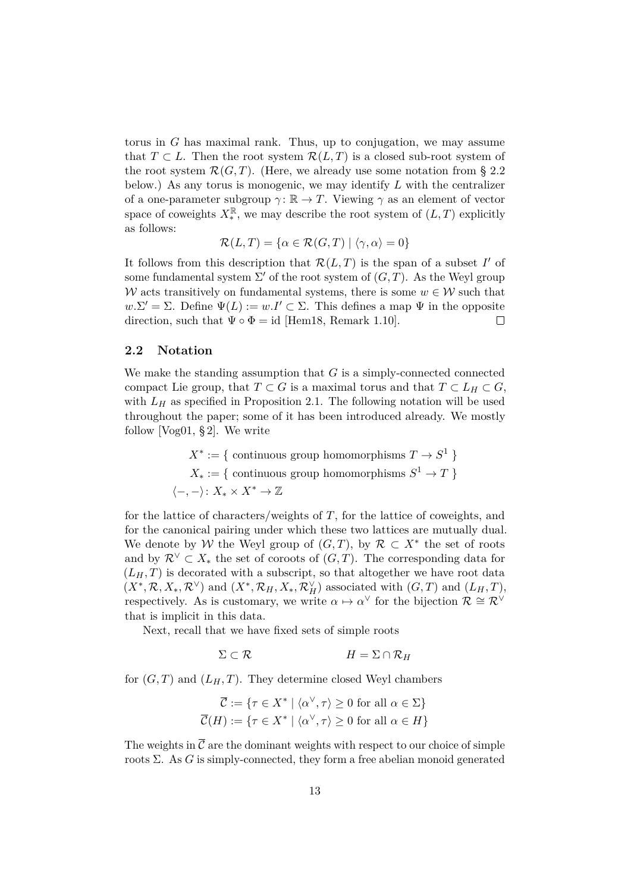torus in *G* has maximal rank. Thus, up to conjugation, we may assume that  $T \subset L$ . Then the root system  $\mathcal{R}(L,T)$  is a closed sub-root system of the root system  $\mathcal{R}(G,T)$ . (Here, we already use some notation from [§ 2.2](#page-12-0)) below.) As any torus is monogenic, we may identify *L* with the centralizer of a one-parameter subgroup  $\gamma: \mathbb{R} \to T$ . Viewing  $\gamma$  as an element of vector space of coweights  $X_*^{\mathbb{R}}$ , we may describe the root system of  $(L, T)$  explicitly as follows:

$$
\mathcal{R}(L,T) = \{ \alpha \in \mathcal{R}(G,T) \mid \langle \gamma, \alpha \rangle = 0 \}
$$

It follows from this description that  $\mathcal{R}(L,T)$  is the span of a subset  $I'$  of some fundamental system  $\Sigma'$  of the root system of  $(G, T)$ . As the Weyl group W acts transitively on fundamental systems, there is some  $w \in \mathcal{W}$  such that  $w.\Sigma' = \Sigma$ . Define  $\Psi(L) := w.I' \subset \Sigma$ . This defines a map  $\Psi$  in the opposite direction, such that  $\Psi \circ \Phi = id$  [\[Hem18,](#page-38-4) Remark 1.10].  $\Box$ 

## <span id="page-12-0"></span>**2.2 Notation**

We make the standing assumption that *G* is a simply-connected connected compact Lie group, that  $T \subset G$  is a maximal torus and that  $T \subset L_H \subset G$ , with  $L_H$  as specified in [Proposition 2.1.](#page-11-0) The following notation will be used throughout the paper; some of it has been introduced already. We mostly follow [\[Vog01,](#page-38-9) § 2]. We write

$$
X^* := \{ \text{ continuous group homomorphisms } T \to S^1 \}
$$
  

$$
X_* := \{ \text{ continuous group homomorphisms } S^1 \to T \}
$$
  

$$
\langle -, - \rangle: X_* \times X^* \to \mathbb{Z}
$$

for the lattice of characters/weights of *T*, for the lattice of coweights, and for the canonical pairing under which these two lattices are mutually dual. We denote by W the Weyl group of  $(G, T)$ , by  $\mathcal{R} \subset X^*$  the set of roots and by  $\mathcal{R}^{\vee} \subset X_*$  the set of coroots of  $(G, T)$ . The corresponding data for  $(L_H, T)$  is decorated with a subscript, so that altogether we have root data  $(X^*, \mathcal{R}, X_*, \mathcal{R}^{\vee})$  and  $(X^*, \mathcal{R}_H, X_*, \mathcal{R}_H^{\vee})$  associated with  $(G, T)$  and  $(L_H, T)$ , respectively. As is customary, we write  $\alpha \mapsto \alpha^{\vee}$  for the bijection  $\mathcal{R} \cong \mathcal{R}^{\vee}$ that is implicit in this data.

Next, recall that we have fixed sets of simple roots

$$
\Sigma \subset \mathcal{R} \qquad H = \Sigma \cap \mathcal{R}_H
$$

for  $(G, T)$  and  $(L_H, T)$ . They determine closed Weyl chambers

$$
\overline{\mathcal{C}} := \{ \tau \in X^* \mid \langle \alpha^\vee, \tau \rangle \ge 0 \text{ for all } \alpha \in \Sigma \}
$$

$$
\overline{\mathcal{C}}(H) := \{ \tau \in X^* \mid \langle \alpha^\vee, \tau \rangle \ge 0 \text{ for all } \alpha \in H \}
$$

The weights in  $\overline{\mathcal{C}}$  are the dominant weights with respect to our choice of simple roots Σ. As *G* is simply-connected, they form a free abelian monoid generated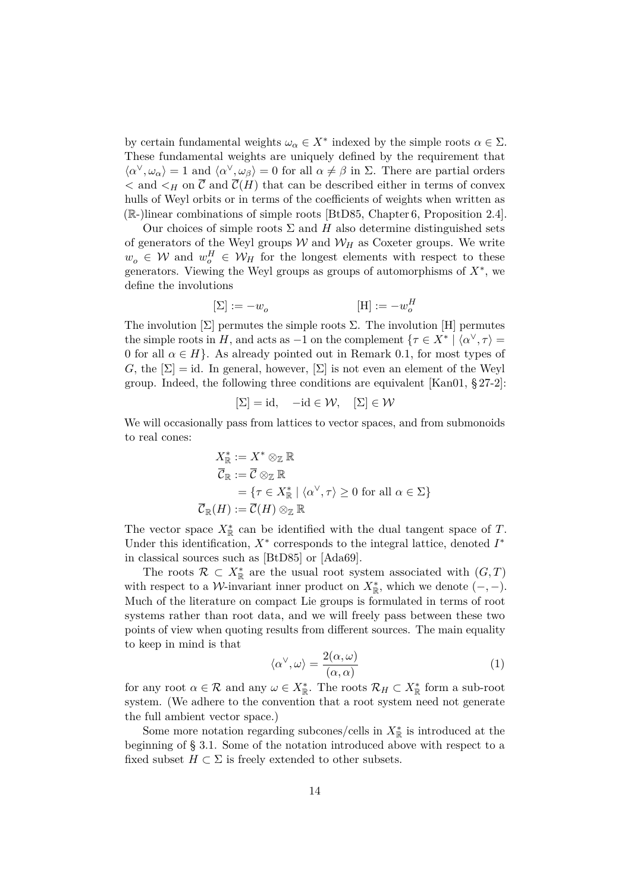by certain fundamental weights  $\omega_{\alpha} \in X^*$  indexed by the simple roots  $\alpha \in \Sigma$ . These fundamental weights are uniquely defined by the requirement that  $\langle \alpha^{\vee}, \omega_{\alpha} \rangle = 1$  and  $\langle \alpha^{\vee}, \omega_{\beta} \rangle = 0$  for all  $\alpha \neq \beta$  in  $\Sigma$ . There are partial orders  $\lt$  and  $\lt$ <sub>H</sub> on  $\overline{\mathcal{C}}$  and  $\overline{\mathcal{C}}(H)$  that can be described either in terms of convex hulls of Weyl orbits or in terms of the coefficients of weights when written as (R-)linear combinations of simple roots [\[BtD85,](#page-37-6) Chapter 6, Proposition 2.4].

Our choices of simple roots  $\Sigma$  and *H* also determine distinguished sets of generators of the Weyl groups  $W$  and  $W_H$  as Coxeter groups. We write  $w_o \in \mathcal{W}$  and  $w_o^H \in \mathcal{W}_H$  for the longest elements with respect to these generators. Viewing the Weyl groups as groups of automorphisms of  $X^*$ , we define the involutions

$$
[\Sigma]:=-w_o\qquad \qquad [\mathrm{H}]:=-w^H_o
$$

The involution  $[\Sigma]$  permutes the simple roots  $\Sigma$ . The involution  $[H]$  permutes the simple roots in *H*, and acts as  $-1$  on the complement  $\{\tau \in X^* \mid \langle \alpha^\vee, \tau \rangle =$ 0 for all  $\alpha \in H$ . As already pointed out in [Remark 0.1,](#page-1-1) for most types of *G*, the  $[\Sigma] = id$ . In general, however,  $[\Sigma]$  is not even an element of the Weyl group. Indeed, the following three conditions are equivalent  $[Kan 01, § 27-2]$ :

$$
[\Sigma] = id, \quad -id \in \mathcal{W}, \quad [\Sigma] \in \mathcal{W}
$$

We will occasionally pass from lattices to vector spaces, and from submonoids to real cones:

$$
X_{\mathbb{R}}^* := X^* \otimes_{\mathbb{Z}} \mathbb{R}
$$
  
\n
$$
\overline{C}_{\mathbb{R}} := \overline{C} \otimes_{\mathbb{Z}} \mathbb{R}
$$
  
\n
$$
= \{ \tau \in X_{\mathbb{R}}^* \mid \langle \alpha^\vee, \tau \rangle \ge 0 \text{ for all } \alpha \in \Sigma \}
$$
  
\n
$$
\overline{C}_{\mathbb{R}}(H) := \overline{C}(H) \otimes_{\mathbb{Z}} \mathbb{R}
$$

The vector space  $X^*_{\mathbb{R}}$  can be identified with the dual tangent space of *T*. Under this identification,  $X^*$  corresponds to the integral lattice, denoted  $I^*$ in classical sources such as [\[BtD85\]](#page-37-6) or [\[Ada69\]](#page-37-7).

The roots  $\mathcal{R} \subset X^*_{\mathbb{R}}$  are the usual root system associated with  $(G, T)$ with respect to a *W*-invariant inner product on  $X_{\mathbb{R}}^*$ , which we denote  $(-,-)$ . Much of the literature on compact Lie groups is formulated in terms of root systems rather than root data, and we will freely pass between these two points of view when quoting results from different sources. The main equality to keep in mind is that

<span id="page-13-0"></span>
$$
\langle \alpha^{\vee}, \omega \rangle = \frac{2(\alpha, \omega)}{(\alpha, \alpha)} \tag{1}
$$

for any root  $\alpha \in \mathcal{R}$  and any  $\omega \in X^*_{\mathbb{R}}$ . The roots  $\mathcal{R}_H \subset X^*_{\mathbb{R}}$  form a sub-root system. (We adhere to the convention that a root system need not generate the full ambient vector space.)

Some more notation regarding subcones/cells in  $X_{\mathbb{R}}^*$  is introduced at the beginning of [§ 3.1.](#page-19-1) Some of the notation introduced above with respect to a fixed subset  $H \subset \Sigma$  is freely extended to other subsets.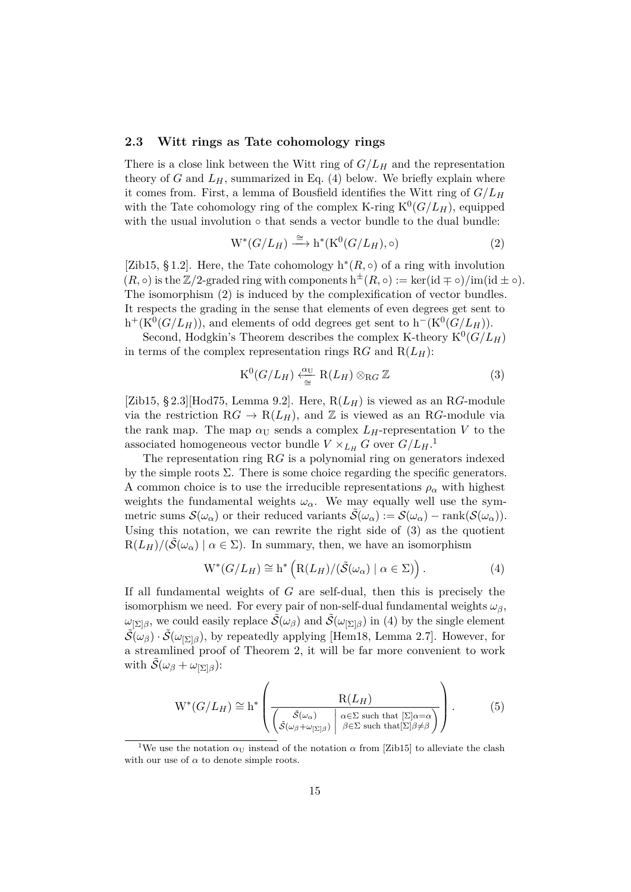#### <span id="page-14-0"></span>**2.3 Witt rings as Tate cohomology rings**

There is a close link between the Witt ring of *G/L<sup>H</sup>* and the representation theory of  $G$  and  $L_H$ , summarized in [Eq. \(4\)](#page-14-1) below. We briefly explain where it comes from. First, a lemma of Bousfield identifies the Witt ring of  $G/L_H$ with the Tate cohomology ring of the complex K-ring  $K^0(G/L_H)$ , equipped with the usual involution ◦ that sends a vector bundle to the dual bundle:

<span id="page-14-2"></span>
$$
W^*(G/L_H) \xrightarrow{\cong} h^*(K^0(G/L_H), \circ)
$$
\n(2)

[\[Zib15,](#page-39-1) §1.2]. Here, the Tate cohomology  $h^*(R, \circ)$  of a ring with involution  $(R, \circ)$  is the  $\mathbb{Z}/2$ -graded ring with components  $h^{\pm}(R, \circ) := \text{ker}(\text{id} \mp \circ)/\text{im}(\text{id} \pm \circ)$ . The isomorphism [\(2\)](#page-14-2) is induced by the complexification of vector bundles. It respects the grading in the sense that elements of even degrees get sent to  $h^+(K^0(G/L_H))$ , and elements of odd degrees get sent to  $h^-(K^0(G/L_H))$ .

Second, Hodgkin's Theorem describes the complex K-theory  $K^0(G/L_H)$ in terms of the complex representation rings R*G* and  $R(L_H)$ :

<span id="page-14-4"></span>
$$
K^0(G/L_H) \xleftarrow{\alpha_U} R(L_H) \otimes_{RG} \mathbb{Z}
$$
 (3)

[\[Zib15,](#page-39-1) § 2.3][\[Hod75,](#page-38-10) Lemma 9.2]. Here,  $R(L_H)$  is viewed as an R*G*-module via the restriction  $RG \to R(L_H)$ , and Z is viewed as an R*G*-module via the rank map. The map  $\alpha_U$  sends a complex  $L_H$ -representation V to the associated homogeneous vector bundle  $V \times_{L_H} G$  over  $G/L_H$ .<sup>[1](#page-14-3)</sup>

The representation ring R*G* is a polynomial ring on generators indexed by the simple roots  $\Sigma$ . There is some choice regarding the specific generators. A common choice is to use the irreducible representations  $\rho_{\alpha}$  with highest weights the fundamental weights  $\omega_{\alpha}$ . We may equally well use the symmetric sums  $\mathcal{S}(\omega_{\alpha})$  or their reduced variants  $\tilde{\mathcal{S}}(\omega_{\alpha}) := \mathcal{S}(\omega_{\alpha}) - \text{rank}(\mathcal{S}(\omega_{\alpha})).$ Using this notation, we can rewrite the right side of [\(3\)](#page-14-4) as the quotient  $R(L_H)/(\tilde{S}(\omega_\alpha) \mid \alpha \in \Sigma)$ . In summary, then, we have an isomorphism

<span id="page-14-1"></span>
$$
W^*(G/L_H) \cong h^*\left(R(L_H)/(\tilde{S}(\omega_\alpha) \mid \alpha \in \Sigma)\right). \tag{4}
$$

If all fundamental weights of *G* are self-dual, then this is precisely the isomorphism we need. For every pair of non-self-dual fundamental weights  $\omega_{\beta}$ , *ω*<sub>[Σ]*β*</sub>, we could easily replace  $\tilde{\mathcal{S}}(\omega_{\beta})$  and  $\tilde{\mathcal{S}}(\omega_{\text{Z}})$  in [\(4\)](#page-14-1) by the single element  $\tilde{\mathcal{S}}(\omega_{\beta}) \cdot \tilde{\mathcal{S}}(\omega_{\delta})$ , by repeatedly applying [\[Hem18,](#page-38-4) Lemma 2.7]. However, for a streamlined proof of [Theorem 2,](#page-3-0) it will be far more convenient to work with  $\tilde{S}(\omega_{\beta} + \omega_{\beta})$ :

<span id="page-14-5"></span>
$$
W^*(G/L_H) \cong h^*\left(\frac{R(L_H)}{\left(\frac{\tilde{S}(\omega_{\alpha})}{\tilde{S}(\omega_{\beta} + \omega_{[\Sigma]\beta})} \middle| \begin{array}{c} R(L_H) \\ \varphi \in \Sigma \text{ such that } [\Sigma] \alpha = \alpha \end{array}\right)}\right).
$$
(5)

<span id="page-14-3"></span><sup>&</sup>lt;sup>1</sup>We use the notation  $\alpha_U$  instead of the notation  $\alpha$  from [\[Zib15\]](#page-39-1) to alleviate the clash with our use of  $\alpha$  to denote simple roots.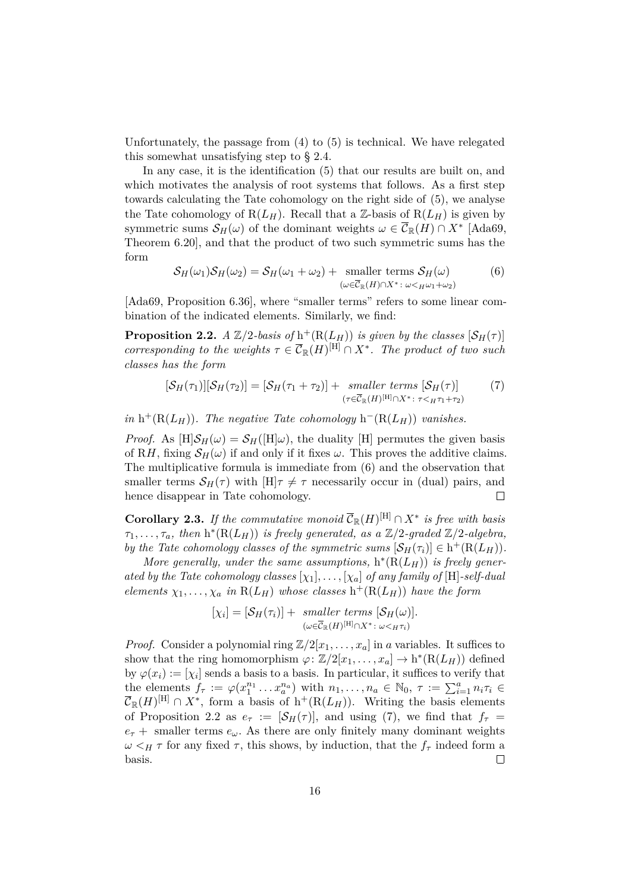Unfortunately, the passage from [\(4\)](#page-14-1) to [\(5\)](#page-14-5) is technical. We have relegated this somewhat unsatisfying step to [§ 2.4.](#page-16-0)

In any case, it is the identification [\(5\)](#page-14-5) that our results are built on, and which motivates the analysis of root systems that follows. As a first step towards calculating the Tate cohomology on the right side of [\(5\)](#page-14-5), we analyse the Tate cohomology of  $R(L_H)$ . Recall that a Z-basis of  $R(L_H)$  is given by symmetric sums  $\mathcal{S}_H(\omega)$  of the dominant weights  $\omega \in \overline{\mathcal{C}}_{\mathbb{R}}(H) \cap X^*$  [\[Ada69,](#page-37-7) Theorem 6.20], and that the product of two such symmetric sums has the form

<span id="page-15-0"></span>
$$
S_H(\omega_1)S_H(\omega_2) = S_H(\omega_1 + \omega_2) + \text{ smaller terms } S_H(\omega)
$$
  

$$
(\omega \in \overline{C}_{\mathbb{R}}(H) \cap X^* : \omega <_{H}\omega_1 + \omega_2)
$$
 (6)

[\[Ada69,](#page-37-7) Proposition 6.36], where "smaller terms" refers to some linear combination of the indicated elements. Similarly, we find:

<span id="page-15-1"></span>**Proposition 2.2.** *A*  $\mathbb{Z}/2$ -basis of  $h^+(R(L_H))$  is given by the classes  $[\mathcal{S}_H(\tau)]$ *corresponding to the weights*  $\tau \in \overline{\mathcal{C}}_{\mathbb{R}}(H)^{[\text{H}]} \cap X^*$ . The product of two such *classes has the form*

<span id="page-15-2"></span>
$$
[\mathcal{S}_H(\tau_1)][\mathcal{S}_H(\tau_2)] = [\mathcal{S}_H(\tau_1 + \tau_2)] + \text{ smaller terms } [\mathcal{S}_H(\tau)] \qquad (7)
$$
  

$$
(\tau \in \overline{\mathcal{C}}_{\mathbb{R}}(H)^{[H]} \cap X^* : \tau <_{H} \tau_1 + \tau_2)
$$

 $\int$ *in* h<sup>+</sup>(R(*LH*)). The negative Tate cohomology h<sup>-</sup>(R(*L<sub>H</sub>*)) *vanishes.* 

*Proof.* As  $[H]S_H(\omega) = S_H([H]\omega)$ , the duality [H] permutes the given basis of R*H*, fixing  $S_H(\omega)$  if and only if it fixes  $\omega$ . This proves the additive claims. The multiplicative formula is immediate from [\(6\)](#page-15-0) and the observation that smaller terms  $S_H(\tau)$  with  $[H]\tau \neq \tau$  necessarily occur in (dual) pairs, and hence disappear in Tate cohomology.  $\Box$ 

<span id="page-15-3"></span>**Corollary 2.3.** *If the commutative monoid*  $\overline{C}_{\mathbb{R}}(H)^{[H]} \cap X^*$  *is free with basis*  $\tau_1, \ldots, \tau_a$ , then  $h^*(R(L_H))$  *is freely generated, as a*  $\mathbb{Z}/2$ *-graded*  $\mathbb{Z}/2$ *-algebra, by the Tate cohomology classes of the symmetric sums*  $[\mathcal{S}_H(\tau_i)] \in h^+(R(L_H))$ *.* 

*More generally, under the same assumptions,*  $h^*(R(L_H))$  *is freely generated by the Tate cohomology classes* [*χ*1]*, . . . ,* [*χa*] *of any family of* [H]*-self-dual elements*  $\chi_1, \ldots, \chi_a$  *in*  $R(L_H)$  *whose classes*  $h^+(R(L_H))$  *have the form* 

$$
[\chi_i] = [\mathcal{S}_H(\tau_i)] + \text{ smaller terms } [\mathcal{S}_H(\omega)].
$$
  

$$
(\omega \in \overline{\mathcal{C}}_{\mathbb{R}}(H)^{[H]} \cap X^* : \omega <_{H} \tau_i)
$$

*Proof.* Consider a polynomial ring  $\mathbb{Z}/2[x_1, \ldots, x_a]$  in *a* variables. It suffices to show that the ring homomorphism  $\varphi: \mathbb{Z}/2[x_1, \ldots, x_a] \to h^*(R(L_H))$  defined by  $\varphi(x_i) := [\chi_i]$  sends a basis to a basis. In particular, it suffices to verify that the elements  $f_{\tau} := \varphi(x_1^{n_1} \dots x_a^{n_a})$  with  $n_1, \dots, n_a \in \mathbb{N}_0$ ,  $\tau := \sum_{i=1}^a n_i \tau_i \in$  $\overline{\mathcal{C}}_{\mathbb{R}}(H)^{[\text{H}]} \cap X^*$ , form a basis of  $h^+(\text{R}(L_H))$ . Writing the basis elements of [Proposition 2.2](#page-15-1) as  $e_{\tau} := [\mathcal{S}_H(\tau)],$  and using [\(7\)](#page-15-2), we find that  $f_{\tau} =$  $e_{\tau}$  + smaller terms  $e_{\omega}$ . As there are only finitely many dominant weights  $ω$  *<H τ* for any fixed *τ*, this shows, by induction, that the  $f<sub>τ</sub>$  indeed form a basis.  $\Box$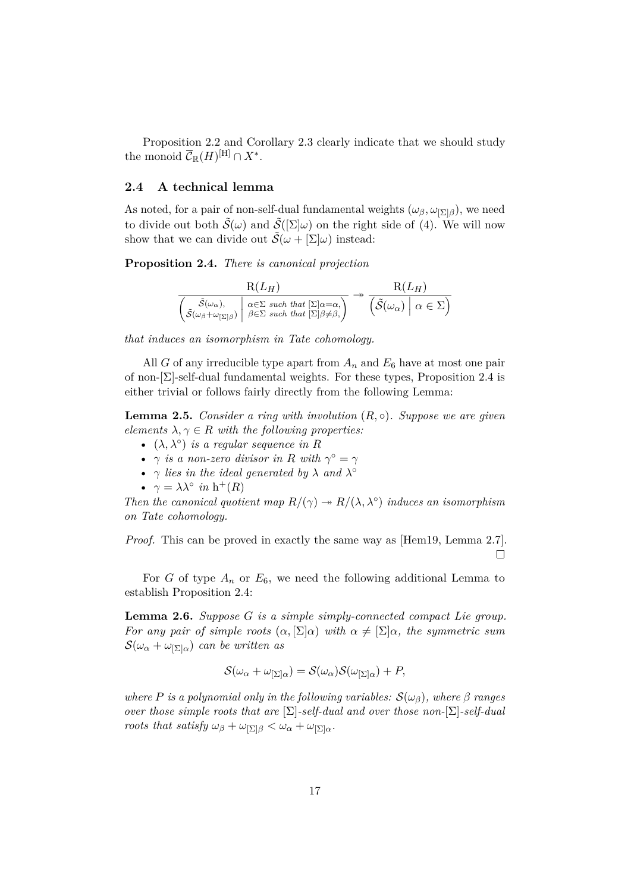[Proposition 2.2](#page-15-1) and [Corollary 2.3](#page-15-3) clearly indicate that we should study the monoid  $\overline{\mathcal{C}}_{\mathbb{R}}(H)^{[\text{H}]} \cap X^*$ .

## <span id="page-16-0"></span>**2.4 A technical lemma**

As noted, for a pair of non-self-dual fundamental weights  $(\omega_{\beta}, \omega_{[\Sigma]\beta})$ , we need to divide out both  $\tilde{\mathcal{S}}(\omega)$  and  $\tilde{\mathcal{S}}([\Sigma]\omega)$  on the right side of [\(4\)](#page-14-1). We will now show that we can divide out  $\tilde{\mathcal{S}}(\omega + [\Sigma]\omega)$  instead:

<span id="page-16-1"></span>**Proposition 2.4.** *There is canonical projection*

| $R(L_H)$                                                                                                                                                                                                                                                                                                              | $R(L_H)$                                                                 |  |
|-----------------------------------------------------------------------------------------------------------------------------------------------------------------------------------------------------------------------------------------------------------------------------------------------------------------------|--------------------------------------------------------------------------|--|
| $\left\{ \begin{aligned} &\tilde{\mathcal{S}}(\omega_{\alpha}), \\ &\tilde{\mathcal{S}}(\omega_{\beta} + \omega_{[\Sigma]\beta}) \end{aligned} \right\} \begin{matrix} \alpha \in \Sigma \text{ such that } [\Sigma] \alpha = \alpha, \\ \beta \in \Sigma \text{ such that } [\Sigma] \beta \neq \beta, \end{matrix}$ | $\left(\tilde{\mathcal{S}}(\omega_{\alpha})\bigm \alpha\in\Sigma\right)$ |  |

*that induces an isomorphism in Tate cohomology.*

All *G* of any irreducible type apart from  $A_n$  and  $E_6$  have at most one pair of non-[Σ]-self-dual fundamental weights. For these types, [Proposition 2.4](#page-16-1) is either trivial or follows fairly directly from the following Lemma:

<span id="page-16-3"></span>**Lemma 2.5.** *Consider a ring with involution*  $(R, \circ)$ *. Suppose we are given elements*  $\lambda, \gamma \in R$  *with the following properties:* 

- $(\lambda, \lambda^{\circ})$  *is a regular sequence in R*
- *γ is a non-zero divisor in R with*  $\gamma^{\circ} = \gamma$
- *γ lies in the ideal generated by λ and λ* ◦
- $\gamma = \lambda \lambda^{\circ}$  *in* h<sup>+</sup>(*R*)

*Then the canonical quotient map*  $R/(\gamma) \rightarrow R/(\lambda, \lambda^{\circ})$  *induces an isomorphism on Tate cohomology.*

*Proof.* This can be proved in exactly the same way as [\[Hem19,](#page-38-1) Lemma 2.7].  $\Box$ 

For *G* of type  $A_n$  or  $E_6$ , we need the following additional Lemma to establish [Proposition 2.4:](#page-16-1)

<span id="page-16-2"></span>**Lemma 2.6.** *Suppose G is a simple simply-connected compact Lie group. For any pair of simple roots*  $(\alpha, \Sigma | \alpha)$  *with*  $\alpha \neq [\Sigma | \alpha$ *, the symmetric sum*  $\mathcal{S}(\omega_{\alpha} + \omega_{\vert \Sigma \vert \alpha})$  *can be written as* 

$$
\mathcal{S}(\omega_{\alpha} + \omega_{|\Sigma| \alpha}) = \mathcal{S}(\omega_{\alpha}) \mathcal{S}(\omega_{|\Sigma| \alpha}) + P,
$$

*where P is a polynomial only in the following variables:*  $S(\omega_{\beta})$ *, where*  $\beta$  *ranges over those simple roots that are* [Σ]*-self-dual and over those non-*[Σ]*-self-dual roots that satisfy*  $\omega_{\beta} + \omega_{\beta} \leq \omega_{\alpha} + \omega_{\beta} \leq a$ .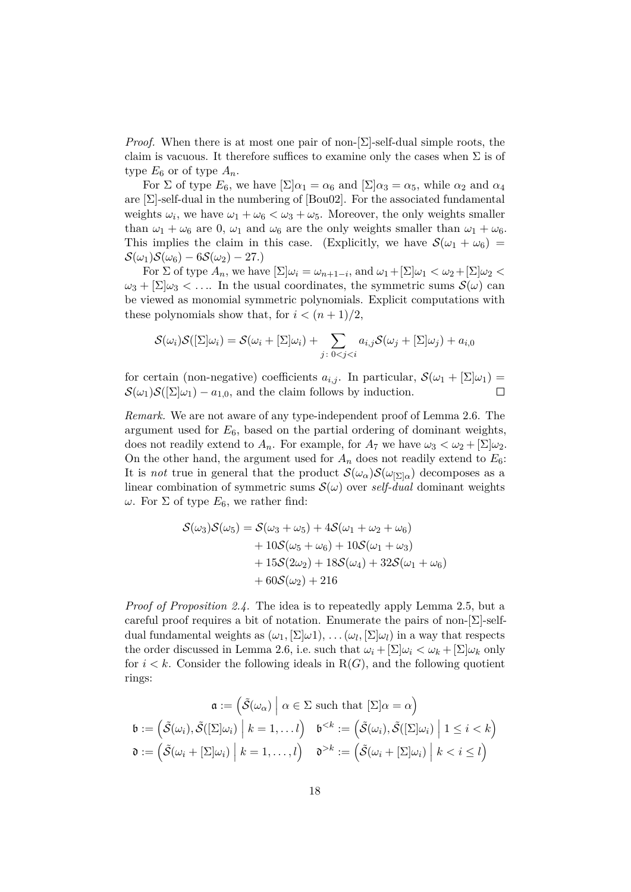*Proof.* When there is at most one pair of non- $[\Sigma]$ -self-dual simple roots, the claim is vacuous. It therefore suffices to examine only the cases when  $\Sigma$  is of type  $E_6$  or of type  $A_n$ .

For  $\Sigma$  of type  $E_6$ , we have  $[\Sigma] \alpha_1 = \alpha_6$  and  $[\Sigma] \alpha_3 = \alpha_5$ , while  $\alpha_2$  and  $\alpha_4$ are  $[\Sigma]$ -self-dual in the numbering of  $[Bou02]$ . For the associated fundamental weights  $\omega_i$ , we have  $\omega_1 + \omega_6 < \omega_3 + \omega_5$ . Moreover, the only weights smaller than  $\omega_1 + \omega_6$  are 0,  $\omega_1$  and  $\omega_6$  are the only weights smaller than  $\omega_1 + \omega_6$ . This implies the claim in this case. (Explicitly, we have  $S(\omega_1 + \omega_6)$ )  $\mathcal{S}(\omega_1)\mathcal{S}(\omega_6) - 6\mathcal{S}(\omega_2) - 27.$ 

For  $\Sigma$  of type  $A_n$ , we have  $[\Sigma] \omega_i = \omega_{n+1-i}$ , and  $\omega_1 + [\Sigma] \omega_1 < \omega_2 + [\Sigma] \omega_2 <$  $\omega_3 + [\Sigma]\omega_3 < \dots$  In the usual coordinates, the symmetric sums  $\mathcal{S}(\omega)$  can be viewed as monomial symmetric polynomials. Explicit computations with these polynomials show that, for  $i < (n+1)/2$ ,

$$
\mathcal{S}(\omega_i)\mathcal{S}([\Sigma]\omega_i) = \mathcal{S}(\omega_i + [\Sigma]\omega_i) + \sum_{j\colon 0 < j < i} a_{i,j}\mathcal{S}(\omega_j + [\Sigma]\omega_j) + a_{i,0}
$$

for certain (non-negative) coefficients  $a_{i,j}$ . In particular,  $\mathcal{S}(\omega_1 + [\Sigma]\omega_1) =$  $\mathcal{S}(\omega_1)\mathcal{S}([\Sigma]\omega_1) - a_{1,0}$ , and the claim follows by induction.  $\Box$ 

*Remark.* We are not aware of any type-independent proof of [Lemma 2.6.](#page-16-2) The argument used for *E*6, based on the partial ordering of dominant weights, does not readily extend to  $A_n$ . For example, for  $A_7$  we have  $\omega_3 < \omega_2 + [\Sigma]\omega_2$ . On the other hand, the argument used for  $A_n$  does not readily extend to  $E_6$ : It is *not* true in general that the product  $\mathcal{S}(\omega_{\alpha})\mathcal{S}(\omega_{\Sigma|\alpha})$  decomposes as a linear combination of symmetric sums  $\mathcal{S}(\omega)$  over *self-dual* dominant weights *ω*. For  $\Sigma$  of type  $E_6$ , we rather find:

$$
S(\omega_3)S(\omega_5) = S(\omega_3 + \omega_5) + 4S(\omega_1 + \omega_2 + \omega_6)
$$
  
+ 10S(\omega\_5 + \omega\_6) + 10S(\omega\_1 + \omega\_3)  
+ 15S(2\omega\_2) + 18S(\omega\_4) + 32S(\omega\_1 + \omega\_6)  
+ 60S(\omega\_2) + 216

*Proof of [Proposition 2.4.](#page-16-1)* The idea is to repeatedly apply [Lemma 2.5,](#page-16-3) but a careful proof requires a bit of notation. Enumerate the pairs of non- $[\Sigma]$ -selfdual fundamental weights as  $(\omega_1, [\Sigma] \omega_1), \ldots, (\omega_l, [\Sigma] \omega_l)$  in a way that respects the order discussed in [Lemma 2.6,](#page-16-2) i.e. such that  $\omega_i + [\Sigma] \omega_i < \omega_k + [\Sigma] \omega_k$  only for  $i < k$ . Consider the following ideals in  $R(G)$ , and the following quotient rings:

$$
\mathfrak{a} := \left( \tilde{\mathcal{S}}(\omega_{\alpha}) \middle| \alpha \in \Sigma \text{ such that } [\Sigma] \alpha = \alpha \right)
$$

$$
\mathfrak{b} := \left( \tilde{\mathcal{S}}(\omega_i), \tilde{\mathcal{S}}([\Sigma] \omega_i) \middle| k = 1, \dots l \right) \quad \mathfrak{b}^{< k} := \left( \tilde{\mathcal{S}}(\omega_i), \tilde{\mathcal{S}}([\Sigma] \omega_i) \middle| 1 \leq i < k \right)
$$

$$
\mathfrak{d} := \left( \tilde{\mathcal{S}}(\omega_i + [\Sigma] \omega_i) \middle| k = 1, \dots, l \right) \quad \mathfrak{d}^{> k} := \left( \tilde{\mathcal{S}}(\omega_i + [\Sigma] \omega_i) \middle| k < i \leq l \right)
$$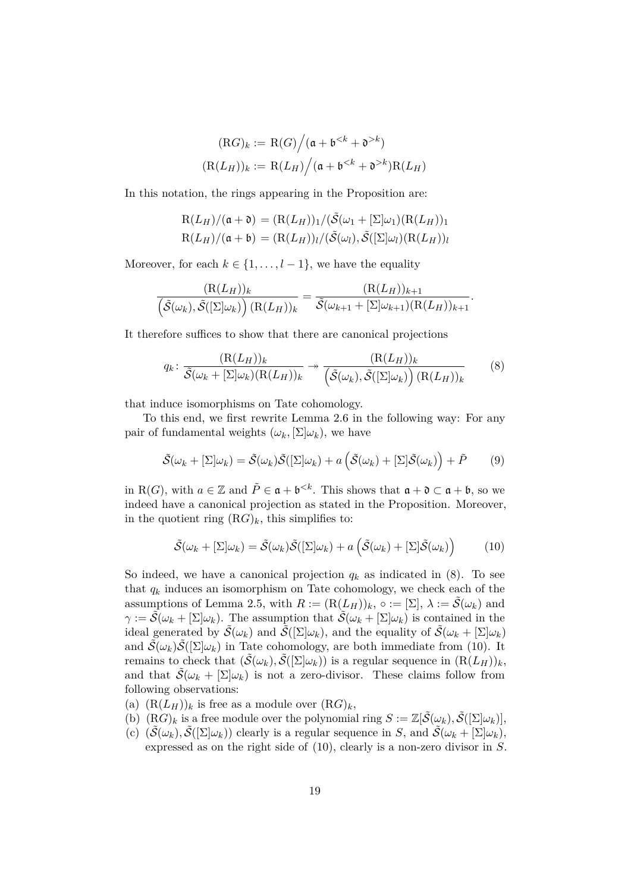$$
(\mathrm{R}G)_k := \mathrm{R}(G) \Big/ (\mathfrak{a} + \mathfrak{b}^{< k} + \mathfrak{d}^{> k})
$$

$$
(\mathrm{R}(L_H))_k := \mathrm{R}(L_H) \Big/ (\mathfrak{a} + \mathfrak{b}^{< k} + \mathfrak{d}^{> k}) \mathrm{R}(L_H)
$$

In this notation, the rings appearing in the Proposition are:

$$
R(L_H)/(\mathfrak{a} + \mathfrak{d}) = (R(L_H))_1/(\tilde{S}(\omega_1 + [\Sigma]\omega_1)(R(L_H))_1
$$
  
 
$$
R(L_H)/(\mathfrak{a} + \mathfrak{b}) = (R(L_H))_l/(\tilde{S}(\omega_l), \tilde{S}([\Sigma]\omega_l)(R(L_H))_l
$$

Moreover, for each  $k \in \{1, \ldots, l-1\}$ , we have the equality

$$
\frac{(\mathrm{R}(L_H))_k}{\left(\tilde{\mathcal{S}}(\omega_k), \tilde{\mathcal{S}}([\Sigma]\omega_k)\right)(\mathrm{R}(L_H))_k} = \frac{(\mathrm{R}(L_H))_{k+1}}{\tilde{\mathcal{S}}(\omega_{k+1} + [\Sigma]\omega_{k+1})(\mathrm{R}(L_H))_{k+1}}.
$$

It therefore suffices to show that there are canonical projections

<span id="page-18-0"></span>
$$
q_k \colon \frac{(\mathcal{R}(L_H))_k}{\tilde{\mathcal{S}}(\omega_k + [\Sigma] \omega_k)(\mathcal{R}(L_H))_k} \to \frac{(\mathcal{R}(L_H))_k}{\left(\tilde{\mathcal{S}}(\omega_k), \tilde{\mathcal{S}}([\Sigma] \omega_k)\right)(\mathcal{R}(L_H))_k} \tag{8}
$$

that induce isomorphisms on Tate cohomology.

To this end, we first rewrite [Lemma 2.6](#page-16-2) in the following way: For any pair of fundamental weights  $(\omega_k, [\Sigma] \omega_k)$ , we have

<span id="page-18-2"></span>
$$
\tilde{\mathcal{S}}(\omega_k + [\Sigma]\omega_k) = \tilde{\mathcal{S}}(\omega_k)\tilde{\mathcal{S}}([\Sigma]\omega_k) + a\left(\tilde{\mathcal{S}}(\omega_k) + [\Sigma]\tilde{\mathcal{S}}(\omega_k)\right) + \tilde{P}
$$
(9)

in R(*G*), with  $a \in \mathbb{Z}$  and  $\tilde{P} \in \mathfrak{a} + \mathfrak{b}^{< k}$ . This shows that  $\mathfrak{a} + \mathfrak{d} \subset \mathfrak{a} + \mathfrak{b}$ , so we indeed have a canonical projection as stated in the Proposition. Moreover, in the quotient ring  $(RG)_k$ , this simplifies to:

<span id="page-18-1"></span>
$$
\tilde{S}(\omega_k + [\Sigma]\omega_k) = \tilde{S}(\omega_k)\tilde{S}([\Sigma]\omega_k) + a\left(\tilde{S}(\omega_k) + [\Sigma]\tilde{S}(\omega_k)\right) \tag{10}
$$

So indeed, we have a canonical projection  $q_k$  as indicated in  $(8)$ . To see that  $q_k$  induces an isomorphism on Tate cohomology, we check each of the assumptions of [Lemma 2.5,](#page-16-3) with  $R := (R(L_H))_k$ ,  $\circ := [\Sigma], \lambda := \tilde{\mathcal{S}}(\omega_k)$  and  $\gamma := \tilde{\mathcal{S}}(\omega_k + [\Sigma] \omega_k)$ . The assumption that  $\tilde{\mathcal{S}}(\omega_k + [\Sigma] \omega_k)$  is contained in the ideal generated by  $\tilde{S}(\omega_k)$  and  $\tilde{S}([\Sigma]\omega_k)$ , and the equality of  $\tilde{S}(\omega_k + [\Sigma]\omega_k)$ and  $\tilde{\mathcal{S}}(\omega_k)\tilde{\mathcal{S}}([\Sigma]\omega_k)$  in Tate cohomology, are both immediate from [\(10\)](#page-18-1). It remains to check that  $(\tilde{S}(\omega_k), \tilde{S}([\Sigma|\omega_k))$  is a regular sequence in  $(R(L_H))_k$ , and that  $\mathcal{S}(\omega_k + [\Sigma]\omega_k)$  is not a zero-divisor. These claims follow from following observations:

- (a)  $(R(L_H))_k$  is free as a module over  $(RG)_k$ ,
- (b)  $(RG)_k$  is a free module over the polynomial ring  $S := \mathbb{Z}[\tilde{\mathcal{S}}(\omega_k), \tilde{\mathcal{S}}([\Sigma|\omega_k)],$
- (c)  $(\tilde{\mathcal{S}}(\omega_k), \tilde{\mathcal{S}}([\Sigma|\omega_k))$  clearly is a regular sequence in *S*, and  $\tilde{\mathcal{S}}(\omega_k + [\Sigma|\omega_k),$ expressed as on the right side of [\(10\)](#page-18-1), clearly is a non-zero divisor in *S*.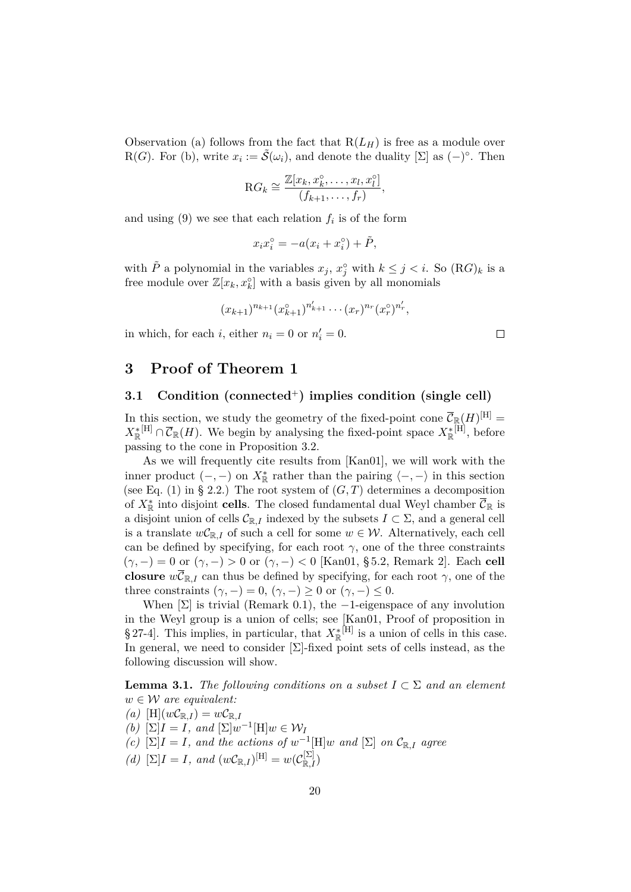Observation (a) follows from the fact that  $R(L_H)$  is free as a module over R(*G*). For (b), write  $x_i := \tilde{S}(\omega_i)$ , and denote the duality [ $\Sigma$ ] as  $(-)^{\circ}$ . Then

$$
\mathrm{R}G_k \cong \frac{\mathbb{Z}[x_k, x_k^{\circ}, \dots, x_l, x_l^{\circ}]}{(f_{k+1}, \dots, f_r)},
$$

and using  $(9)$  we see that each relation  $f_i$  is of the form

$$
x_i x_i^{\circ} = -a(x_i + x_i^{\circ}) + \tilde{P},
$$

with  $\tilde{P}$  a polynomial in the variables  $x_j$ ,  $x_j^{\circ}$  with  $k \leq j < i$ . So  $(\mathbb{R}G)_k$  is a free module over  $\mathbb{Z}[x_k, x_k^{\circ}]$  with a basis given by all monomials

$$
(x_{k+1})^{n_{k+1}}(x_{k+1}^{\circ})^{n'_{k+1}}\cdots (x_{r})^{n_{r}}(x_{r}^{\circ})^{n'_{r}},
$$

in which, for each *i*, either  $n_i = 0$  or  $n'_i = 0$ .

# <span id="page-19-0"></span>**3 Proof of [Theorem 1](#page-2-2)**

## <span id="page-19-1"></span>**3.1 Condition [\(connected](#page-10-2)**<sup>+</sup>**) implies condition [\(single cell\)](#page-10-0)**

In this section, we study the geometry of the fixed-point cone  $\overline{\mathcal{C}}_{\mathbb{R}}(H)^{[\mathrm{H}]}$  $X^*_{\mathbb{R}}[H] \cap \overline{\mathcal{C}}_{\mathbb{R}}(H)$ . We begin by analysing the fixed-point space  $X^*_{\mathbb{R}}[H]$ , before passing to the cone in [Proposition 3.2.](#page-20-0)

As we will frequently cite results from [\[Kan01\]](#page-38-0), we will work with the inner product  $(-,-)$  on  $X_{\mathbb{R}}^*$  rather than the pairing  $\langle -, - \rangle$  in this section (see [Eq. \(1\)](#page-13-0) in [§ 2.2.](#page-12-0)) The root system of  $(G, T)$  determines a decomposition of  $X^*_{\mathbb{R}}$  into disjoint **cells**. The closed fundamental dual Weyl chamber  $\overline{\mathcal{C}}_{\mathbb{R}}$  is a disjoint union of cells  $\mathcal{C}_{\mathbb{R},I}$  indexed by the subsets  $I \subset \Sigma$ , and a general cell is a translate  $wC_{\mathbb{R},I}$  of such a cell for some  $w \in \mathcal{W}$ . Alternatively, each cell can be defined by specifying, for each root  $\gamma$ , one of the three constraints  $(\gamma, -) = 0$  or  $(\gamma, -) > 0$  or  $(\gamma, -) < 0$  [\[Kan01,](#page-38-0) § 5.2, Remark 2]. Each cell **closure**  $w\overline{\mathcal{C}}_{\mathbb{R},I}$  can thus be defined by specifying, for each root  $\gamma$ , one of the three constraints  $(\gamma, -) = 0$ ,  $(\gamma, -) \geq 0$  or  $(\gamma, -) \leq 0$ .

When  $[\Sigma]$  is trivial [\(Remark 0.1\)](#page-1-1), the -1-eigenspace of any involution in the Weyl group is a union of cells; see [\[Kan01,](#page-38-0) Proof of proposition in § 27-4. This implies, in particular, that  $X_{\mathbb{R}}^*$ <sup>[H]</sup> is a union of cells in this case. In general, we need to consider [Σ]-fixed point sets of cells instead, as the following discussion will show.

<span id="page-19-2"></span>**Lemma 3.1.** *The following conditions on a subset*  $I \subset \Sigma$  *and an element*  $w \in \mathcal{W}$  *are equivalent:* 

- $(a)$  [H] $(wC_{\mathbb{R},I}) = wC_{\mathbb{R},I}$
- *(b)*  $[\Sigma]I = I$ *, and*  $[\Sigma]w^{-1}[\text{H}]w \in W_I$
- *(c)*  $[\Sigma]I = I$ *, and the actions of*  $w^{-1}[\text{H}]w$  *and*  $[\Sigma]$  *on*  $\mathcal{C}_{\mathbb{R},I}$  *agree*
- $(d) \left[ \Sigma \right] I = I$ *, and*  $(wC_{\mathbb{R},I})^{[\mathbf{H}]} = w(C_{\mathbb{R},I}^{[\Sigma]})$

 $\Box$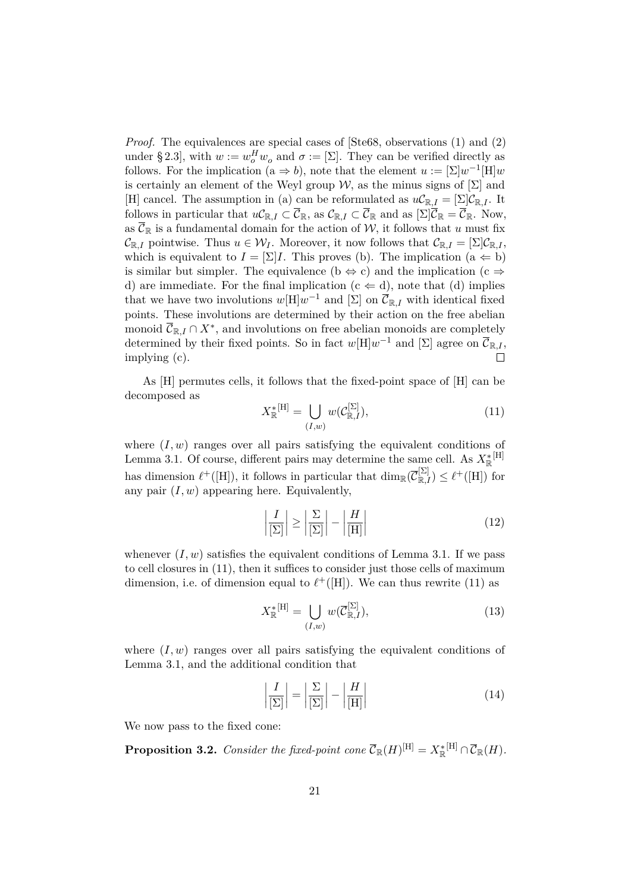*Proof.* The equivalences are special cases of [\[Ste68,](#page-38-11) observations (1) and (2) under § 2.3], with  $w := w_o^H w_o$  and  $\sigma := [\Sigma]$ . They can be verified directly as follows. For the implication (a  $\Rightarrow$  *b*), note that the element  $u := \left[\sum |w^{-1}|\text{H}\right]w$ is certainly an element of the Weyl group W, as the minus signs of  $[\Sigma]$  and [H] cancel. The assumption in (a) can be reformulated as  $uC_{\mathbb{R},I} = \left[\sum C_{\mathbb{R},I}\right]$ . It follows in particular that  $uC_{\mathbb{R},I} \subset \overline{C}_{\mathbb{R}}$ , as  $C_{\mathbb{R},I} \subset \overline{C}_{\mathbb{R}}$  and as  $[\Sigma]\overline{C}_{\mathbb{R}} = \overline{C}_{\mathbb{R}}$ . Now, as  $\overline{\mathcal{C}}_{\mathbb{R}}$  is a fundamental domain for the action of W, it follows that *u* must fix  $\mathcal{C}_{\mathbb{R},I}$  pointwise. Thus  $u \in \mathcal{W}_I$ . Moreover, it now follows that  $\mathcal{C}_{\mathbb{R},I} = [\Sigma] \mathcal{C}_{\mathbb{R},I}$ , which is equivalent to  $I = \sum I$ . This proves (b). The implication (a  $\Leftarrow$  b) is similar but simpler. The equivalence (b  $\Leftrightarrow$  c) and the implication (c  $\Rightarrow$ d) are immediate. For the final implication  $(c \Leftarrow d)$ , note that (d) implies that we have two involutions  $w[H]w^{-1}$  and  $[\Sigma]$  on  $\overline{\mathcal{C}}_{\mathbb{R},I}$  with identical fixed points. These involutions are determined by their action on the free abelian monoid  $\overline{\mathcal{C}}_{\mathbb{R},I} \cap X^*$ , and involutions on free abelian monoids are completely determined by their fixed points. So in fact  $w[H]w^{-1}$  and  $[\Sigma]$  agree on  $\overline{\mathcal{C}}_{\mathbb{R},I}$ , implying (c).  $\Box$ 

As [H] permutes cells, it follows that the fixed-point space of [H] can be decomposed as

<span id="page-20-1"></span>
$$
X_{\mathbb{R}}^{*}[H] = \bigcup_{(I,w)} w(C_{\mathbb{R},I}^{[\Sigma]}),
$$
\n(11)

where  $(I, w)$  ranges over all pairs satisfying the equivalent conditions of [Lemma 3.1.](#page-19-2) Of course, different pairs may determine the same cell. As  $X_{\mathbb{R}}^*$ <sup>[H]</sup> has dimension  $\ell^+([H])$ , it follows in particular that  $\dim_{\mathbb{R}}(\overline{\mathcal{C}}_{\mathbb{R},I}^{[\Sigma]}) \leq \ell^+([H])$  for any pair  $(I, w)$  appearing here. Equivalently,

<span id="page-20-4"></span>
$$
\left|\frac{I}{\left[\Sigma\right]}\right| \ge \left|\frac{\Sigma}{\left[\Sigma\right]}\right| - \left|\frac{H}{\left[H\right]}\right| \tag{12}
$$

whenever  $(I, w)$  satisfies the equivalent conditions of [Lemma 3.1.](#page-19-2) If we pass to cell closures in [\(11\)](#page-20-1), then it suffices to consider just those cells of maximum dimension, i.e. of dimension equal to  $\ell^+([H])$ . We can thus rewrite [\(11\)](#page-20-1) as

<span id="page-20-3"></span>
$$
X_{\mathbb{R}}^*^{[\mathrm{H}]} = \bigcup_{(I,w)} w(\overline{\mathcal{C}}_{\mathbb{R},I}^{[\Sigma]}),\tag{13}
$$

where  $(I, w)$  ranges over all pairs satisfying the equivalent conditions of [Lemma 3.1,](#page-19-2) and the additional condition that

<span id="page-20-2"></span>
$$
\left|\frac{I}{\left[\Sigma\right]}\right| = \left|\frac{\Sigma}{\left[\Sigma\right]}\right| - \left|\frac{H}{\left[H\right]}\right| \tag{14}
$$

<span id="page-20-0"></span>We now pass to the fixed cone:

**Proposition 3.2.** *Consider the fixed-point cone*  $\overline{\mathcal{C}}_{\mathbb{R}}(H)^{[\text{H}]} = X^*_{\mathbb{R}}^{[\text{H}]} \cap \overline{\mathcal{C}}_{\mathbb{R}}(H)$ .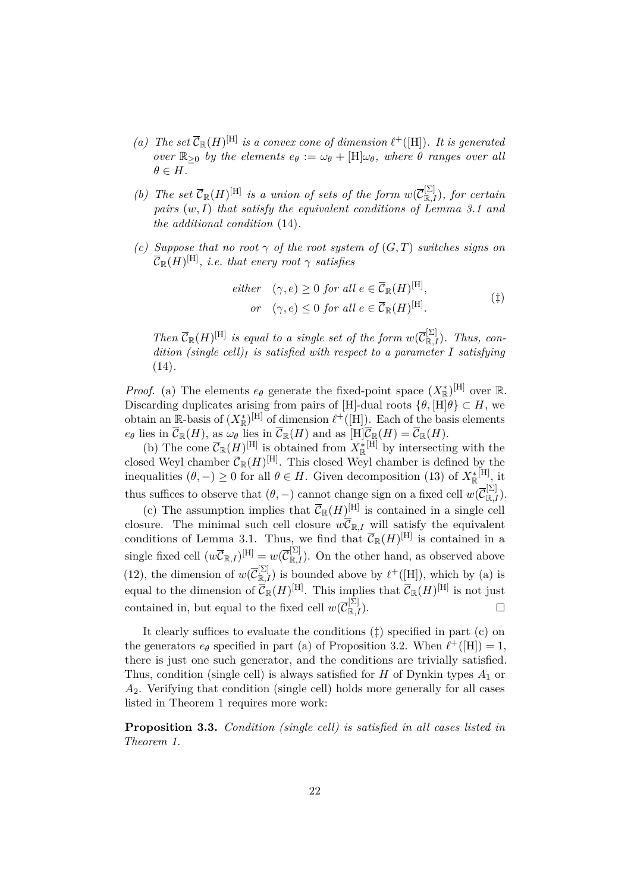- *(a)* The set  $\overline{\mathcal{C}}_{\mathbb{R}}(H)^{[\text{H}]}$  is a convex cone of dimension  $\ell^+([\text{H}])$ . It is generated *over*  $\mathbb{R}_{\geq 0}$  *by the elements*  $e_{\theta} := \omega_{\theta} + [\text{H}]\omega_{\theta}$ *, where*  $\theta$  *ranges over all*  $\theta \in H$ *.*
- *(b) The set*  $\overline{\mathcal{C}}_{\mathbb{R}}(H)^{[\text{H}]}$  *is a union of sets of the form*  $w(\overline{\mathcal{C}}_{\mathbb{R},I}^{[\Sigma]})$ *, for certain pairs* (*w, I*) *that satisfy the equivalent conditions of [Lemma 3.1](#page-19-2) and the additional condition* [\(14\)](#page-20-2)*.*
- *(c) Suppose that no root*  $\gamma$  *of the root system of*  $(G, T)$  *switches signs on*  $\overline{\mathcal{C}}_{\mathbb{R}}(H)^{[\mathrm{H}]},$  *i.e. that every root*  $\gamma$  *satisfies*

<span id="page-21-1"></span><span id="page-21-0"></span>*either* 
$$
(\gamma, e) \ge 0
$$
 *for all*  $e \in \overline{C}_{\mathbb{R}}(H)^{[\text{H}]},$   
*or*  $(\gamma, e) \le 0$  *for all*  $e \in \overline{C}_{\mathbb{R}}(H)^{[\text{H}]}.$  (†)

*Then*  $\overline{\mathcal{C}}_{\mathbb{R}}(H)^{[\text{H}]}$  *is equal to a single set of the form*  $w(\overline{\mathcal{C}}_{\mathbb{R},I}^{[\Sigma]})$ *. Thus, condition [\(single cell\)](#page-10-0)<sup>I</sup> is satisfied with respect to a parameter I satisfying* [\(14\)](#page-20-2)*.*

*Proof.* (a) The elements  $e_{\theta}$  generate the fixed-point space  $(X_{\mathbb{R}}^*)^{\text{[H]}}$  over  $\mathbb{R}$ . Discarding duplicates arising from pairs of [H]-dual roots  $\{\theta, [\text{H}]\theta\} \subset H$ , we obtain an R-basis of  $(X^*_{\mathbb{R}})^{[H]}$  of dimension  $\ell^+([H])$ . Each of the basis elements  $e_{\theta}$  lies in  $\mathcal{C}_{\mathbb{R}}(H)$ , as  $\omega_{\theta}$  lies in  $\mathcal{C}_{\mathbb{R}}(H)$  and as  $[H]\mathcal{C}_{\mathbb{R}}(H) = \mathcal{C}_{\mathbb{R}}(H)$ .

(b) The cone  $\overline{\mathcal{C}}_{\mathbb{R}}(H)^{[H]}$  is obtained from  $X^*_{\mathbb{R}}^{[H]}$  by intersecting with the closed Weyl chamber  $\overline{\mathcal{C}}_{\mathbb{R}}(H)^{[H]}$ . This closed Weyl chamber is defined by the inequalities  $(\theta, -) \geq 0$  for all  $\theta \in H$ . Given decomposition [\(13\)](#page-20-3) of  $X_{\mathbb{R}}^*$ <sup>[H]</sup>, it thus suffices to observe that  $(\theta, -)$  cannot change sign on a fixed cell  $w(\overline{C}^{\Sigma]}_{\mathbb{R},I})$ .

(c) The assumption implies that  $\overline{\mathcal{C}}_{\mathbb{R}}(H)^{[H]}$  is contained in a single cell closure. The minimal such cell closure  $w\overline{\mathcal{C}}_{\mathbb{R},I}$  will satisfy the equivalent conditions of [Lemma 3.1.](#page-19-2) Thus, we find that  $\overline{\mathcal{C}}_{\mathbb{R}}(H)^{[H]}$  is contained in a single fixed cell  $(w\overline{\mathcal{C}}_{\mathbb{R},I})^{[\text{H}]} = w(\overline{\mathcal{C}}_{\mathbb{R},I}^{[\Sigma]}).$  On the other hand, as observed above [\(12\)](#page-20-4), the dimension of  $w(\overline{\mathcal{C}}_{\mathbb{R},I}^{[\Sigma]})$  is bounded above by  $\ell^+([H])$ , which by (a) is equal to the dimension of  $\overline{\mathcal{C}}_{\mathbb{R}}(H)^{[\text{H}]}$ . This implies that  $\overline{\mathcal{C}}_{\mathbb{R}}(H)^{[\text{H}]}$  is not just contained in, but equal to the fixed cell  $w(\overline{\mathcal{C}}_{\mathbb{R},I}^{[\Sigma]})$ .  $\Box$ 

It clearly suffices to evaluate the conditions ([‡](#page-21-0)) specified in part (c) on the generators  $e_{\theta}$  specified in part (a) of [Proposition 3.2.](#page-20-0) When  $\ell^+([H]) = 1$ , there is just one such generator, and the conditions are trivially satisfied. Thus, condition [\(single cell\)](#page-10-0) is always satisfied for *H* of Dynkin types *A*<sup>1</sup> or *A*2. Verifying that condition [\(single cell\)](#page-10-0) holds more generally for all cases listed in [Theorem 1](#page-2-2) requires more work:

**Proposition 3.3.** *Condition [\(single cell\)](#page-10-0) is satisfied in all cases listed in [Theorem 1.](#page-2-2)*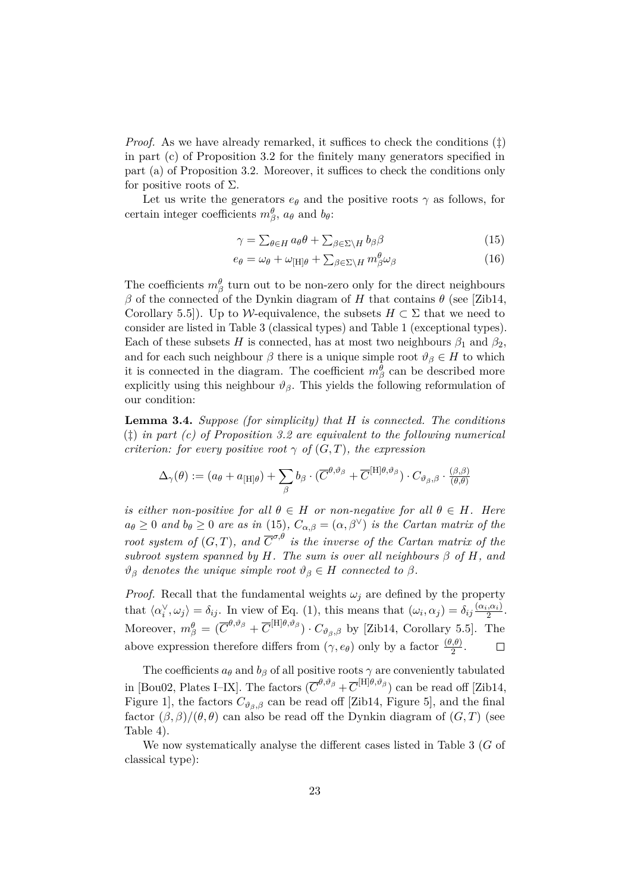*Proof.* As we have already remarked, it suffices to check the conditions  $(\ddagger)$ in part (c) of [Proposition 3.2](#page-20-0) for the finitely many generators specified in part (a) of [Proposition 3.2.](#page-20-0) Moreover, it suffices to check the conditions only for positive roots of  $\Sigma$ .

Let us write the generators  $e_{\theta}$  and the positive roots  $\gamma$  as follows, for certain integer coefficients  $m^{\theta}_{\beta}$ ,  $a_{\theta}$  and  $b_{\theta}$ :

$$
\gamma = \sum_{\theta \in H} a_{\theta} \theta + \sum_{\beta \in \Sigma \backslash H} b_{\beta} \beta \tag{15}
$$

$$
e_{\theta} = \omega_{\theta} + \omega_{\text{[H]}\theta} + \sum_{\beta \in \Sigma \backslash H} m_{\beta}^{\theta} \omega_{\beta} \tag{16}
$$

The coefficients  $m^{\theta}_{\beta}$  turn out to be non-zero only for the direct neighbours *β* of the connected of the Dynkin diagram of *H* that contains *θ* (see [\[Zib14,](#page-39-4) Corollary 5.5]). Up to W-equivalence, the subsets  $H \subset \Sigma$  that we need to consider are listed in [Table 3](#page-23-0) (classical types) and [Table 1](#page-4-0) (exceptional types). Each of these subsets *H* is connected, has at most two neighbours  $\beta_1$  and  $\beta_2$ , and for each such neighbour  $\beta$  there is a unique simple root  $\vartheta_{\beta} \in H$  to which it is connected in the diagram. The coefficient  $m^{\theta}_{\beta}$  can be described more explicitly using this neighbour  $\vartheta_{\beta}$ . This yields the following reformulation of our condition:

<span id="page-22-0"></span>**Lemma 3.4.** *Suppose (for simplicity) that H is connected. The conditions* ([‡](#page-21-0)) *in part (c) of [Proposition 3.2](#page-20-0) are equivalent to the following numerical criterion: for every positive root*  $\gamma$  *of*  $(G, T)$ *, the expression* 

$$
\Delta_{\gamma}(\theta) := (a_{\theta} + a_{[\text{H}]\theta}) + \sum_{\beta} b_{\beta} \cdot (\overline{C}^{\theta, \vartheta_{\beta}} + \overline{C}^{[\text{H}]\theta, \vartheta_{\beta}}) \cdot C_{\vartheta_{\beta}, \beta} \cdot \frac{(\beta, \beta)}{(\theta, \theta)}
$$

*is either non-positive for all*  $\theta \in H$  *or non-negative for all*  $\theta \in H$ *. Here*  $a_{\theta} \geq 0$  *and*  $b_{\theta} \geq 0$  *are as in* [\(15\)](#page-21-1)*,*  $C_{\alpha,\beta} = (\alpha, \beta^{\vee})$  *is the Cartan matrix of the root system of*  $(G, T)$ *, and*  $\overline{C}^{\sigma, \theta}$  *is the inverse of the Cartan matrix of the subroot system spanned by*  $H$ *. The sum is over all neighbours*  $\beta$  *of*  $H$ *, and*  $\vartheta_{\beta}$  *denotes the unique simple root*  $\vartheta_{\beta} \in H$  *connected to*  $\beta$ *.* 

*Proof.* Recall that the fundamental weights  $\omega_j$  are defined by the property that  $\langle \alpha_i^{\vee}, \omega_j \rangle = \delta_{ij}$ . In view of [Eq. \(1\),](#page-13-0) this means that  $(\omega_i, \alpha_j) = \delta_{ij} \frac{(\alpha_i, \alpha_i)}{2}$  $\frac{1}{2}$ . Moreover,  $m^{\theta}_{\beta} = (\overline{C}^{\theta,\vartheta_{\beta}} + \overline{C}^{[\text{H}]\theta,\vartheta_{\beta}}) \cdot C_{\vartheta_{\beta},\beta}$  by [\[Zib14,](#page-39-4) Corollary 5.5]. The above expression therefore differs from  $(\gamma, e_{\theta})$  only by a factor  $\frac{(\theta, \theta)}{2}$ .  $\Box$ 

The coefficients  $a_{\theta}$  and  $b_{\beta}$  of all positive roots  $\gamma$  are conveniently tabulated in [\[Bou02,](#page-37-8) Plates I–IX]. The factors  $(\overline{C}^{\theta,\vartheta_\beta} + \overline{C}^{[\text{H}]\theta,\vartheta_\beta})$  can be read off [\[Zib14,](#page-39-4) Figure 1], the factors  $C_{\vartheta_{\beta},\beta}$  can be read off [\[Zib14,](#page-39-4) Figure 5], and the final factor  $(\beta, \beta)/(\theta, \theta)$  can also be read off the Dynkin diagram of  $(G, T)$  (see [Table 4\)](#page-23-1).

We now systematically analyse the different cases listed in [Table 3](#page-23-0) (*G* of classical type):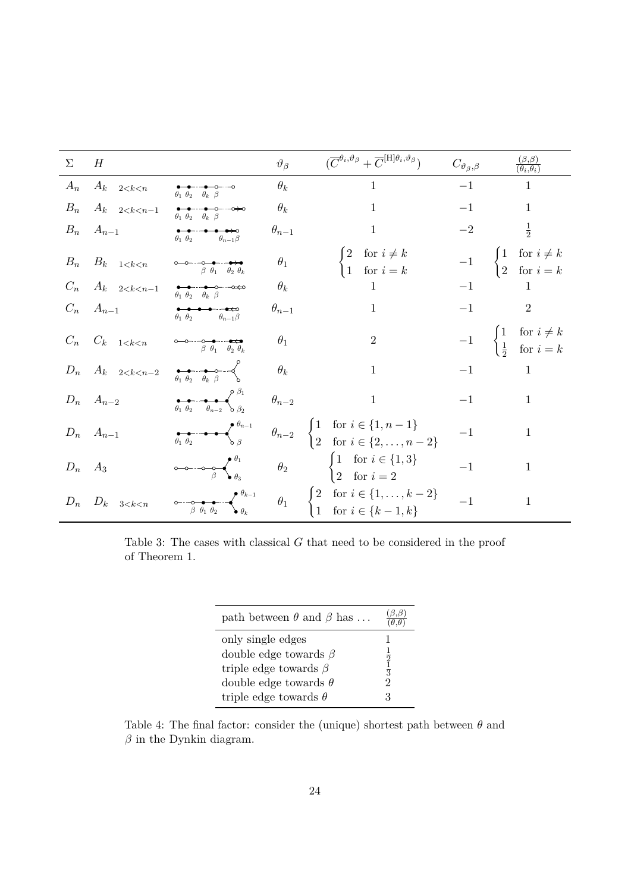<span id="page-23-0"></span>

| $\Sigma$ H |                                                    |                                                                                                                                    | $\vartheta_{\beta}$ | $(\overline{C}^{\theta_i,\vartheta_{\beta}} + \overline{C}^{[\mathrm{H}]\theta_i,\vartheta_{\beta}})$                                                                                                                                                                                                                                                                                                                                                      | $C_{\vartheta_{\beta},\beta}$ | $\frac{(\beta,\beta)}{(\theta_i,\theta_i)}$                                                  |
|------------|----------------------------------------------------|------------------------------------------------------------------------------------------------------------------------------------|---------------------|------------------------------------------------------------------------------------------------------------------------------------------------------------------------------------------------------------------------------------------------------------------------------------------------------------------------------------------------------------------------------------------------------------------------------------------------------------|-------------------------------|----------------------------------------------------------------------------------------------|
|            | $A_n$ $A_k$ $2 < k < n$                            | $\theta_1$ $\theta_2$ $\theta_k$ $\beta$                                                                                           | $\theta_k$          | $1 \qquad \qquad$                                                                                                                                                                                                                                                                                                                                                                                                                                          | $-1$                          | $\mathbf{1}$                                                                                 |
|            | $B_n$ $A_k$ $2 < k < n-1$                          |                                                                                                                                    | $\theta_k$          | 1                                                                                                                                                                                                                                                                                                                                                                                                                                                          | $-1$                          | $\mathbf 1$                                                                                  |
|            | $B_n \quad A_{n-1}$                                | $\theta_1 \theta_2 \qquad \theta_{n-1} \beta$                                                                                      | $\theta_{n-1}$      | $\overline{1}$                                                                                                                                                                                                                                                                                                                                                                                                                                             | $-2\,$                        | $\frac{1}{2}$                                                                                |
|            | $\mathcal{B}_n$ – $\mathcal{B}_k$ – $_{1 < k < n}$ | $\beta$ $\theta_1$ $\theta_2$ $\theta_k$                                                                                           | $\theta_1$          | $\begin{cases} 2 & \text{for } i \neq k \\ 1 & \text{for } i = k \end{cases}$                                                                                                                                                                                                                                                                                                                                                                              |                               | $-1$ $\begin{cases} 1 & \text{for } i \neq k \\ 2 & \text{for } i = k \end{cases}$           |
|            | $C_n$ $A_k$ $2 < k < n-1$                          |                                                                                                                                    | $\theta_k$          | $\begin{array}{ccc} & 1 \end{array}$                                                                                                                                                                                                                                                                                                                                                                                                                       |                               | $-1$<br>$\mathbf{1}$                                                                         |
|            | $C_n \quad A_{n-1}$                                | $\theta_1 \theta_2 \qquad \theta_{n-1} \beta$                                                                                      | $\theta_{n-1}$      | $\overline{1}$                                                                                                                                                                                                                                                                                                                                                                                                                                             |                               | $-1$<br>$\overline{2}$                                                                       |
|            | $C_n$ $C_k$ $1 < k < n$                            | $\begin{array}{ccccc}\n & \circ & \bullet & \bullet & \bullet & \bullet \\  & \beta & \theta_1 & \theta_2 & \theta_k\n\end{array}$ | $\theta_1$          | $\overline{2}$                                                                                                                                                                                                                                                                                                                                                                                                                                             |                               | $-1$ $\begin{cases} 1 & \text{for } i \neq k \\ \frac{1}{2} & \text{for } i = k \end{cases}$ |
|            | $D_n$ $A_k$ $2 < k < n-2$                          | $\theta_1 \theta_2 \theta_k \theta_k$                                                                                              | $\theta_k$          | $\mathbf{1}$                                                                                                                                                                                                                                                                                                                                                                                                                                               |                               | $-1$<br>$1\,$                                                                                |
|            | $D_n$ $A_{n-2}$                                    | $\theta_1 \theta_2 \theta_{n-2} \theta_{n-2}$                                                                                      | $\theta_{n-2}$      | $\mathbf{1}$                                                                                                                                                                                                                                                                                                                                                                                                                                               |                               | $1\,$<br>$-1$ and $\sim$                                                                     |
|            | $D_n$ $A_{n-1}$                                    | $\theta_1 \theta_2$ $\theta_{n-1}$                                                                                                 |                     | $\theta_{n-2}$ $\begin{cases} 1 & \text{for } i \in \{1, n-1\} \\ 2 & \text{for } i \in \{2, \ldots, n-2\} \end{cases}$                                                                                                                                                                                                                                                                                                                                    | $-1$                          | $\mathbf{1}$                                                                                 |
|            | $D_n$ $A_3$                                        |                                                                                                                                    |                     | $\circ\hspace{-6pt}-\hspace{-6pt}-\hspace{-6pt}-\hspace{-6pt}-\hspace{-6pt}-\hspace{-6pt}-\hspace{-6pt}-\hspace{-6pt}-\hspace{-6pt}-\hspace{-6pt}-\hspace{-6pt}-\hspace{-6pt}-\hspace{-6pt}-\hspace{-6pt}-\hspace{-6pt}-\hspace{-6pt}-\hspace{-6pt}-\hspace{-6pt}-\hspace{-6pt}-\hspace{-6pt}-\hspace{-6pt}-\hspace{-6pt}-\hspace{-6pt}-\hspace{-6pt}-\hspace{-6pt}-\hspace{-6pt}-\hspace{-6pt}-\hspace{-6pt}-\hspace{-6pt}-\hspace{-6pt}-\hspace{-6pt}-\$ | $-1$                          | $\mathbf{1}$                                                                                 |
|            | $D_n$ $D_k$ $3 < k < n$                            |                                                                                                                                    |                     | $\circ \xrightarrow[\beta \theta_1 \theta_2]{\theta_{k-1}} \qquad \theta_1 \qquad \begin{cases} 2 & \text{for } i \in \{1,\ldots,k-2\} \ 1 & \text{for } i \in \{k-1,k\} \end{cases}$                                                                                                                                                                                                                                                                      | $-1$                          | $\mathbf 1$                                                                                  |

<span id="page-23-1"></span>Table 3: The cases with classical *G* that need to be considered in the proof of [Theorem 1.](#page-2-2)

| path between $\theta$ and $\beta$ has                                                                           |                     |
|-----------------------------------------------------------------------------------------------------------------|---------------------|
| only single edges<br>double edge towards $\beta$<br>triple edge towards $\beta$<br>double edge towards $\theta$ | $\frac{2}{3}$<br>'2 |
| triple edge towards $\theta$                                                                                    |                     |

Table 4: The final factor: consider the (unique) shortest path between  $\theta$  and  $\beta$  in the Dynkin diagram.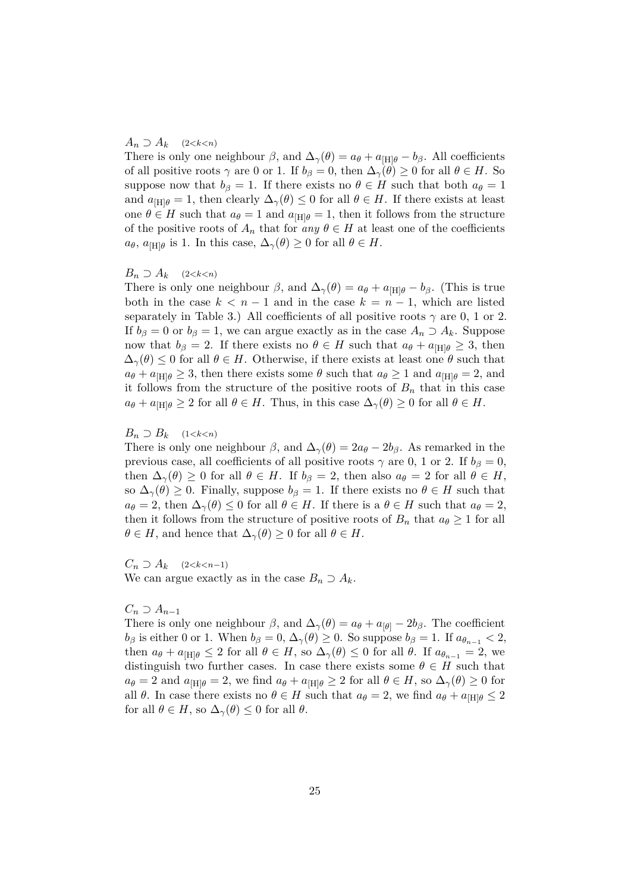#### $A_n \supseteq A_k \quad (2 \leq k \leq n)$

There is only one neighbour  $\beta$ , and  $\Delta_{\gamma}(\theta) = a_{\theta} + a_{\text{HH}\theta} - b_{\beta}$ . All coefficients of all positive roots  $\gamma$  are 0 or 1. If  $b_{\beta} = 0$ , then  $\Delta_{\gamma}(\theta) \ge 0$  for all  $\theta \in H$ . So suppose now that  $b_{\beta} = 1$ . If there exists no  $\theta \in H$  such that both  $a_{\theta} = 1$ and  $a_{\text{H} \mid \theta} = 1$ , then clearly  $\Delta_{\gamma}(\theta) \leq 0$  for all  $\theta \in H$ . If there exists at least one  $\theta \in H$  such that  $a_{\theta} = 1$  and  $a_{\text{[H]}\theta} = 1$ , then it follows from the structure of the positive roots of  $A_n$  that for *any*  $\theta \in H$  at least one of the coefficients  $a_{\theta}$ ,  $a_{[H]\theta}$  is 1. In this case,  $\Delta_{\gamma}(\theta) \geq 0$  for all  $\theta \in H$ .

#### *B*<sup>*n*</sup> ⊃ *A*<sup>*k*</sup> (2*<k<n*)

There is only one neighbour  $\beta$ , and  $\Delta_{\gamma}(\theta) = a_{\theta} + a_{\text{[H]}\theta} - b_{\beta}$ . (This is true both in the case  $k < n - 1$  and in the case  $k = n - 1$ , which are listed separately in [Table 3.](#page-23-0)) All coefficients of all positive roots  $\gamma$  are 0, 1 or 2. If  $b_{\beta} = 0$  or  $b_{\beta} = 1$ , we can argue exactly as in the case  $A_n \supset A_k$ . Suppose now that  $b_{\beta} = 2$ . If there exists no  $\theta \in H$  such that  $a_{\theta} + a_{\text{[H]}\theta} \geq 3$ , then  $\Delta_{\gamma}(\theta) \leq 0$  for all  $\theta \in H$ . Otherwise, if there exists at least one  $\theta$  such that  $a_{\theta} + a_{\text{[H]}\theta} \geq 3$ , then there exists some  $\theta$  such that  $a_{\theta} \geq 1$  and  $a_{\text{[H]}\theta} = 2$ , and it follows from the structure of the positive roots of  $B_n$  that in this case  $a_{\theta} + a_{\text{[H]}\theta} \geq 2$  for all  $\theta \in H$ . Thus, in this case  $\Delta_{\gamma}(\theta) \geq 0$  for all  $\theta \in H$ .

#### *B*<sup>*n*</sup> ⊃ *B*<sup>*k*</sup> (1 < *k* < *n*)

There is only one neighbour  $\beta$ , and  $\Delta_{\gamma}(\theta) = 2a_{\theta} - 2b_{\beta}$ . As remarked in the previous case, all coefficients of all positive roots  $\gamma$  are 0, 1 or 2. If  $b_{\beta} = 0$ , then  $\Delta_{\gamma}(\theta) \geq 0$  for all  $\theta \in H$ . If  $b_{\beta} = 2$ , then also  $a_{\theta} = 2$  for all  $\theta \in H$ , so  $\Delta_{\gamma}(\theta) \geq 0$ . Finally, suppose  $b_{\beta} = 1$ . If there exists no  $\theta \in H$  such that  $a_{\theta} = 2$ , then  $\Delta_{\gamma}(\theta) \leq 0$  for all  $\theta \in H$ . If there is a  $\theta \in H$  such that  $a_{\theta} = 2$ , then it follows from the structure of positive roots of  $B_n$  that  $a_\theta \geq 1$  for all  $\theta \in H$ , and hence that  $\Delta_{\gamma}(\theta) \geq 0$  for all  $\theta \in H$ .

 $C_n$  ⊃  $A_k$  (2*<k*<*n*−1)

We can argue exactly as in the case  $B_n \supset A_k$ .

#### $C_n$  ⊃  $A_{n-1}$

There is only one neighbour  $\beta$ , and  $\Delta_{\gamma}(\theta) = a_{\theta} + a_{|\theta|} - 2b_{\beta}$ . The coefficient *b*<sub>β</sub> is either 0 or 1. When  $b_{\beta} = 0$ ,  $\Delta_{\gamma}(\theta) \geq 0$ . So suppose  $b_{\beta} = 1$ . If  $a_{\theta_{n-1}} < 2$ , then  $a_{\theta} + a_{\text{[H]}\theta} \leq 2$  for all  $\theta \in H$ , so  $\Delta_{\gamma}(\theta) \leq 0$  for all  $\theta$ . If  $a_{\theta_{n-1}} = 2$ , we distinguish two further cases. In case there exists some  $\theta \in H$  such that  $a_{\theta} = 2$  and  $a_{\text{[H]}\theta} = 2$ , we find  $a_{\theta} + a_{\text{[H]}\theta} \geq 2$  for all  $\theta \in H$ , so  $\Delta_{\gamma}(\theta) \geq 0$  for all  $\theta$ . In case there exists no  $\theta \in H$  such that  $a_{\theta} = 2$ , we find  $a_{\theta} + a_{\text{[H]}\theta} \leq 2$ for all  $\theta \in H$ , so  $\Delta_{\gamma}(\theta) \leq 0$  for all  $\theta$ .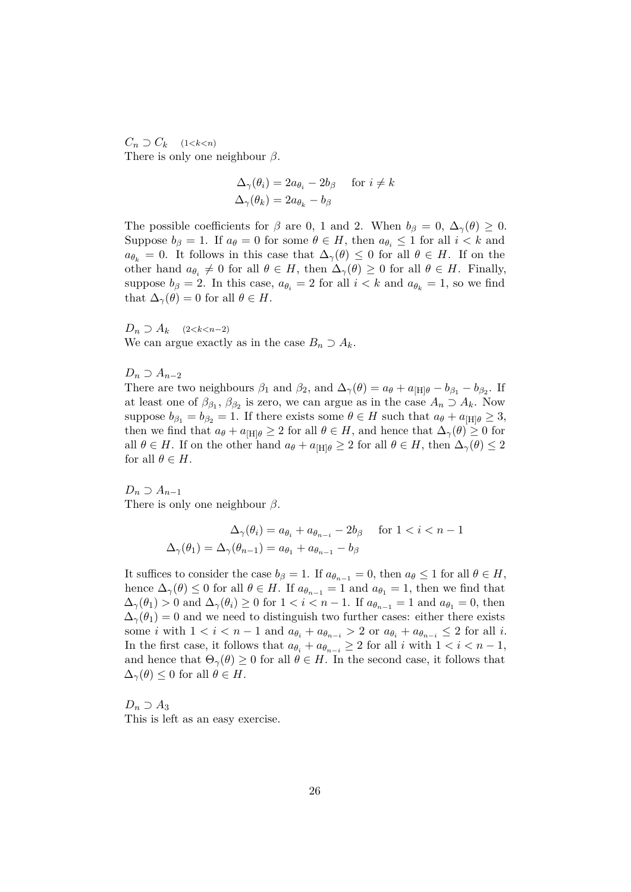$C_n \supset C_k$  (1*<k<n*) There is only one neighbour *β*.

$$
\Delta_{\gamma}(\theta_i) = 2a_{\theta_i} - 2b_{\beta} \quad \text{for } i \neq k
$$
  

$$
\Delta_{\gamma}(\theta_k) = 2a_{\theta_k} - b_{\beta}
$$

The possible coefficients for  $\beta$  are 0, 1 and 2. When  $b_{\beta} = 0$ ,  $\Delta_{\gamma}(\theta) \geq 0$ . Suppose  $b_{\beta} = 1$ . If  $a_{\theta} = 0$  for some  $\theta \in H$ , then  $a_{\theta_i} \leq 1$  for all  $i < k$  and  $a_{\theta_k} = 0$ . It follows in this case that  $\Delta_{\gamma}(\theta) \leq 0$  for all  $\theta \in H$ . If on the other hand  $a_{\theta_i} \neq 0$  for all  $\theta \in H$ , then  $\Delta_{\gamma}(\theta) \geq 0$  for all  $\theta \in H$ . Finally, suppose  $b_{\beta} = 2$ . In this case,  $a_{\theta_i} = 2$  for all  $i < k$  and  $a_{\theta_k} = 1$ , so we find that  $\Delta_{\gamma}(\theta) = 0$  for all  $\theta \in H$ .

*D*<sup>*n*</sup> ⊃ *A*<sup>*k*</sup> (2 < *k* < *n*−2) We can argue exactly as in the case  $B_n \supset A_k$ .

 $D_n$  ⊃  $A_{n-2}$ 

There are two neighbours  $\beta_1$  and  $\beta_2$ , and  $\Delta_{\gamma}(\theta) = a_{\theta} + a_{\text{H}} - b_{\beta_1} - b_{\beta_2}$ . If at least one of  $\beta_{\beta_1}, \beta_{\beta_2}$  is zero, we can argue as in the case  $A_n \supset A_k$ . Now suppose  $b_{\beta_1} = b_{\beta_2} = 1$ . If there exists some  $\theta \in H$  such that  $a_{\theta} + a_{\text{H}} \geq 3$ , then we find that  $a_{\theta} + a_{\text{H}} \geq 2$  for all  $\theta \in H$ , and hence that  $\Delta_{\gamma}(\theta) \geq 0$  for all  $\theta \in H$ . If on the other hand  $a_{\theta} + a_{\text{[H]}\theta} \geq 2$  for all  $\theta \in H$ , then  $\Delta_{\gamma}(\theta) \leq 2$ for all  $\theta \in H$ .

 $D_n$  ⊃  $A_{n-1}$ There is only one neighbour *β*.

$$
\Delta_{\gamma}(\theta_i) = a_{\theta_i} + a_{\theta_{n-i}} - 2b_{\beta} \quad \text{ for } 1 < i < n-1
$$
  

$$
\Delta_{\gamma}(\theta_1) = \Delta_{\gamma}(\theta_{n-1}) = a_{\theta_1} + a_{\theta_{n-1}} - b_{\beta}
$$

It suffices to consider the case  $b_{\beta} = 1$ . If  $a_{\theta_{n-1}} = 0$ , then  $a_{\theta} \leq 1$  for all  $\theta \in H$ , hence  $\Delta_{\gamma}(\theta) \leq 0$  for all  $\theta \in H$ . If  $a_{\theta_{n-1}} = 1$  and  $a_{\theta_1} = 1$ , then we find that  $\Delta_{\gamma}(\theta_1) > 0$  and  $\Delta_{\gamma}(\theta_i) \geq 0$  for  $1 < i < n-1$ . If  $a_{\theta_{n-1}} = 1$  and  $a_{\theta_1} = 0$ , then  $\Delta_{\gamma}(\theta_1) = 0$  and we need to distinguish two further cases: either there exists some *i* with  $1 < i < n - 1$  and  $a_{\theta_i} + a_{\theta_{n-i}} > 2$  or  $a_{\theta_i} + a_{\theta_{n-i}} \leq 2$  for all *i*. In the first case, it follows that  $a_{\theta_i} + a_{\theta_{n-i}} \geq 2$  for all *i* with  $1 < i < n-1$ , and hence that  $\Theta_{\gamma}(\theta) \geq 0$  for all  $\theta \in H$ . In the second case, it follows that  $\Delta_{\gamma}(\theta) \leq 0$  for all  $\theta \in H$ .

*D<sup>n</sup>* ⊃ *A*<sup>3</sup> This is left as an easy exercise.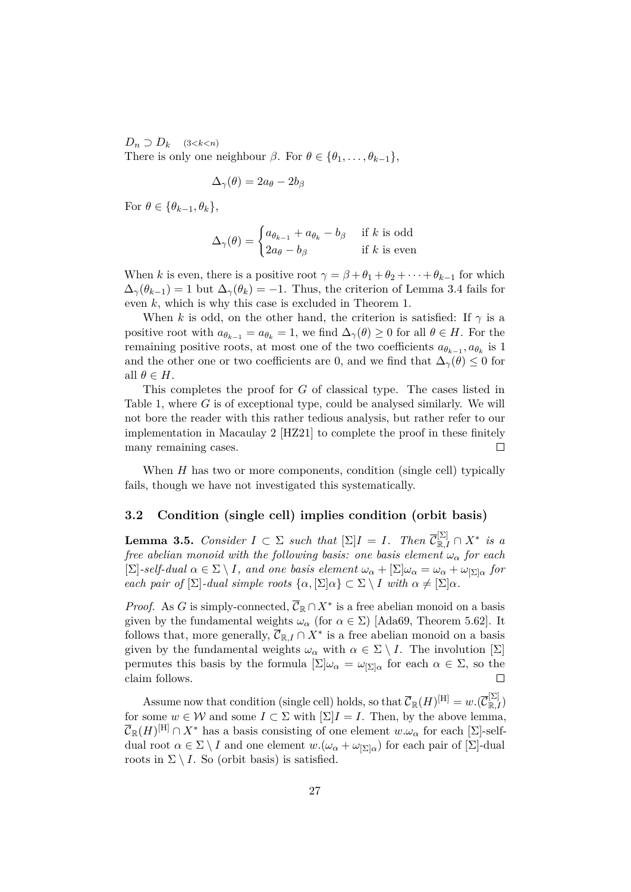$D_n \supset D_k$  (3*<k<n*)

There is only one neighbour  $\beta$ . For  $\theta \in {\theta_1, \ldots, \theta_{k-1}}$ ,

$$
\Delta_{\gamma}(\theta) = 2a_{\theta} - 2b_{\beta}
$$

For  $\theta \in {\theta_{k-1}, \theta_k}$ ,

$$
\Delta_{\gamma}(\theta) = \begin{cases} a_{\theta_{k-1}} + a_{\theta_k} - b_{\beta} & \text{if } k \text{ is odd} \\ 2a_{\theta} - b_{\beta} & \text{if } k \text{ is even} \end{cases}
$$

When *k* is even, there is a positive root  $\gamma = \beta + \theta_1 + \theta_2 + \cdots + \theta_{k-1}$  for which  $\Delta_{\gamma}(\theta_{k-1}) = 1$  but  $\Delta_{\gamma}(\theta_k) = -1$ . Thus, the criterion of [Lemma 3.4](#page-22-0) fails for even *k*, which is why this case is excluded in [Theorem 1.](#page-2-2)

When *k* is odd, on the other hand, the criterion is satisfied: If  $\gamma$  is a positive root with  $a_{\theta_{k-1}} = a_{\theta_k} = 1$ , we find  $\Delta_{\gamma}(\theta) \geq 0$  for all  $\theta \in H$ . For the remaining positive roots, at most one of the two coefficients  $a_{\theta_{k-1}}, a_{\theta_k}$  is 1 and the other one or two coefficients are 0, and we find that  $\Delta_{\gamma}(\theta) \leq 0$  for all  $\theta \in H$ .

This completes the proof for *G* of classical type. The cases listed in [Table 1,](#page-4-0) where *G* is of exceptional type, could be analysed similarly. We will not bore the reader with this rather tedious analysis, but rather refer to our implementation in Macaulay 2 [\[HZ21\]](#page-38-7) to complete the proof in these finitely many remaining cases.  $\Box$ 

When *H* has two or more components, condition [\(single cell\)](#page-10-0) typically fails, though we have not investigated this systematically.

## <span id="page-26-0"></span>**3.2 Condition [\(single cell\)](#page-10-0) implies condition [\(orbit basis\)](#page-10-1)**

**Lemma 3.5.** *Consider*  $I \subset \Sigma$  *such that*  $[\Sigma]I = I$ *. Then*  $\overline{\mathcal{C}}_{\mathbb{R},I}^{[\Sigma]} \cap X^*$  *is a free abelian monoid with the following basis: one basis element ω<sup>α</sup> for each*  $[\Sigma]$ -self-dual  $\alpha \in \Sigma \setminus I$ , and one basis element  $\omega_{\alpha} + [\Sigma] \omega_{\alpha} = \omega_{\alpha} + \omega_{[\Sigma] \alpha}$  for *each pair of*  $[\Sigma]$ *-dual simple roots*  $\{\alpha, [\Sigma] \alpha\} \subset \Sigma \setminus I$  *with*  $\alpha \neq [\Sigma] \alpha$ *.* 

*Proof.* As *G* is simply-connected,  $\overline{C}_{\mathbb{R}} \cap X^*$  is a free abelian monoid on a basis given by the fundamental weights  $\omega_{\alpha}$  (for  $\alpha \in \Sigma$ ) [\[Ada69,](#page-37-7) Theorem 5.62]. It follows that, more generally,  $\overline{\mathcal{C}}_{\mathbb{R},I} \cap X^*$  is a free abelian monoid on a basis given by the fundamental weights  $\omega_{\alpha}$  with  $\alpha \in \Sigma \setminus I$ . The involution  $[\Sigma]$ permutes this basis by the formula  $[\Sigma] \omega_{\alpha} = \omega_{[\Sigma] \alpha}$  for each  $\alpha \in \Sigma$ , so the claim follows.  $\Box$ 

Assume now that condition [\(single cell\)](#page-10-0) holds, so that  $\overline{\mathcal{C}}_{\mathbb{R}}(H)^{[\mathrm{H}]} = w.(\overline{\mathcal{C}}_{\mathbb{R},I}^{[\Sigma]})$ for some  $w \in \mathcal{W}$  and some  $I \subset \Sigma$  with  $[\Sigma]I = I$ . Then, by the above lemma,  $\overline{\mathcal{C}}_{\mathbb{R}}(H)^{[\text{H}]}\cap X^*$  has a basis consisting of one element  $w.\omega_\alpha$  for each [ $\Sigma$ ]-selfdual root  $\alpha \in \Sigma \setminus I$  and one element  $w.(\omega_{\alpha} + \omega_{\Sigma|\alpha})$  for each pair of  $[\Sigma]$ -dual roots in  $\Sigma \setminus I$ . So [\(orbit basis\)](#page-10-1) is satisfied.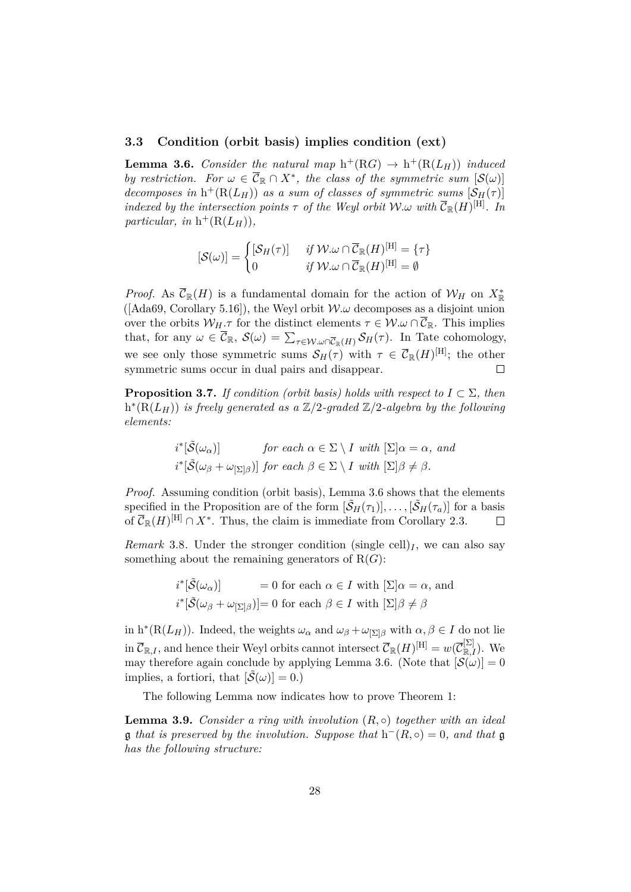### <span id="page-27-0"></span>**3.3 Condition [\(orbit basis\)](#page-10-1) implies condition [\(ext\)](#page-10-3)**

<span id="page-27-1"></span>**Lemma 3.6.** *Consider the natural map*  $h^+(RG) \rightarrow h^+(R(L_H))$  *induced by restriction.* For  $\omega \in \overline{C}_{\mathbb{R}} \cap X^*$ , the class of the symmetric sum  $[\mathcal{S}(\omega)]$ *decomposes in*  $h^+(R(L_H))$  *as a sum of classes of symmetric sums*  $[\mathcal{S}_H(\tau)]$ *indexed by the intersection points*  $\tau$  *of the Weyl orbit*  $W.\omega$  *with*  $\overline{\mathcal{C}}_{\mathbb{R}}(H)^{[\text{H}]}$ *. In*  $particular, in \; h^+(R(L_H)),$ 

$$
[\mathcal{S}(\omega)]=\begin{cases} [\mathcal{S}_H(\tau)] &\textit{ if } \mathcal{W}.\omega\cap\overline{\mathcal{C}}_\mathbb{R}(H)^{[\mathrm{H}]}=\{\tau\} \\ 0 &\textit{ if } \mathcal{W}.\omega\cap\overline{\mathcal{C}}_\mathbb{R}(H)^{[\mathrm{H}]}=\emptyset \end{cases}
$$

*Proof.* As  $\overline{\mathcal{C}}_{\mathbb{R}}(H)$  is a fundamental domain for the action of  $\mathcal{W}_H$  on  $X^*_{\mathbb{R}}$  $( [Ada69, Corollary 5.16] )$  $( [Ada69, Corollary 5.16] )$  $( [Ada69, Corollary 5.16] )$ , the Weyl orbit  $W.\omega$  decomposes as a disjoint union over the orbits  $W_H \tau$  for the distinct elements  $\tau \in \mathcal{W}$ . $\omega \cap \overline{\mathcal{C}}_{\mathbb{R}}$ . This implies that, for any  $\omega \in \overline{\mathcal{C}}_{\mathbb{R}}, \ \mathcal{S}(\omega) = \sum_{\tau \in \mathcal{W}} \omega \cap \overline{\mathcal{C}}_{\mathbb{R}}(\overline{H}) \mathcal{S}_{H}(\tau)$ . In Tate cohomology, we see only those symmetric sums  $\mathcal{S}_H(\tau)$  with  $\tau \in \overline{\mathcal{C}}_{\mathbb{R}}(H)^{[H]}$ ; the other symmetric sums occur in dual pairs and disappear.  $\Box$ 

<span id="page-27-2"></span>**Proposition 3.7.** *If condition [\(orbit basis\)](#page-10-1) holds with respect to*  $I \subset \Sigma$ *, then*  $h^*(R(L_H))$  *is freely generated as a*  $\mathbb{Z}/2$ -graded  $\mathbb{Z}/2$ -algebra by the following *elements:*

$$
i^*[\tilde{\mathcal{S}}(\omega_\alpha)] \quad \text{for each } \alpha \in \Sigma \setminus I \text{ with } [\Sigma] \alpha = \alpha, \text{ and}
$$
  

$$
i^*[\tilde{\mathcal{S}}(\omega_\beta + \omega_{[\Sigma]\beta})] \text{ for each } \beta \in \Sigma \setminus I \text{ with } [\Sigma] \beta \neq \beta.
$$

*Proof.* Assuming condition [\(orbit basis\),](#page-10-1) [Lemma 3.6](#page-27-1) shows that the elements specified in the Proposition are of the form  $[\tilde{S}_H(\tau_1)], \ldots, [\tilde{S}_H(\tau_a)]$  for a basis of  $\overline{\mathcal{C}}_{\mathbb{R}}(H)^{[\mathrm{H}]} \cap X^*$ . Thus, the claim is immediate from [Corollary 2.3.](#page-15-3)  $\Box$ 

<span id="page-27-4"></span>*Remark* 3.8. Under the stronger condition [\(single cell\)](#page-10-0)<sub>*I*</sub>, we can also say something about the remaining generators of  $R(G)$ :

$$
i^*[\tilde{\mathcal{S}}(\omega_\alpha)] = 0 \text{ for each } \alpha \in I \text{ with } [\Sigma]\alpha = \alpha, \text{ and}
$$
  

$$
i^*[\tilde{\mathcal{S}}(\omega_\beta + \omega_{[\Sigma]\beta})] = 0 \text{ for each } \beta \in I \text{ with } [\Sigma]\beta \neq \beta
$$

in  $h^*(R(L_H))$ . Indeed, the weights  $\omega_\alpha$  and  $\omega_\beta + \omega_{\vert \Sigma \vert \beta}$  with  $\alpha, \beta \in I$  do not lie  $\text{Im }\overline{\mathcal{C}}_{\mathbb{R},I}$ , and hence their Weyl orbits cannot intersect  $\overline{\mathcal{C}}_{\mathbb{R}}(H)^{[\text{H}]} = w(\overline{\mathcal{C}}_{\mathbb{R},I}^{[\Sigma]}).$  We may therefore again conclude by applying [Lemma 3.6.](#page-27-1) (Note that  $[\mathcal{S}(\omega)] = 0$ implies, a fortiori, that  $[\mathcal{S}(\omega)] = 0.$ 

The following Lemma now indicates how to prove [Theorem 1:](#page-2-2)

<span id="page-27-3"></span>**Lemma 3.9.** *Consider a ring with involution* (*R,* ◦) *together with an ideal* **g** that is preserved by the involution. Suppose that  $h^-(R, \circ) = 0$ , and that **g** *has the following structure:*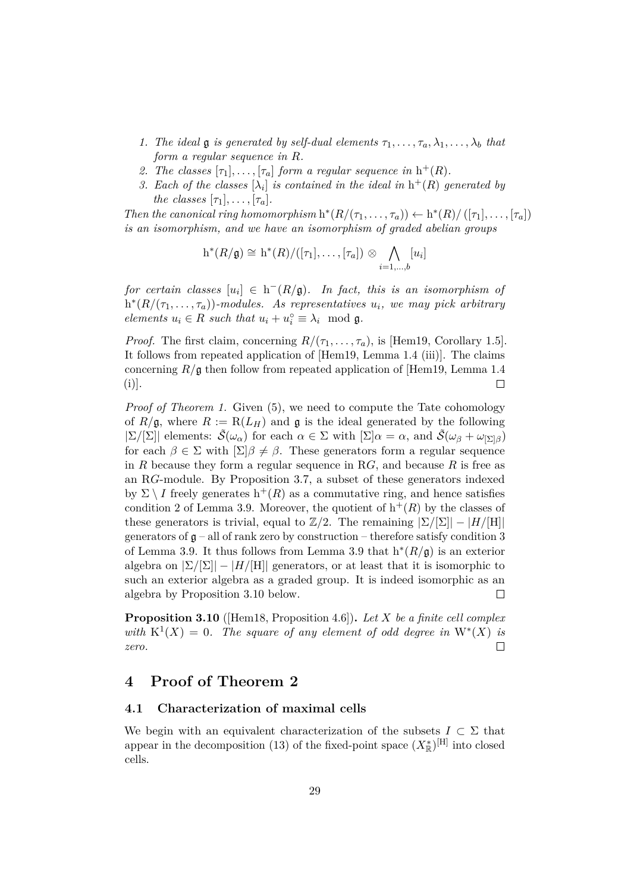- *1. The ideal* **g** *is generated by self-dual elements*  $\tau_1, \ldots, \tau_a, \lambda_1, \ldots, \lambda_b$  *that form a regular sequence in R.*
- 2. *The classes*  $[\tau_1], \ldots, [\tau_a]$  *form a regular sequence in*  $h^+(R)$ *.*
- *3.* Each of the classes  $[\lambda_i]$  is contained in the ideal in  $h^+(R)$  generated by *the classes*  $[\tau_1], \ldots, [\tau_a].$

*Then the canonical ring homomorphism*  $h^*(R/(\tau_1, \ldots, \tau_a)) \leftarrow h^*(R)/([\tau_1], \ldots, [\tau_a])$ *is an isomorphism, and we have an isomorphism of graded abelian groups*

$$
h^*(R/\mathfrak{g}) \cong h^*(R)/([\tau_1], \ldots, [\tau_a]) \otimes \bigwedge_{i=1,\ldots,b} [u_i]
$$

 $for\, certain\; classes\; [u_i]\; \in\; h^-(R/\mathfrak{g})$ . In fact, this is an isomorphism of  $h^{*}(R/(\tau_1, \ldots, \tau_a))$ -modules. As representatives  $u_i$ , we may pick arbitrary *elements*  $u_i \in R$  *such that*  $u_i + u_i^{\circ} \equiv \lambda_i \mod q$ .

*Proof.* The first claim, concerning  $R/(\tau_1, \ldots, \tau_a)$ , is [\[Hem19,](#page-38-1) Corollary 1.5]. It follows from repeated application of [\[Hem19,](#page-38-1) Lemma 1.4 (iii)]. The claims concerning *R/*g then follow from repeated application of [\[Hem19,](#page-38-1) Lemma 1.4  $\Box$  $(i)$ ].

*Proof of [Theorem 1.](#page-2-2)* Given [\(5\)](#page-14-5), we need to compute the Tate cohomology of  $R/\mathfrak{g}$ , where  $R := R(L_H)$  and  $\mathfrak{g}$  is the ideal generated by the following  $|\Sigma/[\Sigma]|$  elements:  $\tilde{\mathcal{S}}(\omega_{\alpha})$  for each  $\alpha \in \Sigma$  with  $[\Sigma] \alpha = \alpha$ , and  $\tilde{\mathcal{S}}(\omega_{\beta} + \omega_{[\Sigma] \beta})$ for each  $\beta \in \Sigma$  with  $[\Sigma]\beta \neq \beta$ . These generators form a regular sequence in *R* because they form a regular sequence in R*G*, and because *R* is free as an R*G*-module. By [Proposition 3.7,](#page-27-2) a subset of these generators indexed by  $\Sigma \setminus I$  freely generates  $h^+(R)$  as a commutative ring, and hence satisfies condition 2 of [Lemma 3.9.](#page-27-3) Moreover, the quotient of  $h^+(R)$  by the classes of these generators is trivial, equal to  $\mathbb{Z}/2$ . The remaining  $|\Sigma/[\Sigma]| - |H/[\Pi]|$ generators of  $\mathfrak{g}$  – all of rank zero by construction – therefore satisfy condition 3 of [Lemma 3.9.](#page-27-3) It thus follows from [Lemma 3.9](#page-27-3) that  $h^*(R/g)$  is an exterior algebra on  $|\Sigma/|\Sigma|$  –  $|H/|\Pi|$  generators, or at least that it is isomorphic to such an exterior algebra as a graded group. It is indeed isomorphic as an algebra by [Proposition 3.10](#page-28-2) below.  $\Box$ 

<span id="page-28-2"></span>**Proposition 3.10** ([\[Hem18,](#page-38-4) Proposition 4.6])**.** *Let X be a finite cell complex with*  $K^1(X) = 0$ . The square of any element of odd degree in  $W^*(X)$  is  $\Box$ *zero.*

# <span id="page-28-0"></span>**4 Proof of [Theorem 2](#page-3-0)**

## <span id="page-28-1"></span>**4.1 Characterization of maximal cells**

We begin with an equivalent characterization of the subsets  $I \subset \Sigma$  that appear in the decomposition [\(13\)](#page-20-3) of the fixed-point space  $(X^*_{\mathbb{R}})^{[H]}$  into closed cells.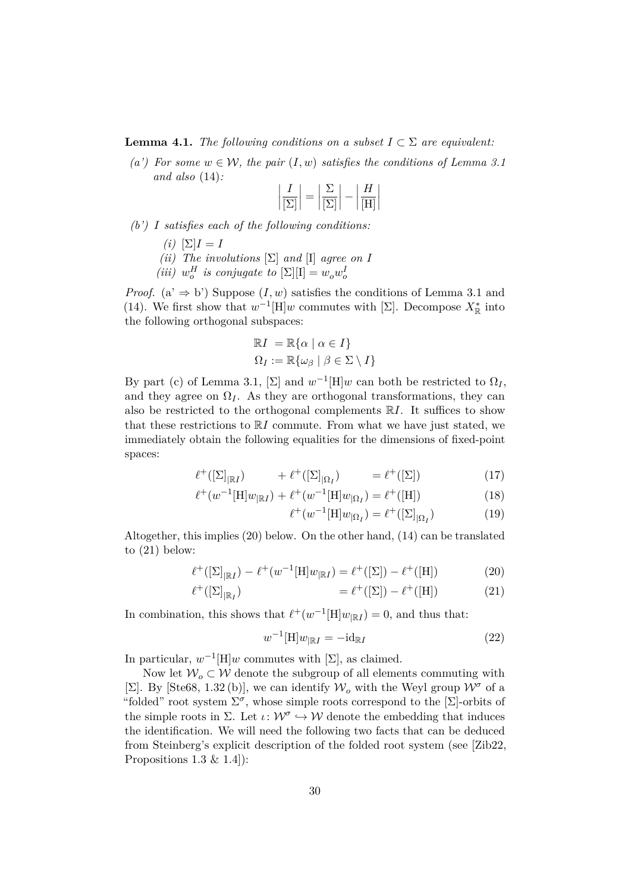#### **Lemma 4.1.** *The following conditions on a subset*  $I \subset \Sigma$  *are equivalent:*

*(a')* For some  $w \in \mathcal{W}$ , the pair  $(I, w)$  satisfies the conditions of [Lemma 3.1](#page-19-2) *and also* [\(14\)](#page-20-2)*:*

$$
\left|\frac{I}{\left[\Sigma\right]}\right| = \left|\frac{\Sigma}{\left[\Sigma\right]}\right| - \left|\frac{H}{\left[H\right]}\right|
$$

- *(b') I satisfies each of the following conditions:*
	- *(i)*  $[\Sigma]I = I$
	- *(ii) The involutions*  $[\Sigma]$  *and*  $[I]$  *agree on I*
	- *(iii)*  $w_o^H$  *is conjugate to*  $[\Sigma][I] = w_o w_o^I$

*Proof.* (a'  $\Rightarrow$  b') Suppose (*I, w*) satisfies the conditions of [Lemma 3.1](#page-19-2) and [\(14\)](#page-20-2). We first show that  $w^{-1}$ [H] $w$  commutes with [Σ]. Decompose  $X_{\mathbb{R}}^*$  into the following orthogonal subspaces:

$$
\mathbb{R}I = \mathbb{R}\{\alpha \mid \alpha \in I\}
$$
  

$$
\Omega_I := \mathbb{R}\{\omega_\beta \mid \beta \in \Sigma \setminus I\}
$$

By part (c) of [Lemma 3.1,](#page-19-2)  $[\Sigma]$  and  $w^{-1}[\Pi]w$  can both be restricted to  $\Omega_I$ , and they agree on  $\Omega$ <sub>*I*</sub>. As they are orthogonal transformations, they can also be restricted to the orthogonal complements R*I*. It suffices to show that these restrictions to R*I* commute. From what we have just stated, we immediately obtain the following equalities for the dimensions of fixed-point spaces:

$$
\ell^+([\Sigma]_{\mathbb{R}^I}) \qquad \quad + \ell^+([\Sigma]_{\Omega_I}) \qquad \quad = \ell^+([\Sigma]) \tag{17}
$$

$$
\ell^+(w^{-1}[\text{H}]w_{\mathbb{R}I}) + \ell^+(w^{-1}[\text{H}]w_{\mathbb{R}I}) = \ell^+([\text{H}])
$$
\n(18)

<span id="page-29-3"></span><span id="page-29-1"></span><span id="page-29-0"></span>
$$
\ell^+(w^{-1}[\mathbf{H}]w_{|\Omega_I}) = \ell^+([\Sigma]_{|\Omega_I})\tag{19}
$$

Altogether, this implies [\(20\)](#page-29-0) below. On the other hand, [\(14\)](#page-20-2) can be translated to [\(21\)](#page-29-1) below:

$$
\ell^+([\Sigma]_{\mathbb{R}I}) - \ell^+(w^{-1}[\mathbf{H}]w_{\mathbb{R}I}) = \ell^+([\Sigma]) - \ell^+([\mathbf{H}])
$$
\n(20)

$$
\ell^+([\Sigma]_{|\mathbb{R}_I}) \qquad \qquad = \ell^+([\Sigma]) - \ell^+([\mathcal{H}]) \qquad \qquad (21)
$$

In combination, this shows that  $\ell^+(w^{-1}[\text{H}]w_{\vert \mathbb{R}I}) = 0$ , and thus that:

<span id="page-29-2"></span>
$$
w^{-1}[\text{H}]w_{\parallel \text{R}I} = -\text{id}_{\text{R}I} \tag{22}
$$

In particular,  $w^{-1}[H]w$  commutes with  $[\Sigma]$ , as claimed.

Now let  $W_o \subset W$  denote the subgroup of all elements commuting with [ $\Sigma$ ]. By [\[Ste68,](#page-38-11) 1.32(b)], we can identify  $\mathcal{W}_o$  with the Weyl group  $\mathcal{W}^{\sigma}$  of a "folded" root system  $\Sigma^{\sigma}$ , whose simple roots correspond to the [ $\Sigma$ ]-orbits of the simple roots in  $\Sigma$ . Let  $\iota: \mathcal{W}^{\sigma} \hookrightarrow \mathcal{W}$  denote the embedding that induces the identification. We will need the following two facts that can be deduced from Steinberg's explicit description of the folded root system (see [\[Zib22,](#page-39-2) Propositions  $1.3 \& 1.4$ :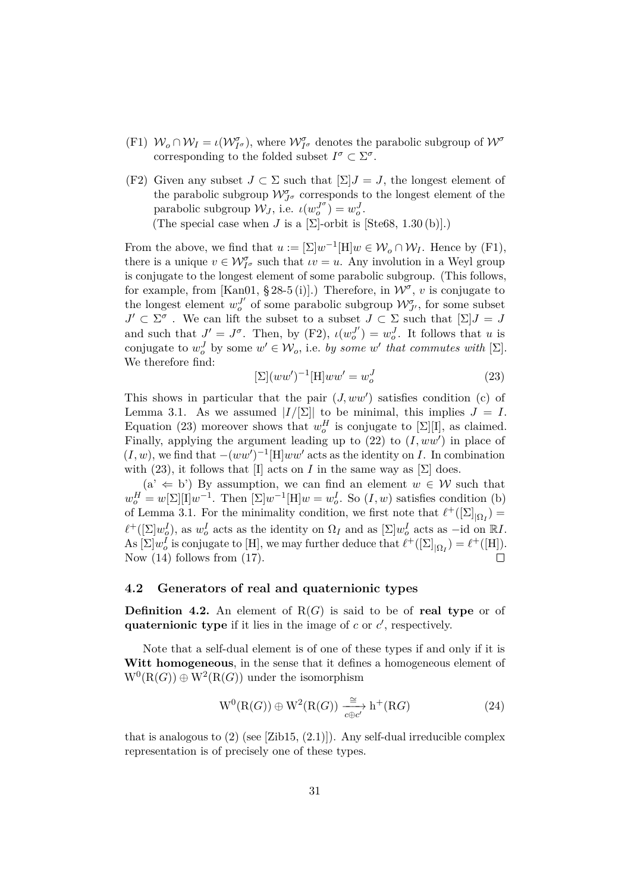- (F1)  $W_o \cap W_I = \iota(W_{I^{\sigma}}^{\sigma})$ , where  $W_{I^{\sigma}}^{\sigma}$  denotes the parabolic subgroup of  $W^{\sigma}$ corresponding to the folded subset  $I^{\sigma} \subset \Sigma^{\sigma}$ .
- (F2) Given any subset  $J \subset \Sigma$  such that  $[\Sigma]J = J$ , the longest element of the parabolic subgroup  $\mathcal{W}_{J^{\sigma}}^{\sigma}$  corresponds to the longest element of the parabolic subgroup  $\mathcal{W}_J$ , i.e.  $\iota(w_o^{J^{\sigma}}) = w_o^J$ . (The special case when *J* is a  $[\Sigma]$ -orbit is  $[Ste68, 1.30 (b)].$  $[Ste68, 1.30 (b)].$ )

From the above, we find that  $u := [\Sigma]w^{-1}[\mathbf{H}]w \in \mathcal{W}_o \cap \mathcal{W}_I$ . Hence by (F1), there is a unique  $v \in \mathcal{W}_{I^{\sigma}}^{\sigma}$  such that  $\iota v = u$ . Any involution in a Weyl group is conjugate to the longest element of some parabolic subgroup. (This follows, for example, from [\[Kan01,](#page-38-0) § 28-5 (i)].) Therefore, in  $\mathcal{W}^{\sigma}$ , *v* is conjugate to the longest element  $w_o^{J'}$  of some parabolic subgroup  $\mathcal{W}_{J'}^{\sigma}$ , for some subset  $J' \subset \Sigma^{\sigma}$ . We can lift the subset to a subset  $J \subset \Sigma$  such that  $[\Sigma]J = J$ and such that  $J' = J^{\sigma}$ . Then, by (F2),  $\iota(w_o^{J'}) = w_o^J$ . It follows that *u* is conjugate to  $w_o^J$  by some  $w' \in \mathcal{W}_o$ , i.e. by some  $w'$  that commutes with  $[\Sigma]$ . We therefore find:

<span id="page-30-1"></span>
$$
\left[\Sigma\right](ww')^{-1}\left[\mathrm{H}\right]ww' = w_o^J\tag{23}
$$

This shows in particular that the pair  $(J,ww')$  satisfies condition (c) of [Lemma 3.1.](#page-19-2) As we assumed  $|I/[\Sigma]|$  to be minimal, this implies  $J = I$ . Equation [\(23\)](#page-30-1) moreover shows that  $w_o^H$  is conjugate to  $[\Sigma][I]$ , as claimed. Finally, applying the argument leading up to  $(22)$  to  $(I,ww')$  in place of  $(I, w)$ , we find that  $-(ww')^{-1}[H]ww'$  acts as the identity on *I*. In combination with [\(23\)](#page-30-1), it follows that [I] acts on *I* in the same way as  $[\Sigma]$  does.

 $(a' \leftarrow b')$  By assumption, we can find an element  $w \in W$  such that  $w_o^H = w[\Sigma][I]w^{-1}$ . Then  $[\Sigma]w^{-1}[H]w = w_o^I$ . So  $(I, w)$  satisfies condition (b) of [Lemma 3.1.](#page-19-2) For the minimality condition, we first note that  $\ell^+([\Sigma]_{\vert \Omega_I}) =$  $\ell^+([\Sigma]w_o^I)$ , as  $w_o^I$  acts as the identity on  $\Omega_I$  and as  $[\Sigma]w_o^I$  acts as  $-i$ d on  $\mathbb{R}I$ . As  $[\Sigma]w_o^I$  is conjugate to [H], we may further deduce that  $\ell^+([\Sigma]_{\Omega_I}) = \ell^+([H]).$ Now [\(14\)](#page-20-2) follows from [\(17\)](#page-29-3).  $\Box$ 

### <span id="page-30-0"></span>**4.2 Generators of real and quaternionic types**

**Definition 4.2.** An element of  $R(G)$  is said to be of **real type** or of quaternionic type if it lies in the image of  $c$  or  $c'$ , respectively.

Note that a self-dual element is of one of these types if and only if it is **Witt homogeneous**, in the sense that it defines a homogeneous element of  $W^0(R(G)) \oplus W^2(R(G))$  under the isomorphism

<span id="page-30-2"></span>
$$
W^{0}(R(G)) \oplus W^{2}(R(G)) \xrightarrow[c \oplus c']{} h^{+}(RG)
$$
\n(24)

<span id="page-30-3"></span>that is analogous to  $(2)$  (see [\[Zib15,](#page-39-1)  $(2.1)$ ]). Any self-dual irreducible complex representation is of precisely one of these types.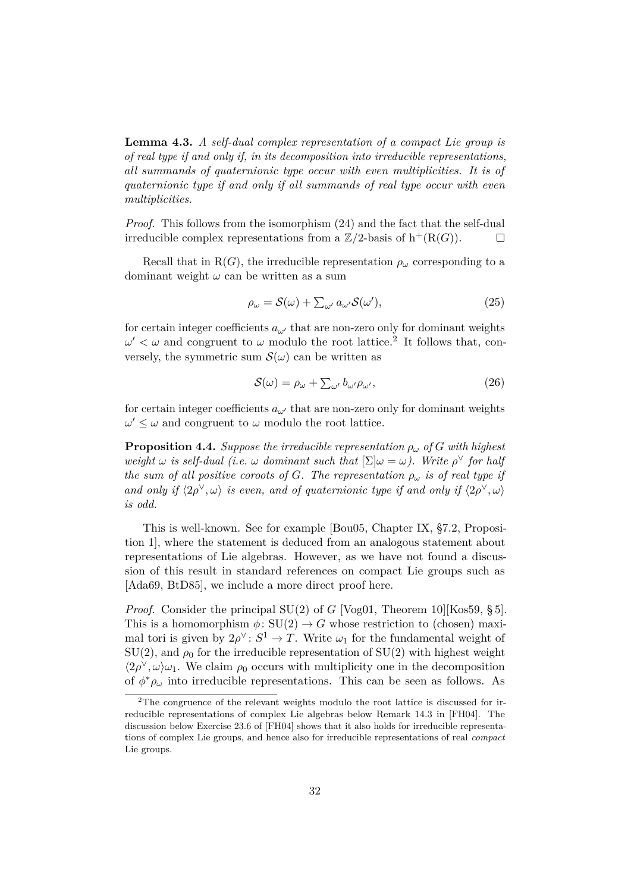**Lemma 4.3.** *A self-dual complex representation of a compact Lie group is of real type if and only if, in its decomposition into irreducible representations, all summands of quaternionic type occur with even multiplicities. It is of quaternionic type if and only if all summands of real type occur with even multiplicities.*

*Proof.* This follows from the isomorphism [\(24\)](#page-30-2) and the fact that the self-dual irreducible complex representations from a  $\mathbb{Z}/2$ -basis of  $h^+(R(G))$ .  $\Box$ 

Recall that in  $R(G)$ , the irreducible representation  $\rho_\omega$  corresponding to a dominant weight *ω* can be written as a sum

<span id="page-31-2"></span>
$$
\rho_{\omega} = \mathcal{S}(\omega) + \sum_{\omega'} a_{\omega'} \mathcal{S}(\omega'),\tag{25}
$$

for certain integer coefficients  $a_{\omega'}$  that are non-zero only for dominant weights  $\omega' < \omega$  and congruent to  $\omega$  modulo the root lattice.<sup>[2](#page-31-1)</sup> It follows that, conversely, the symmetric sum  $\mathcal{S}(\omega)$  can be written as

<span id="page-31-3"></span>
$$
S(\omega) = \rho_{\omega} + \sum_{\omega'} b_{\omega'} \rho_{\omega'}, \qquad (26)
$$

for certain integer coefficients  $a_{\omega}$  that are non-zero only for dominant weights  $\omega' \leq \omega$  and congruent to  $\omega$  modulo the root lattice.

<span id="page-31-0"></span>**Proposition 4.4.** *Suppose the irreducible representation*  $\rho_{\omega}$  of G with highest *weight*  $\omega$  *is self-dual (i.e.*  $\omega$  *dominant such that*  $[\Sigma] \omega = \omega$ ). Write  $\rho^{\vee}$  for half *the sum of all positive coroots of G. The representation*  $\rho_{\omega}$  *is of real type if and only if*  $\langle 2\rho^{\vee}, \omega \rangle$  *is even, and of quaternionic type if and only if*  $\langle 2\rho^{\vee}, \omega \rangle$ *is odd.*

This is well-known. See for example [\[Bou05,](#page-37-2) Chapter IX, §7.2, Proposition 1], where the statement is deduced from an analogous statement about representations of Lie algebras. However, as we have not found a discussion of this result in standard references on compact Lie groups such as [\[Ada69,](#page-37-7) [BtD85\]](#page-37-6), we include a more direct proof here.

*Proof.* Consider the principal SU(2) of *G* [\[Vog01,](#page-38-9) Theorem 10][\[Kos59,](#page-38-12) § 5]. This is a homomorphism  $\phi: SU(2) \rightarrow G$  whose restriction to (chosen) maximal tori is given by  $2\rho^{\vee}$ :  $S^1 \to T$ . Write  $\omega_1$  for the fundamental weight of  $SU(2)$ , and  $\rho_0$  for the irreducible representation of  $SU(2)$  with highest weight  $\langle 2\rho^{\vee}, \omega \rangle \omega_1$ . We claim  $\rho_0$  occurs with multiplicity one in the decomposition of  $\phi^* \rho_\omega$  into irreducible representations. This can be seen as follows. As

<span id="page-31-1"></span> $2$ The congruence of the relevant weights modulo the root lattice is discussed for irreducible representations of complex Lie algebras below Remark 14.3 in [\[FH04\]](#page-37-9). The discussion below Exercise 23.6 of [\[FH04\]](#page-37-9) shows that it also holds for irreducible representations of complex Lie groups, and hence also for irreducible representations of real *compact* Lie groups.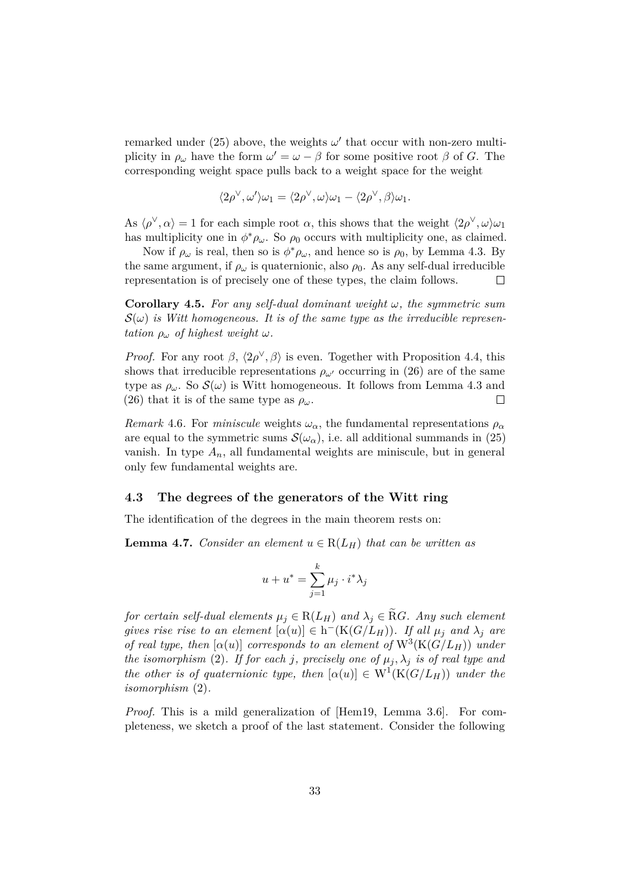remarked under [\(25\)](#page-31-2) above, the weights  $\omega'$  that occur with non-zero multiplicity in  $\rho_{\omega}$  have the form  $\omega' = \omega - \beta$  for some positive root  $\beta$  of *G*. The corresponding weight space pulls back to a weight space for the weight

$$
\langle 2\rho^{\vee}, \omega' \rangle \omega_1 = \langle 2\rho^{\vee}, \omega \rangle \omega_1 - \langle 2\rho^{\vee}, \beta \rangle \omega_1.
$$

As  $\langle \rho^\vee, \alpha \rangle = 1$  for each simple root  $\alpha$ , this shows that the weight  $\langle 2\rho^\vee, \omega \rangle \omega_1$ has multiplicity one in  $\phi^* \rho_\omega$ . So  $\rho_0$  occurs with multiplicity one, as claimed.

Now if  $\rho_\omega$  is real, then so is  $\phi^* \rho_\omega$ , and hence so is  $\rho_0$ , by [Lemma 4.3.](#page-30-3) By the same argument, if  $\rho_{\omega}$  is quaternionic, also  $\rho_0$ . As any self-dual irreducible representation is of precisely one of these types, the claim follows.  $\Box$ 

<span id="page-32-1"></span>**Corollary 4.5.** *For any self-dual dominant weight ω, the symmetric sum*  $\mathcal{S}(\omega)$  *is Witt homogeneous. It is of the same type as the irreducible representation*  $\rho_{\omega}$  *of highest weight*  $\omega$ *.* 

*Proof.* For any root  $\beta$ ,  $\langle 2\rho^{\vee}, \beta \rangle$  is even. Together with [Proposition 4.4,](#page-31-0) this shows that irreducible representations  $\rho_{\omega}$  occurring in [\(26\)](#page-31-3) are of the same type as  $\rho_\omega$ . So  $\mathcal{S}(\omega)$  is Witt homogeneous. It follows from [Lemma 4.3](#page-30-3) and [\(26\)](#page-31-3) that it is of the same type as  $\rho_\omega$ .  $\Box$ 

*Remark* 4.6. For *miniscule* weights  $\omega_{\alpha}$ , the fundamental representations  $\rho_{\alpha}$ are equal to the symmetric sums  $\mathcal{S}(\omega_\alpha)$ , i.e. all additional summands in [\(25\)](#page-31-2) vanish. In type  $A_n$ , all fundamental weights are miniscule, but in general only few fundamental weights are.

#### <span id="page-32-0"></span>**4.3 The degrees of the generators of the Witt ring**

<span id="page-32-2"></span>The identification of the degrees in the main theorem rests on:

**Lemma 4.7.** *Consider an element*  $u \in R(L_H)$  *that can be written as* 

$$
u + u^* = \sum_{j=1}^k \mu_j \cdot i^* \lambda_j
$$

*for certain self-dual elements*  $\mu_j \in R(L_H)$  *and*  $\lambda_j \in RG$ *. Any such element gives rise rise to an element*  $[\alpha(u)] \in h^-(K(G/L_H))$ *. If all*  $\mu_j$  *and*  $\lambda_j$  *are of real type, then*  $[\alpha(u)]$  *corresponds to an element of*  $W^3(K(G/L_H))$  *under the isomorphism* [\(2\)](#page-14-2)*. If for each j, precisely one of*  $\mu_j$ ,  $\lambda_j$  *is of real type and the other is of quaternionic type, then*  $[\alpha(u)] \in W^1(K(G/L_H))$  *under the isomorphism* [\(2\)](#page-14-2)*.*

*Proof.* This is a mild generalization of [\[Hem19,](#page-38-1) Lemma 3.6]. For completeness, we sketch a proof of the last statement. Consider the following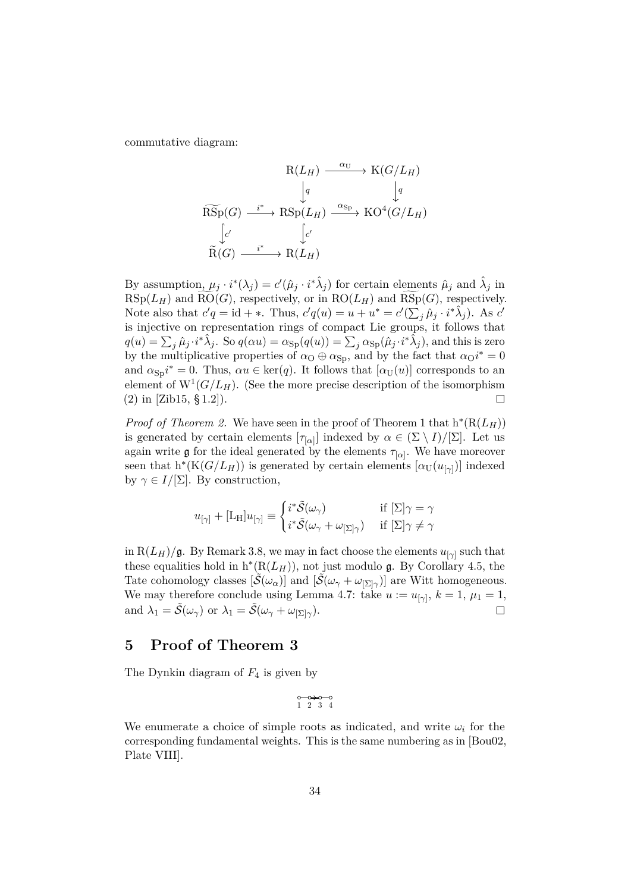commutative diagram:

$$
\begin{array}{ccc}\n & R(L_H) \xrightarrow{\alpha_U} & K(G/L_H) \\
 & \downarrow q & \downarrow q \\
 & \downarrow q & \downarrow q & \\
 & \downarrow q & & \\
 & \downarrow q & & \\
 & \downarrow q & & \\
 & \downarrow q & & \\
 & \downarrow q & & \\
 & \downarrow q & & \\
 & \downarrow q & & \\
 & \downarrow q & & \\
 & \downarrow q & & \\
 & \downarrow q & & \\
 & \downarrow q & & \\
 & \downarrow q & & \\
 & \downarrow q & & \\
 & \downarrow q & & \\
 & \downarrow q & & \\
 & \downarrow q & & \\
 & \downarrow q & & \\
 & \downarrow q & & \\
 & \downarrow q & & \\
 & \downarrow q & & \\
 & \downarrow q & & \\
 & \downarrow q & & \\
 & \downarrow q & & \\
 & \downarrow q & & \\
 & \downarrow q & & \\
 & \downarrow q & & \\
 & \downarrow q & & \\
 & \downarrow q & & \\
 & \downarrow q & & \\
 & \downarrow q & & \\
 & \downarrow q & & \\
 & \downarrow q & & \\
 & \downarrow q & & \\
 & \downarrow q & & \\
 & \downarrow q & & \\
 & \downarrow q & & \\
 & \downarrow q & & \\
 & \downarrow q & & \\
 & \downarrow q & & \\
 & \downarrow q & & \\
 & \downarrow q & & \\
 & \downarrow q & & \\
 & \downarrow q & & \\
 & \downarrow q & & \\
 & \downarrow q & & \\
 & \downarrow q & & \\
 & \downarrow q & & \\
 & \downarrow q & & \\
 & \downarrow q & & \\
 & \downarrow q & & \\
 & \downarrow q & & \\
 & \downarrow q & & \\
 & \downarrow q & & \\
 & \downarrow q & & \\
 & \downarrow q & & \\
 & \downarrow q & & \\
 & \downarrow q & & \\
 & \downarrow q & & \\
 & \downarrow q & & \\
 & \downarrow q & & \\
 & \downarrow q & & \\
 & \downarrow q & & \\
 & \downarrow q & & \\
 & \downarrow q & & \\
 & \downarrow q & & \\
 & \downarrow q & & \\
 & \downarrow q & & \\
 & \downarrow q & & \\
 & \downarrow q & & \\
 & \downarrow q & & \\
 & \downarrow q & & \\
 & \downarrow q & & \\
 & \downarrow q & & \\
 & \downarrow q & & \\
 & \downarrow q & & \\
 & \downarrow q & & \\
 & \downarrow q & & \\
 & \downarrow q & & \\
 & \downarrow q & & \\
 & \downarrow q & & \\
 & \downarrow q & & \\
 & \downarrow q & & \\
 & \downarrow q & & \\
 & \downarrow q & & \\
 & \downarrow q & & \\
 & \downarrow q & & \\
 & \downarrow q & & \\
 & \downarrow q & & \\
 & \downarrow q &
$$

By assumption,  $\mu_j \cdot i^*(\lambda_j) = c'(\hat{\mu}_j \cdot i^*\hat{\lambda}_j)$  for certain elements  $\hat{\mu}_j$  and  $\hat{\lambda}_j$  in  $RSp(L_H)$  and  $RO(G)$ , respectively, or in  $RO(L_H)$  and  $RSp(G)$ , respectively. Note also that  $c'q = id + *$ . Thus,  $c'q(u) = u + u^* = c'(\sum_j \hat{\mu}_j \cdot i^*\hat{\lambda}_j)$ . As  $c'$ is injective on representation rings of compact Lie groups, it follows that  $q(u) = \sum_j \hat{\mu}_j \cdot i^* \hat{\lambda}_j$ . So  $q(\alpha u) = \alpha_{\text{Sp}}(q(u)) = \sum_j \alpha_{\text{Sp}}(\hat{\mu}_j \cdot i^* \hat{\lambda}_j)$ , and this is zero by the multiplicative properties of  $\alpha_0 \oplus \alpha_{\rm Sp}$ , and by the fact that  $\alpha_0 i^* = 0$ and  $\alpha_{\text{Sp}}i^* = 0$ . Thus,  $\alpha u \in \text{ker}(q)$ . It follows that  $[\alpha_U(u)]$  corresponds to an element of  $W^1(G/L_H)$ . (See the more precise description of the isomorphism [\(2\)](#page-14-2) in [\[Zib15,](#page-39-1) § 1.2]).  $\Box$ 

*Proof of [Theorem 2.](#page-3-0)* We have seen in the proof of [Theorem 1](#page-2-2) that  $h^*(R(L_H))$ is generated by certain elements  $[\tau_{\alpha}]$  indexed by  $\alpha \in (\Sigma \setminus I)/[\Sigma]$ . Let us again write  $\mathfrak g$  for the ideal generated by the elements  $\tau_{[\alpha]}$ . We have moreover seen that  $h^*(K(G/L_H))$  is generated by certain elements  $[\alpha_U(u_{[\gamma]})]$  indexed by  $\gamma \in I/[\Sigma]$ . By construction,

$$
u_{[\gamma]} + [\mathbf{L}_{\mathbf{H}}]u_{[\gamma]} \equiv \begin{cases} i^* \tilde{\mathcal{S}}(\omega_\gamma) & \text{if } [\Sigma] \gamma = \gamma \\ i^* \tilde{\mathcal{S}}(\omega_\gamma + \omega_{[\Sigma] \gamma}) & \text{if } [\Sigma] \gamma \neq \gamma \end{cases}
$$

in  $R(L_H)/g$ . By [Remark 3.8,](#page-27-4) we may in fact choose the elements  $u_{[\gamma]}$  such that these equalities hold in  $h^*(R(L_H))$ , not just modulo g. By [Corollary 4.5,](#page-32-1) the Tate cohomology classes  $[\tilde{S}(\omega_{\alpha})]$  and  $[\tilde{S}(\omega_{\gamma} + \omega_{\vert \Sigma \vert \gamma})]$  are Witt homogeneous. We may therefore conclude using [Lemma 4.7:](#page-32-2) take  $u := u_{[\gamma]}, k = 1, \mu_1 = 1,$ and  $\lambda_1 = \tilde{\mathcal{S}}(\omega_\gamma)$  or  $\lambda_1 = \tilde{\mathcal{S}}(\omega_\gamma + \omega_{[\Sigma] \gamma})$ .  $\Box$ 

# <span id="page-33-0"></span>**5 Proof of [Theorem 3](#page-7-3)**

The Dynkin diagram of *F*<sup>4</sup> is given by

$$
\begin{matrix}0&\longrightarrow 0&\longrightarrow 0\\1&2&3&4\end{matrix}
$$

We enumerate a choice of simple roots as indicated, and write  $\omega_i$  for the corresponding fundamental weights. This is the same numbering as in [\[Bou02,](#page-37-8) Plate VIII].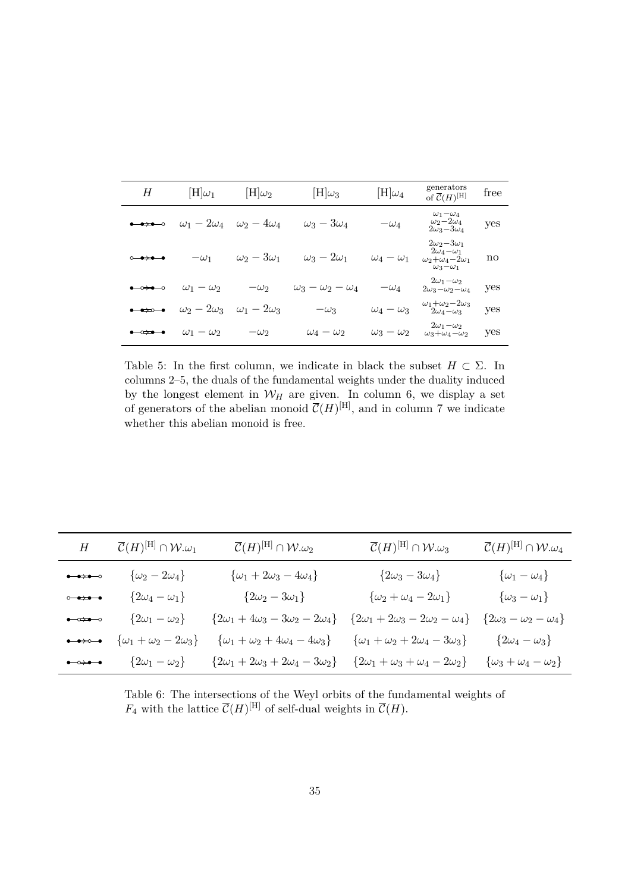<span id="page-34-0"></span>

| H                                                                                       | $[H]\omega_1$        | $[H]\omega_2$        | $[\mathrm{H}]\omega_3$       | $[\mathrm{H}]\omega_4$ | generators<br>of $\overline{\mathcal{C}}(H)^{[\mathrm{H}]}$                                               | free |
|-----------------------------------------------------------------------------------------|----------------------|----------------------|------------------------------|------------------------|-----------------------------------------------------------------------------------------------------------|------|
| $\bullet\rightarrow\bullet\rightarrow\circ$                                             | $\omega_1-2\omega_4$ | $\omega_2-4\omega_4$ | $\omega_3-3\omega_4$         | $-\omega_4$            | $\omega_1-\omega_4$<br>$\omega_2 - 2\omega_4$<br>$2\omega_3-3\omega_4$                                    | yes  |
| $\circ\!\!\rightarrow\!\!\bullet\!\!\rightarrow\!\!\bullet\!\!\rightarrow\!\!\bullet$   | $-\omega_1$          | $\omega_2-3\omega_1$ | $\omega_3-2\omega_1$         | $\omega_4-\omega_1$    | $2\omega_2-3\omega_1$<br>$2\omega_4-\omega_1$<br>$\omega_2 + \omega_4 - 2\omega_1$<br>$\omega_3-\omega_1$ | no   |
| $\bullet\!\!\rightarrow\!\!\bullet\!\!\rightarrow\!\!\circ$                             | $\omega_1-\omega_2$  | $-\omega_2$          | $\omega_3-\omega_2-\omega_4$ | $-\omega_4$            | $2\omega_1-\omega_2$<br>$2\omega_3-\omega_2-\omega_4$                                                     | yes  |
| $\bullet\rightarrow\circ\bullet$                                                        | $\omega_2-2\omega_3$ | $\omega_1-2\omega_3$ | $-\omega_3$                  | $\omega_4-\omega_3$    | $\omega_1 + \omega_2 - 2\omega_3$<br>$2\omega_4-\omega_3$                                                 | yes  |
| $\bullet\!\!\rightarrow\!\!\bullet\!\!\rightarrow\!\!\bullet\!\!\rightarrow\!\!\bullet$ | $\omega_1-\omega_2$  | $-\omega_2$          | $\omega_4-\omega_2$          | $\omega_3-\omega_2$    | $2\omega_1-\omega_2$<br>$\omega_3 + \omega_4 - \omega_2$                                                  | yes  |

Table 5: In the first column, we indicate in black the subset  $H \subset \Sigma$ . In columns 2–5, the duals of the fundamental weights under the duality induced by the longest element in  $W_H$  are given. In column 6, we display a set of generators of the abelian monoid  $\overline{\mathcal{C}}(H)^{[H]}$ , and in column 7 we indicate whether this abelian monoid is free.

<span id="page-34-1"></span>

| H                                                                                          | $\overline{\mathcal{C}}(H)^{[\mathrm{H}]} \cap \mathcal{W}. \omega_1$ | $\overline{\mathcal{C}}(H)^{[\mathrm{H}]} \cap \mathcal{W}.\omega_2$ | $\overline{\mathcal{C}}(H)^{[\mathrm{H}]} \cap \mathcal{W}.\omega_3$ | $\overline{\mathcal{C}}(H)^{[\mathrm{H}]} \cap \mathcal{W}.\omega_4$ |
|--------------------------------------------------------------------------------------------|-----------------------------------------------------------------------|----------------------------------------------------------------------|----------------------------------------------------------------------|----------------------------------------------------------------------|
| $\longrightarrow$                                                                          | $\{\omega_2-2\omega_4\}$                                              | $\{\omega_1+2\omega_3-4\omega_4\}$                                   | $\{2\omega_3-3\omega_4\}$                                            | $\{\omega_1-\omega_4\}$                                              |
| $\circ\bullet\hspace{-4pt}\to\hspace{-4pt}\bullet\hspace{-4pt}\bullet\hspace{-4pt}\bullet$ | $\{2\omega_4-\omega_1\}$                                              | $\{2\omega_2-3\omega_1\}$                                            | $\{\omega_2+\omega_4-2\omega_1\}$                                    | $\{\omega_3-\omega_1\}$                                              |
| $\bullet \rightarrow \bullet \rightarrow \bullet$                                          | $\{2\omega_1-\omega_2\}$                                              | $\{2\omega_1+4\omega_3-3\omega_2-2\omega_4\}$                        | ${2\omega_1 + 2\omega_3 - 2\omega_2 - \omega_4}$                     | $\{2\omega_3-\omega_2-\omega_4\}$                                    |
| $\bullet\to\circ\hspace{-.15cm}\to\hspace{-.15cm}\bullet$                                  | $\{\omega_1+\omega_2-2\omega_3\}$                                     | $\{\omega_1+\omega_2+4\omega_4-4\omega_3\}$                          | $\{\omega_1 + \omega_2 + 2\omega_4 - 3\omega_3\}$                    | $\{2\omega_4-\omega_3\}$                                             |
| $\bullet\rightarrow\bullet\rightarrow\bullet$                                              | $\{2\omega_1-\omega_2\}$                                              | ${2\omega_1 + 2\omega_3 + 2\omega_4 - 3\omega_2}$                    | $\{2\omega_1 + \omega_3 + \omega_4 - 2\omega_2\}$                    | $\{\omega_3+\omega_4-\omega_2\}$                                     |

Table 6: The intersections of the Weyl orbits of the fundamental weights of  $F_4$  with the lattice  $\overline{\mathcal{C}}(H)^{[\text{H}]}$  of self-dual weights in  $\overline{\mathcal{C}}(H)$ .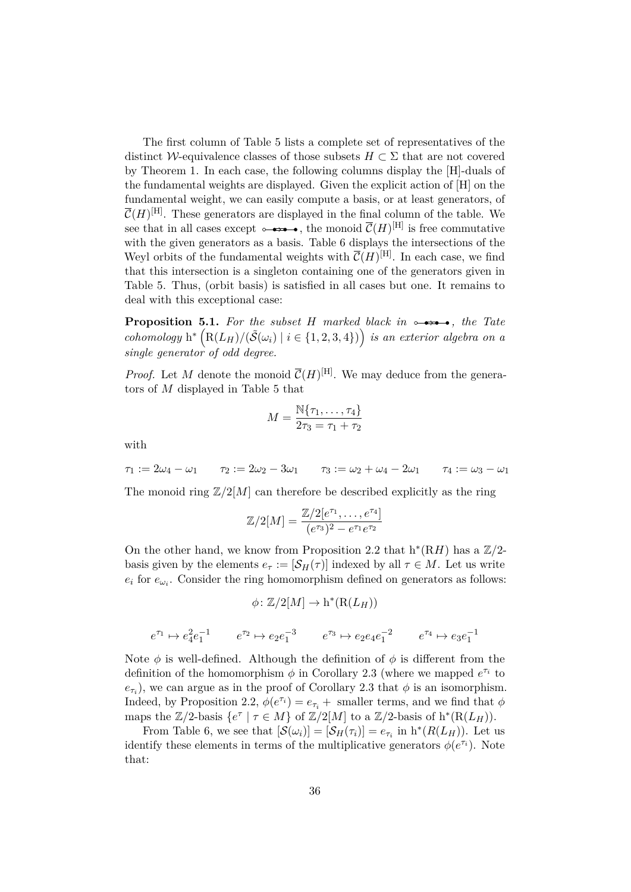The first column of Table [5](#page-34-0) lists a complete set of representatives of the distinct W-equivalence classes of those subsets  $H \subset \Sigma$  that are not covered by [Theorem 1.](#page-2-2) In each case, the following columns display the [H]-duals of the fundamental weights are displayed. Given the explicit action of [H] on the fundamental weight, we can easily compute a basis, or at least generators, of  $\overline{\mathcal{C}}(H)^{[\mathrm{H}]}$ . These generators are displayed in the final column of the table. We see that in all cases except  $\rightarrow \rightarrow \rightarrow$ , the monoid  $\overline{\mathcal{C}}(H)^{[H]}$  is free commutative with the given generators as a basis. Table [6](#page-34-1) displays the intersections of the Weyl orbits of the fundamental weights with  $\overline{\mathcal{C}}(H)^{[H]}$ . In each case, we find that this intersection is a singleton containing one of the generators given in Table [5.](#page-34-0) Thus, [\(orbit basis\)](#page-10-1) is satisfied in all cases but one. It remains to deal with this exceptional case:

<span id="page-35-0"></span>**Proposition 5.1.** For the subset *H* marked black in  $\rightarrow \rightarrow \rightarrow$ , the Tate  $\mathcal{L}(\text{R}(L_H)/(\tilde{S}(\omega_i) \mid i \in \{1, 2, 3, 4\}))$  *is an exterior algebra on a single generator of odd degree.*

*Proof.* Let M denote the monoid  $\overline{\mathcal{C}}(H)^{[H]}$ . We may deduce from the generators of *M* displayed in [Table 5](#page-34-0) that

$$
M = \frac{\mathbb{N}\{\tau_1, \dots, \tau_4\}}{2\tau_3 = \tau_1 + \tau_2}
$$

with

 $\tau_1 := 2\omega_4 - \omega_1$   $\tau_2 := 2\omega_2 - 3\omega_1$   $\tau_3 := \omega_2 + \omega_4 - 2\omega_1$   $\tau_4 := \omega_3 - \omega_1$ 

The monoid ring  $\mathbb{Z}/2[M]$  can therefore be described explicitly as the ring

$$
\mathbb{Z}/2[M] = \frac{\mathbb{Z}/2[e^{\tau_1}, \dots, e^{\tau_4}]}{(e^{\tau_3})^2 - e^{\tau_1}e^{\tau_2}}
$$

On the other hand, we know from [Proposition 2.2](#page-15-1) that  $h^*(RH)$  has a  $\mathbb{Z}/2$ basis given by the elements  $e_{\tau} := [\mathcal{S}_H(\tau)]$  indexed by all  $\tau \in M$ . Let us write  $e_i$  for  $e_{\omega_i}$ . Consider the ring homomorphism defined on generators as follows:

$$
\phi \colon \mathbb{Z}/2[M] \to h^*(R(L_H))
$$

 $e^{\tau_1} \mapsto e_4^2 e_1^{-1}$   $e^{\tau_2} \mapsto e_2 e_1^{-3}$   $e^{\tau_3} \mapsto e_2 e_4 e_1^{-2}$   $e^{\tau_4} \mapsto e_3 e_1^{-1}$ 

Note  $\phi$  is well-defined. Although the definition of  $\phi$  is different from the definition of the homomorphism  $\phi$  in [Corollary 2.3](#page-15-3) (where we mapped  $e^{\tau_i}$  to  $e_{\tau_i}$ ), we can argue as in the proof of [Corollary 2.3](#page-15-3) that  $\phi$  is an isomorphism. Indeed, by [Proposition 2.2,](#page-15-1)  $\phi(e^{\tau_i}) = e_{\tau_i} + \text{ smaller terms, and we find that } \phi$ maps the  $\mathbb{Z}/2$ -basis  $\{e^{\tau} \mid \tau \in M\}$  of  $\mathbb{Z}/2[M]$  to a  $\mathbb{Z}/2$ -basis of  $h^*(R(L_H))$ .

From Table [6,](#page-34-1) we see that  $[\mathcal{S}(\omega_i)]=[\mathcal{S}_H(\tau_i)]=e_{\tau_i}$  in  $h^*(R(L_H))$ . Let us identify these elements in terms of the multiplicative generators  $\phi(e^{\tau_i})$ . Note that: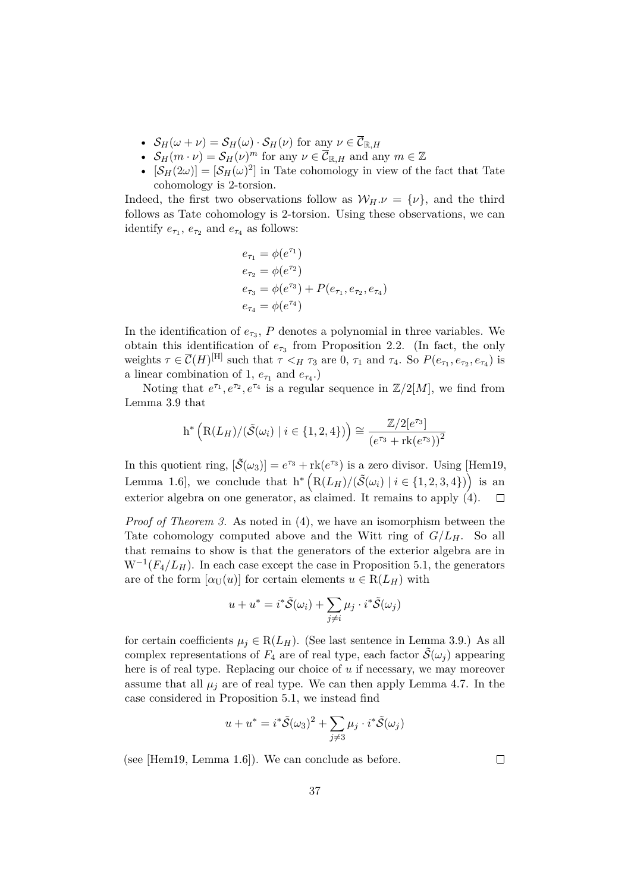- $S_H(\omega + \nu) = S_H(\omega) \cdot S_H(\nu)$  for any  $\nu \in \overline{\mathcal{C}}_{\mathbb{R},H}$
- $S_H(m \cdot \nu) = S_H(\nu)^m$  for any  $\nu \in \overline{\mathcal{C}}_{\mathbb{R},H}$  and any  $m \in \mathbb{Z}$
- $[\mathcal{S}_H(2\omega)] = [\mathcal{S}_H(\omega)^2]$  in Tate cohomology in view of the fact that Tate cohomology is 2-torsion.

Indeed, the first two observations follow as  $W_H.\nu = {\nu}$ , and the third follows as Tate cohomology is 2-torsion. Using these observations, we can identify  $e_{\tau_1}$ ,  $e_{\tau_2}$  and  $e_{\tau_4}$  as follows:

$$
e_{\tau_1} = \phi(e^{\tau_1})
$$
  
\n
$$
e_{\tau_2} = \phi(e^{\tau_2})
$$
  
\n
$$
e_{\tau_3} = \phi(e^{\tau_3}) + P(e_{\tau_1}, e_{\tau_2}, e_{\tau_4})
$$
  
\n
$$
e_{\tau_4} = \phi(e^{\tau_4})
$$

In the identification of  $e_{\tau_3}$ ,  $P$  denotes a polynomial in three variables. We obtain this identification of  $e_{\tau_3}$  from [Proposition 2.2.](#page-15-1) (In fact, the only weights  $\tau \in \overline{\mathcal{C}}(H)^{[\text{H}]}$  such that  $\tau <_H \tau_3$  are 0,  $\tau_1$  and  $\tau_4$ . So  $P(e_{\tau_1}, e_{\tau_2}, e_{\tau_4})$  is a linear combination of 1,  $e_{\tau_1}$  and  $e_{\tau_4}$ .)

Noting that  $e^{\tau_1}, e^{\tau_2}, e^{\tau_4}$  is a regular sequence in  $\mathbb{Z}/2[M]$ , we find from [Lemma 3.9](#page-27-3) that

$$
h^* \left( R(L_H) / (\tilde{S}(\omega_i) \mid i \in \{1, 2, 4\}) \right) \cong \frac{\mathbb{Z}/2[e^{\tau_3}]}{\left(e^{\tau_3} + \text{rk}(e^{\tau_3})\right)^2}
$$

In this quotient ring,  $[\tilde{S}(\omega_3)] = e^{\tau_3} + \text{rk}(e^{\tau_3})$  is a zero divisor. Using [\[Hem19,](#page-38-1) Lemma 1.6, we conclude that  $h^* \left( R(L_H)/(\tilde{S}(\omega_i) \mid i \in \{1, 2, 3, 4\}) \right)$  is an exterior algebra on one generator, as claimed. It remains to apply [\(4\)](#page-14-1).  $\Box$ 

*Proof of [Theorem 3.](#page-7-3)* As noted in [\(4\)](#page-14-1), we have an isomorphism between the Tate cohomology computed above and the Witt ring of *G/LH*. So all that remains to show is that the generators of the exterior algebra are in  $W^{-1}(F_4/L_H)$ . In each case except the case in [Proposition 5.1,](#page-35-0) the generators are of the form  $[\alpha_U(u)]$  for certain elements  $u \in R(L_H)$  with

$$
u + u^* = i^* \tilde{S}(\omega_i) + \sum_{j \neq i} \mu_j \cdot i^* \tilde{S}(\omega_j)
$$

for certain coefficients  $\mu_j \in R(L_H)$ . (See last sentence in [Lemma 3.9.](#page-27-3)) As all complex representations of  $F_4$  are of real type, each factor  $\tilde{\mathcal{S}}(\omega_i)$  appearing here is of real type. Replacing our choice of *u* if necessary, we may moreover assume that all  $\mu_j$  are of real type. We can then apply [Lemma 4.7.](#page-32-2) In the case considered in [Proposition 5.1,](#page-35-0) we instead find

$$
u + u^* = i^* \tilde{S}(\omega_3)^2 + \sum_{j \neq 3} \mu_j \cdot i^* \tilde{S}(\omega_j)
$$

(see [\[Hem19,](#page-38-1) Lemma 1.6]). We can conclude as before.

 $\Box$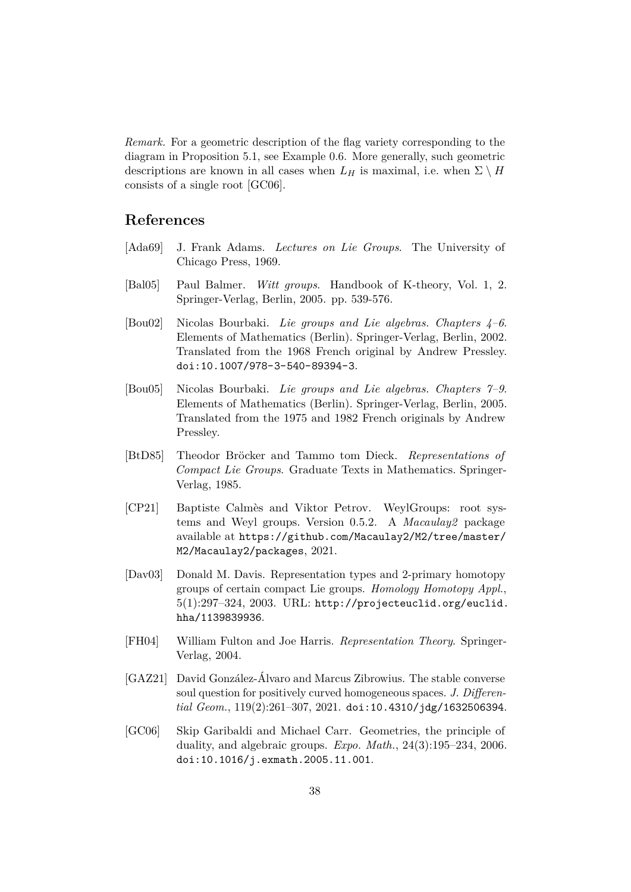*Remark.* For a geometric description of the flag variety corresponding to the diagram in [Proposition 5.1,](#page-35-0) see [Example 0.6.](#page-2-1) More generally, such geometric descriptions are known in all cases when  $L_H$  is maximal, i.e. when  $\Sigma \setminus H$ consists of a single root [\[GC06\]](#page-37-1).

# **References**

- <span id="page-37-7"></span>[Ada69] J. Frank Adams. *Lectures on Lie Groups*. The University of Chicago Press, 1969.
- <span id="page-37-0"></span>[Bal05] Paul Balmer. *Witt groups*. Handbook of K-theory, Vol. 1, 2. Springer-Verlag, Berlin, 2005. pp. 539-576.
- <span id="page-37-8"></span>[Bou02] Nicolas Bourbaki. *Lie groups and Lie algebras. Chapters 4–6*. Elements of Mathematics (Berlin). Springer-Verlag, Berlin, 2002. Translated from the 1968 French original by Andrew Pressley. [doi:10.1007/978-3-540-89394-3](https://doi.org/10.1007/978-3-540-89394-3).
- <span id="page-37-2"></span>[Bou05] Nicolas Bourbaki. *Lie groups and Lie algebras. Chapters 7–9*. Elements of Mathematics (Berlin). Springer-Verlag, Berlin, 2005. Translated from the 1975 and 1982 French originals by Andrew Pressley.
- <span id="page-37-6"></span>[BtD85] Theodor Bröcker and Tammo tom Dieck. *Representations of Compact Lie Groups*. Graduate Texts in Mathematics. Springer-Verlag, 1985.
- <span id="page-37-5"></span>[CP21] Baptiste Calmès and Viktor Petrov. WeylGroups: root systems and Weyl groups. Version 0.5.2. A *Macaulay2* package available at [https://github.com/Macaulay2/M2/tree/master/](https://github.com/Macaulay2/M2/tree/master/M2/Macaulay2/packages) [M2/Macaulay2/packages](https://github.com/Macaulay2/M2/tree/master/M2/Macaulay2/packages), 2021.
- <span id="page-37-3"></span>[Dav03] Donald M. Davis. Representation types and 2-primary homotopy groups of certain compact Lie groups. *Homology Homotopy Appl.*,  $5(1):297-324$ ,  $2003$ . URL: [http://projecteuclid.org/euclid.](http://projecteuclid.org/euclid.hha/1139839936) [hha/1139839936](http://projecteuclid.org/euclid.hha/1139839936).
- <span id="page-37-9"></span>[FH04] William Fulton and Joe Harris. *Representation Theory*. Springer-Verlag, 2004.
- <span id="page-37-4"></span>[GAZ21] David González-Álvaro and Marcus Zibrowius. The stable converse soul question for positively curved homogeneous spaces. *J. Differential Geom.*, 119(2):261–307, 2021. [doi:10.4310/jdg/1632506394](https://doi.org/10.4310/jdg/1632506394).
- <span id="page-37-1"></span>[GC06] Skip Garibaldi and Michael Carr. Geometries, the principle of duality, and algebraic groups. *Expo. Math.*, 24(3):195–234, 2006. [doi:10.1016/j.exmath.2005.11.001](https://doi.org/10.1016/j.exmath.2005.11.001).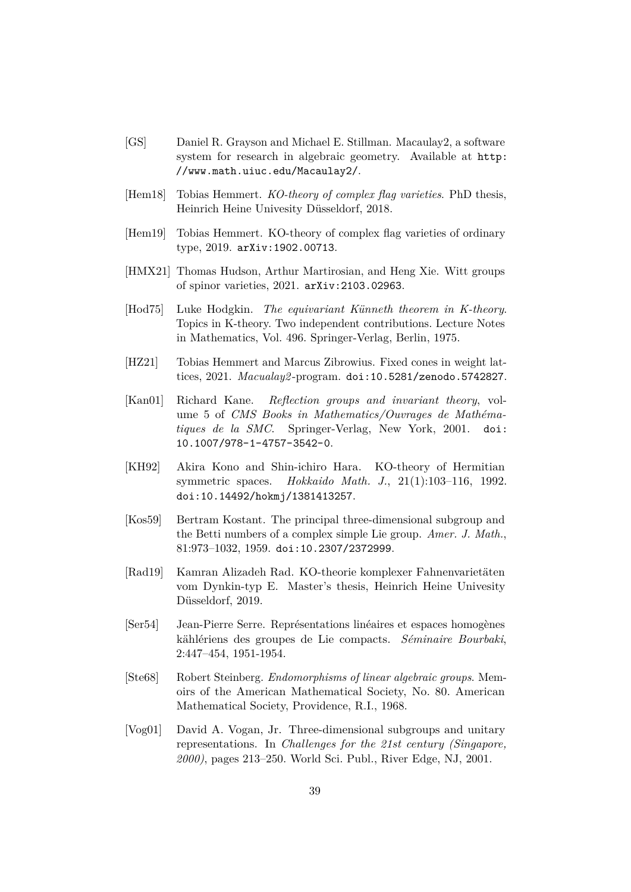- <span id="page-38-6"></span>[GS] Daniel R. Grayson and Michael E. Stillman. Macaulay2, a software system for research in algebraic geometry. Available at [http:](http://www.math.uiuc.edu/Macaulay2/) [//www.math.uiuc.edu/Macaulay2/](http://www.math.uiuc.edu/Macaulay2/).
- <span id="page-38-4"></span>[Hem18] Tobias Hemmert. *KO-theory of complex flag varieties*. PhD thesis, Heinrich Heine Univesity Düsseldorf, 2018.
- <span id="page-38-1"></span>[Hem19] Tobias Hemmert. KO-theory of complex flag varieties of ordinary type, 2019. [arXiv:1902.00713](http://arxiv.org/abs/1902.00713).
- <span id="page-38-2"></span>[HMX21] Thomas Hudson, Arthur Martirosian, and Heng Xie. Witt groups of spinor varieties, 2021. [arXiv:2103.02963](http://arxiv.org/abs/2103.02963).
- <span id="page-38-10"></span>[Hod75] Luke Hodgkin. *The equivariant Künneth theorem in K-theory*. Topics in K-theory. Two independent contributions. Lecture Notes in Mathematics, Vol. 496. Springer-Verlag, Berlin, 1975.
- <span id="page-38-7"></span>[HZ21] Tobias Hemmert and Marcus Zibrowius. Fixed cones in weight lattices, 2021. *Macualay2* -program. [doi:10.5281/zenodo.5742827](https://doi.org/10.5281/zenodo.5742827).
- <span id="page-38-0"></span>[Kan01] Richard Kane. *Reflection groups and invariant theory*, volume 5 of *CMS Books in Mathematics/Ouvrages de Mathématiques de la SMC*. Springer-Verlag, New York, 2001. [doi:](https://doi.org/10.1007/978-1-4757-3542-0) [10.1007/978-1-4757-3542-0](https://doi.org/10.1007/978-1-4757-3542-0).
- <span id="page-38-3"></span>[KH92] Akira Kono and Shin-ichiro Hara. KO-theory of Hermitian symmetric spaces. *Hokkaido Math. J.*, 21(1):103–116, 1992. [doi:10.14492/hokmj/1381413257](https://doi.org/10.14492/hokmj/1381413257).
- <span id="page-38-12"></span>[Kos59] Bertram Kostant. The principal three-dimensional subgroup and the Betti numbers of a complex simple Lie group. *Amer. J. Math.*, 81:973–1032, 1959. [doi:10.2307/2372999](https://doi.org/10.2307/2372999).
- <span id="page-38-5"></span>[Rad19] Kamran Alizadeh Rad. KO-theorie komplexer Fahnenvarietäten vom Dynkin-typ E. Master's thesis, Heinrich Heine Univesity Düsseldorf, 2019.
- <span id="page-38-8"></span>[Ser54] Jean-Pierre Serre. Représentations linéaires et espaces homogènes kählériens des groupes de Lie compacts. *Séminaire Bourbaki*, 2:447–454, 1951-1954.
- <span id="page-38-11"></span>[Ste68] Robert Steinberg. *Endomorphisms of linear algebraic groups*. Memoirs of the American Mathematical Society, No. 80. American Mathematical Society, Providence, R.I., 1968.
- <span id="page-38-9"></span>[Vog01] David A. Vogan, Jr. Three-dimensional subgroups and unitary representations. In *Challenges for the 21st century (Singapore, 2000)*, pages 213–250. World Sci. Publ., River Edge, NJ, 2001.